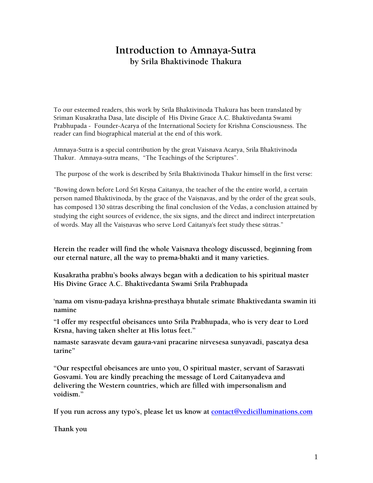# **Introduction to Amnaya-Sutra by Srila Bhaktivinode Thakura**

To our esteemed readers, this work by Srila Bhaktivinoda Thakura has been translated by Sriman Kusakratha Dasa, late disciple of His Divine Grace A.C. Bhaktivedanta Swami Prabhupada - Founder-Acarya of the International Society for Krishna Consciousness. The reader can find biographical material at the end of this work.

Amnaya-Sutra is a special contribution by the great Vaisnava Acarya, Srila Bhaktivinoda Thakur. Amnaya-sutra means, "The Teachings of the Scriptures".

The purpose of the work is described by Srila Bhaktivinoda Thakur himself in the first verse:

"Bowing down before Lord Śrī Krsna Caitanya, the teacher of the the entire world, a certain person named Bhaktivinoda, by the grace of the Vaisnavas, and by the order of the great souls, has composed 130 sütras describing the final conclusion of the Vedas, a conclusion attained by studying the eight sources of evidence, the six signs, and the direct and indirect interpretation of words. May all the Vaisnavas who serve Lord Caitanya's feet study these sūtras."

**Herein the reader will find the whole Vaisnava theology discussed, beginning from our eternal nature, all the way to prema-bhakti and it many varieties.** 

**Kusakratha prabhu's books always began with a dedication to his spiritual master His Divine Grace A.C. Bhaktivedanta Swami Srila Prabhupada** 

**'nama om visnu-padaya krishna-presthaya bhutale srimate Bhaktivedanta swamin iti namine** 

**"I offer my respectful obeisances unto Srila Prabhupada, who is very dear to Lord Krsna, having taken shelter at His lotus feet."**

**namaste sarasvate devam gaura-vani pracarine nirvesesa sunyavadi, pascatya desa tarine"** 

**"Our respectful obeisances are unto you, O spiritual master, servant of Sarasvati Gosvami. You are kindly preaching the message of Lord Caitanyadeva and delivering the Western countries, which are filled with impersonalism and voidism."**

**If you run across any typo's, please let us know at [contact@vedicilluminations.com](mailto:contact@vedicilluminations.com)**

**Thank you**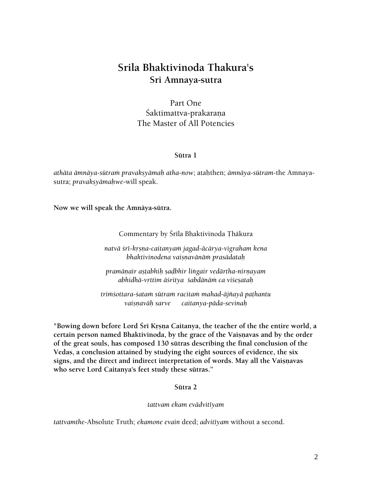# **Srila Bhaktivinoda Thakura's Sri Amnaya-sutra**

Part One Śaktimattva-prakarana The Master of All Potencies

#### **Sütra 1**

*athäta ämnäya-sütraà pravakñyämaù atha-now*; ataùthen; *ämnäya-sütram-*the Amnayasutra; *pravaksyāmahwe-will speak.* 

**Now we will speak the Amnäya-sütra.** 

#### Commentary by Śrīla Bhaktivinoda Thākura

*natvä çré-kåñëa-caitanyaà jagad-äcärya-vigraham kena bhaktivinodena vaiñëavänäà prasädataù* 

*pramäëair añöabhiù ñaòbhir liìgair vedärtha-nirëayam abhidhä-våttim äçritya çabdänäà ca viçeñataù* 

*triàçottara-çataà sütraà racitaà mahad-äjïayä paöhantu vaiñëaväù sarve caitanya-päda-sevinaù* 

"Bowing down before Lord Śrī Krsna Caitanya, the teacher of the the entire world, a certain person named Bhaktivinoda, by the grace of the Vaisnavas and by the order **of the great souls, has composed 130 sütras describing the final conclusion of the Vedas, a conclusion attained by studying the eight sources of evidence, the six**  signs, and the direct and indirect interpretation of words. May all the Vaisnavas **who serve Lord Caitanya's feet study these sütras."** 

#### **Sütra 2**

*tattvam ekam evädvitéyam* 

*tattvamthe-*Absolute Truth; *ekamone evain* deed; *advitéyam* without a second.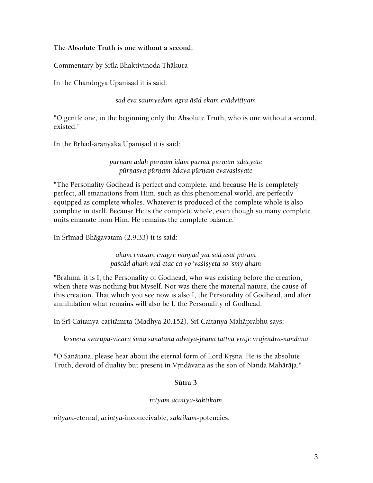## **The Absolute Truth is one without a second.**

Commentary by Śrīla Bhaktivinoda Thākura

In the Chāndogya Upanisad it is said:

*sad eva saumyedam agra äséd ekam evädvitéyam* 

"O gentle one, in the beginning only the Absolute Truth, who is one without a second, existed."

In the Brhad-āranyaka Upanisad it is said:

*pürëam adaù pürëam idaà pürëät pürëam udacyate*  pūrņasya pūrņam ādaya pūrņam evavasisyate

"The Personality Godhead is perfect and complete, and because He is completely perfect, all emanations from Him, such as this phenomenal world, are perfectly equipped as complete wholes. Whatever is produced of the complete whole is also complete in itself. Because He is the complete whole, even though so many complete units emanate from Him, He remains the complete balance."

In Śrīmad-Bhāgavatam (2.9.33) it is said:

*aham eväsam evägre nänyad yat sad asat param*  paścād aham yad etac ca yo 'vaśisyeta so 'smy aham

"Brahmä, it is I, the Personality of Godhead, who was existing before the creation, when there was nothing but Myself. Nor was there the material nature, the cause of this creation. That which you see now is also I, the Personality of Godhead, and after annihilation what remains will also be I, the Personality of Godhead."

In Śrī Caitanya-caritāmŗta (Madhya 20.152), Śrī Caitanya Mahāprabhu says:

*kåñëera svarüpa-vicära çuna sanätana advaya-jïäna tattvä vraje vrajendra-nandana* 

"O Sanātana, please hear about the eternal form of Lord Krsna. He is the absolute Truth, devoid of duality but present in Vrndävana as the son of Nanda Mahārāja."

## **Sütra 3**

#### *nityam acintya-çaktikam*

*nityam*-eternal; *acintya*-inconceivable; *çaktikam*-potencies.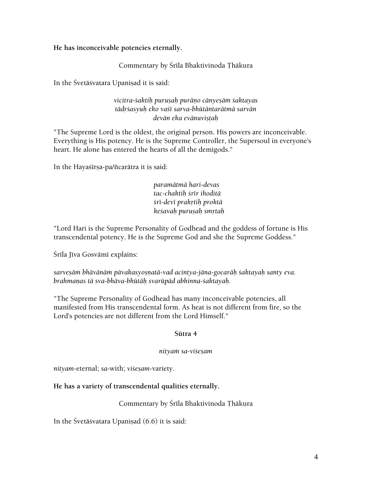**He has inconceivable potencies eternally.** 

Commentary by Śrīla Bhaktivinoda Thākura

In the Śvetāśvatara Upanisad it is said:

vicitra-śaktih puruşah purāņo cānyeşām śaktayas *tädåçasyuù eko vaçé sarva-bhütäntarätmä sarvän devän eka evänuviñöaù*

"The Supreme Lord is the oldest, the original person. His powers are inconceivable. Everything is His potency. He is the Supreme Controller, the Supersoul in everyone's heart. He alone has entered the hearts of all the demigods."

In the Hayasirsa-pa/ñearātra it is said:

*paramätmä hari-devas tac-chaktiù çrér ihoditä çré-devé prakåtiù proktä keçavaù puruñaù småtaù* 

"Lord Hari is the Supreme Personality of Godhead and the goddess of fortune is His transcendental potency. He is the Supreme God and she the Supreme Goddess."

Śrīla Jīva Gosvāmī explains:

sarveşām bhāvānām pāvakasyosņatā-vad acintya-jāna-gocarāh śaktayah santy eva. *brahmaëas tä sva-bhäva-bhütäù svarüpäd abhinna-çaktayaù.* 

"The Supreme Personality of Godhead has many inconceivable potencies, all manifested from His transcendental form. As heat is not different from fire, so the Lord's potencies are not different from the Lord Himself."

## **Sütra 4**

## *nityaà sa-viçeñam*

*nityam-eternal; sa-with; viśesam-variety.* 

## **He has a variety of transcendental qualities eternally.**

## Commentary by Śrīla Bhaktivinoda Thākura

In the Śvetāśvatara Upanisad  $(6.6)$  it is said: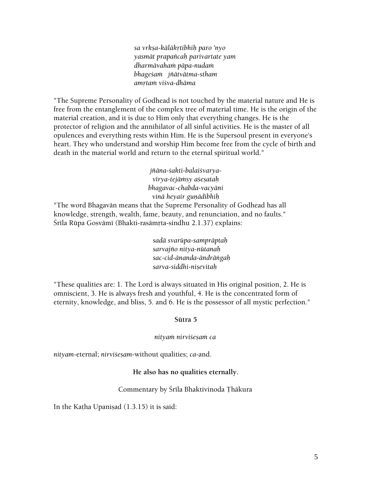*sa vrkña-käläkåtibhiù paro 'nyo yasmät prapaïcaù parivartate yam dharmävahaà päpa-nudaà bhageçaà jïätvätma-stham amåtaà viçva-dhäma* 

"The Supreme Personality of Godhead is not touched by the material nature and He is free from the entanglement of the complex tree of material time. He is the origin of the material creation, and it is due to Him only that everything changes. He is the protector of religion and the annihilator of all sinful activities. He is the master of all opulences and everything rests within Him. He is the Supersoul present in everyone's heart. They who understand and worship Him become free from the cycle of birth and death in the material world and return to the eternal spiritual world."

> *jïäna-çakti-balaiçvaryavérya-tejäàsy açeñataù bhagavac-chabda-vacyäni vinä heyair guëädibhiù*

"The word Bhagavän means that the Supreme Personality of Godhead has all knowledge, strength, wealth, fame, beauty, and renunciation, and no faults." Śrīla Rūpa Gosvāmī (Bhakti-rasāmṛta-sindhu 2.1.37) explains:

> *sadä svarüpa-sampräptaù sarvajïo nitya-nütanaù sac-cid-änanda-ändräìgaù sarva-siddhi-niñevitaù*

"These qualities are: 1. The Lord is always situated in His original position, 2. He is omniscient, 3. He is always fresh and youthful, 4. He is the concentrated form of eternity, knowledge, and bliss, 5. and 6. He is the possessor of all mystic perfection."

#### **Sütra 5**

#### *nityaà nirviçeñaà ca*

*nityam-eternal; nirvisesam-without qualities; ca-and.* 

#### **He also has no qualities eternally.**

#### Commentary by Śrīla Bhaktivinoda Thākura

In the Katha Upanisad  $(1.3.15)$  it is said: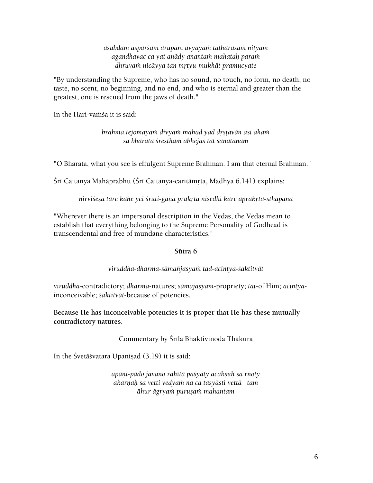*açabdam asparçam arüpam avyayaà tathärasaà nityam agandhavac ca yat anädy anantaà mahataù paraà dhruvaà nicäyya tan måtyu-mukhät pramucyate* 

"By understanding the Supreme, who has no sound, no touch, no form, no death, no taste, no scent, no beginning, and no end, and who is eternal and greater than the greatest, one is rescued from the jaws of death."

In the Hari-vamsa it is said:

*brahma tejomayaà divyaà mahad yad dåñöavän asi ahaà sa bhärata çreñöhaà abhejas tat sanätanam* 

"O Bharata, what you see is effulgent Supreme Brahman. I am that eternal Brahman."

Śrī Caitanya Mahāprabhu (Śrī Caitanya-caritāmṛta, Madhya 6.141) explains:

*nirviçeña tare kahe yei çruti-gaëa prakåta niñedhi kare aprakåta-sthäpana* 

"Wherever there is an impersonal description in the Vedas, the Vedas mean to establish that everything belonging to the Supreme Personality of Godhead is transcendental and free of mundane characteristics."

#### **Sütra 6**

#### *viruddha-dharma-sämaïjasyaà tad-acintya-çaktitvät*

*viruddha*-contradictory; *dharma*-natures; *sämajasyam*-propriety; *tat*-of Him; *acintya*inconceivable; *çaktitvät*-because of potencies.

**Because He has inconceivable potencies it is proper that He has these mutually contradictory natures.** 

Commentary by Śrīla Bhaktivinoda Thākura

In the Śvetāśvatara Upaniṣad (3.19) it is said:

*apāni-pādo javano rahītā paśyaty acaksuh sa rnoty akarëaù sa vetti vedyaà na ca tasyästi vettä tam*   $\bar{a}$ hur āgryam puruṣam mahantam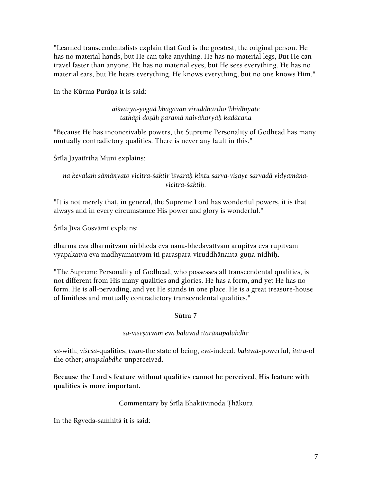"Learned transcendentalists explain that God is the greatest, the original person. He has no material hands, but He can take anything. He has no material legs, But He can travel faster than anyone. He has no material eyes, but He sees everything. He has no material ears, but He hears everything. He knows everything, but no one knows Him."

In the Kūrma Purāna it is said:

*aiçvarya-yogäd bhagavän viruddhärtho 'bhidhéyate tathäpi doñäù paramä naiväharyäù kadäcana* 

"Because He has inconceivable powers, the Supreme Personality of Godhead has many mutually contradictory qualities. There is never any fault in this."

Śrīla Jayatīrtha Muni explains:

na kevalam sāmānyato vicitra-*śaktir īśvarah kintu sarva-visaye sarvadā vidyamānavicitra-çaktiù.* 

"It is not merely that, in general, the Supreme Lord has wonderful powers, it is that always and in every circumstance His power and glory is wonderful."

Śrīla Jīva Gosvāmī explains:

dharma eva dharmitvam nirbheda eva nānā-bhedavattvam arūpitva eva rūpitvam vyapakatva eva madhyamattvam iti paraspara-viruddhānanta-guṇa-nidhiḥ.

"The Supreme Personality of Godhead, who possesses all transcendental qualities, is not different from His many qualities and glories. He has a form, and yet He has no form. He is all-pervading, and yet He stands in one place. He is a great treasure-house of limitless and mutually contradictory transcendental qualities."

**Sütra 7** 

*sa-viçeñatvam eva balavad itaränupalabdhe* 

*sa*-with; *viçeña*-qualities; *tvam*-the state of being; *eva*-indeed; *balavat*-powerful; *itara*-of the other; *anupalabdhe*-unperceived.

**Because the Lord's feature without qualities cannot be perceived, His feature with qualities is more important.** 

Commentary by Śrīla Bhaktivinoda Thākura

In the Rgveda-samhita it is said: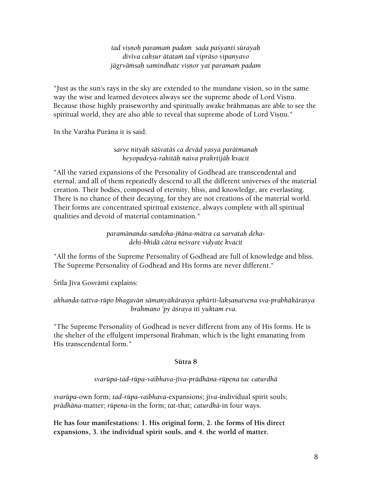*tad viñëoù paramaà padaà sada paçyanti sürayaù divéva cakñur ätataà tad vipräso vipanyavo*  jāgrvāmsah samindhate visnor yat paramam padam

"Just as the sun's rays in the sky are extended to the mundane vision, so in the same way the wise and learned devotees always see the supreme abode of Lord Visnu. Because those highly praiseworthy and spiritually awake brāhmanas are able to see the spiritual world, they are also able to reveal that supreme abode of Lord Visnu."

In the Varāha Purāna it is said:

## *sarve nityäù çäçvatäç ca deväd yasya parätmanaù heyopadeya-rahitäù naiva prakåtijäù kvacit*

"All the varied expansions of the Personality of Godhead are transcendental and eternal, and all of them repeatedly descend to all the different universes of the material creation. Their bodies, composed of eternity, bliss, and knowledge, are everlasting. There is no chance of their decaying, for they are not creations of the material world. Their forms are concentrated spiritual existence, always complete with all spiritual qualities and devoid of material contamination."

> *paramänanda-sandoha-jïäna-mätra ca sarvataù dehadehi-bhidä cätra neçvare vidyate kvacit*

"All the forms of the Supreme Personality of Godhead are full of knowledge and bliss. The Supreme Personality of Godhead and His forms are never different."

Śrīla Jīva Gosvāmī explains:

## *akhaëòa-tattva-rüpo bhagavän sämanyäkärasya sphürti-lakñaëatvena sva-prabhäkärasya brahmaëo 'py äçraya iti yuktam eva.*

"The Supreme Personality of Godhead is never different from any of His forms. He is the shelter of the effulgent impersonal Brahman, which is the light emanating from His transcendental form."

## **Sütra 8**

## *svarüpa-tad-rüpa-vaibhava-jéva-prädhäna-rüpena tac caturdhä*

*svarüpa*-own form; *tad-rüpa-vaibhava*-expansions; j*éva*-individual spirit souls; *prädhäna*-matter; *rüpena*-in the form; *tat*-that; *caturdhä*-in four ways.

**He has four manifestations: 1. His original form, 2. the forms of His direct expansions, 3. the individual spirit souls, and 4. the world of matter.**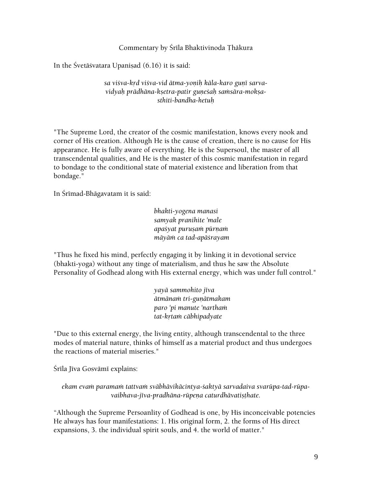Commentary by Srīla Bhaktivinoda Thākura

In the Śvetāśvatara Upanisad  $(6.16)$  it is said:

sa vi*šva-krd višva-vid ātma-yonih kāla-karo gunī sarva*vidyah prādhāna-ksetra-patir guneśah samsāra-moksa*sthiti-bandha-hetuù* 

"The Supreme Lord, the creator of the cosmic manifestation, knows every nook and corner of His creation. Although He is the cause of creation, there is no cause for His appearance. He is fully aware of everything. He is the Supersoul, the master of all transcendental qualities, and He is the master of this cosmic manifestation in regard to bondage to the conditional state of material existence and liberation from that bondage."

In Śrīmad-Bhāgavatam it is said:

*bhakti-yogena manasi samyak pranihite 'male apaśyat puruşam pūrnam mäyäà ca tad-apäçrayam* 

"Thus he fixed his mind, perfectly engaging it by linking it in devotional service (bhakti-yoga) without any tinge of materialism, and thus he saw the Absolute Personality of Godhead along with His external energy, which was under full control."

> *yayä sammohito jéva ätmänaà tri-guëätmakam paro 'pi manute 'narthaà tat-kåtaà cäbhipadyate*

"Due to this external energy, the living entity, although transcendental to the three modes of material nature, thinks of himself as a material product and thus undergoes the reactions of material miseries."

Śrīla Jīva Gosvāmī explains:

ekam evam paramam tattvam svābhāvikācintya-śaktyā sarvadaiva svarūpa-tad-rūpavaibhava-jīva-pradhāna-rūpeņa caturdhāvatisthate.

"Although the Supreme Persoanlity of Godhead is one, by His inconceivable potencies He always has four manifestations: 1. His original form, 2. the forms of His direct expansions, 3. the individual spirit souls, and 4. the world of matter."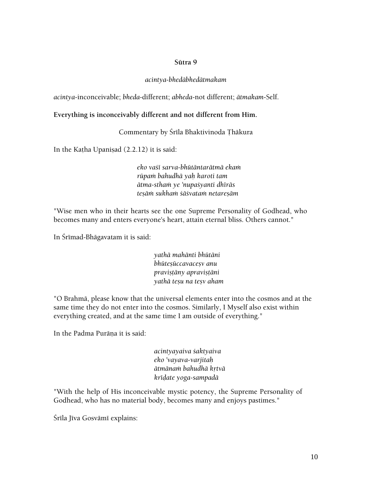#### **Sütra 9**

#### *acintya-bhedäbhedätmakam*

*acintya*-inconceivable; *bheda*-different; *abheda*-not different; *ätmakam*-Self.

#### **Everything is inconceivably different and not different from Him.**

Commentary by Śrīla Bhaktivinoda Thākura

In the Katha Upanisad  $(2.2.12)$  it is said:

*eko vaçé sarva-bhütäntarätmä ekaà rüpaà bahudhä yaù karoti tam ätma-sthaà ye 'nupaçyanti dhéräs teñäà sukhaà çäçvataà netareñäm* 

"Wise men who in their hearts see the one Supreme Personality of Godhead, who becomes many and enters everyone's heart, attain eternal bliss. Others cannot."

In Śrīmad-Bhāgavatam it is said:

*yathä mahänti bhütäni*   $bh\bar{u}$ teşūccavaceșv anu *praviñöäny apraviñöäni yathä teñu na teñv aham* 

"O Brahmä, please know that the universal elements enter into the cosmos and at the same time they do not enter into the cosmos. Similarly, I Myself also exist within everything created, and at the same time I am outside of everything."

In the Padma Purāna it is said:

*acintyayaiva çaktyaiva eko 'vayava-varjitaù ätmänaà bahudhä kåtvä kréòate yoga-sampadä* 

"With the help of His inconceivable mystic potency, the Supreme Personality of Godhead, who has no material body, becomes many and enjoys pastimes."

Śrīla Jīva Gosvāmī explains: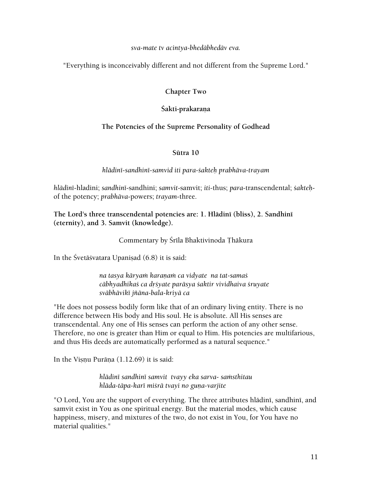#### *sva-mate tv acintya-bhedäbhedäv eva.*

"Everything is inconceivably different and not different from the Supreme Lord."

## **Chapter Two**

## Śakti-prakaraņa

## **The Potencies of the Supreme Personality of Godhead**

#### **Sütra 10**

#### *hlädiné-sandhiné-samvid iti para-çakteù prabhäva-trayam*

*hlädiné*-hladini; *sandhiné*-sandhini; *samvit*-samvit; *iti*-thus; *para*-transcendental; *çakteù*of the potency; *prabhäva*-powers; *trayam*-three.

**The Lord's three transcendental potencies are: 1. Hlädiné (bliss), 2. Sandhiné (eternity), and 3. Samvit (knowledge).** 

Commentary by Śrīla Bhaktivinoda Thākura

In the Śvetāśvatara Upaniṣad (6.8) it is said:

*na tasya käryaà karaëaà ca vidyate na tat-samaç cäbhyadhikaç ca dåçyate paräsya çaktir vividhaiva çruyate sväbhäviké jïäna-bala-kriyä ca* 

"He does not possess bodily form like that of an ordinary living entity. There is no difference between His body and His soul. He is absolute. All His senses are transcendental. Any one of His senses can perform the action of any other sense. Therefore, no one is greater than Him or equal to Him. His potencies are multifarious, and thus His deeds are automatically performed as a natural sequence."

In the Vișnu Purāņa (1.12.69) it is said:

*hlädiné sandhiné samvit tvayy eka sarva- saàsthitau hläda-täpa-karé miçrä tvayi no guëa-varjite* 

"O Lord, You are the support of everything. The three attributes hlādinī, sandhinī, and samvit exist in You as one spiritual energy. But the material modes, which cause happiness, misery, and mixtures of the two, do not exist in You, for You have no material qualities."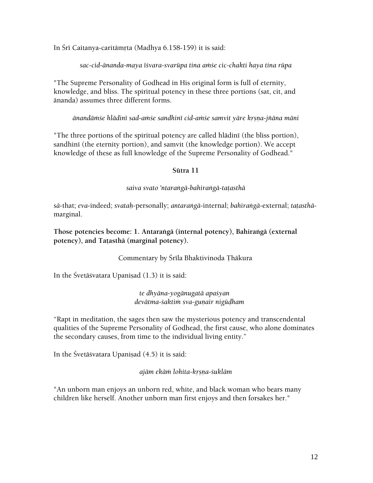In Śrī Caitanya-caritāmŗta (Madhya 6.158-159) it is said:

*sac-cid-änanda-maya éçvara-svarüpa tina aàçe cic-chakti haya tina rüpa* 

"The Supreme Personality of Godhead in His original form is full of eternity, knowledge, and bliss. The spiritual potency in these three portions (sat, cit, and änanda) assumes three different forms.

*änandäàçe hlädiné sad-aàçe sandhiné cid-aàçe samvit yäre kåñëa-jïäna mäni* 

"The three portions of the spiritual potency are called hlādinī (the bliss portion), sandhini (the eternity portion), and samvit (the knowledge portion). We accept knowledge of these as full knowledge of the Supreme Personality of Godhead."

#### **Sütra 11**

#### *saiva svato 'ntaraìgä-bahiraìgä-taöasthä*

*sä*-that; *eva*-indeed; *svataù*-personally; *antaraìgä*-internal; *bahiraìgä*-external; *taöasthä*marginal.

**Those potencies become: 1. Antaraìgä (internal potency), Bahiraìgä (external**  potency), and Tatasthā (marginal potency).

## Commentary by Śrīla Bhaktivinoda Thākura

In the Śvetāśvatara Upanisad (1.3) it is said:

*te dhyäna-yogänugatä apaçyan devätma-çaktià sva-guëair nigüòham* 

"Rapt in meditation, the sages then saw the mysterious potency and transcendental qualities of the Supreme Personality of Godhead, the first cause, who alone dominates the secondary causes, from time to the individual living entity."

In the Śvetāśvatara Upaniṣad (4.5) it is said:

*ajäm ekäà lohita-kåñëa-çukläm* 

"An unborn man enjoys an unborn red, white, and black woman who bears many children like herself. Another unborn man first enjoys and then forsakes her."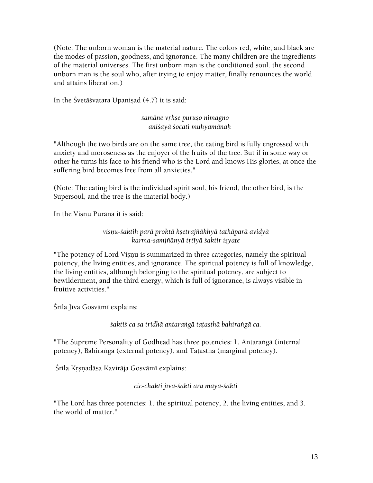(Note: The unborn woman is the material nature. The colors red, white, and black are the modes of passion, goodness, and ignorance. The many children are the ingredients of the material universes. The first unborn man is the conditioned soul. the second unborn man is the soul who, after trying to enjoy matter, finally renounces the world and attains liberation.)

In the Śvetāśvatara Upaniṣad (4.7) it is said:

samāne vrkse puruso nimagno *anéçayä çocati muhyamänaù* 

"Although the two birds are on the same tree, the eating bird is fully engrossed with anxiety and moroseness as the enjoyer of the fruits of the tree. But if in some way or other he turns his face to his friend who is the Lord and knows His glories, at once the suffering bird becomes free from all anxieties."

(Note: The eating bird is the individual spirit soul, his friend, the other bird, is the Supersoul, and the tree is the material body.)

In the Visnu Purāna it is said:

*viñëu-çaktiù parä proktä kñetrajïäkhyä tathäparä avidyä karma-samjïänyä tåtéyä çaktir iñyate* 

"The potency of Lord Visnu is summarized in three categories, namely the spiritual potency, the living entities, and ignorance. The spiritual potency is full of knowledge, the living entities, although belonging to the spiritual potency, are subject to bewilderment, and the third energy, which is full of ignorance, is always visible in fruitive activities."

Śrīla Jīva Gosvāmī explains:

*çaktiç ca sa tridhä antaraìgä taöasthä bahiraìgä ca.* 

"The Supreme Personality of Godhead has three potencies: 1. Antarangā (internal potency), Bahirangā (external potency), and Taṭasthā (marginal potency).

Śrīla Krsnadāsa Kavirāja Gosvāmī explains:

*cic-chakti jéva-çakti ara mäyä-çakti* 

"The Lord has three potencies: 1. the spiritual potency, 2. the living entities, and 3. the world of matter."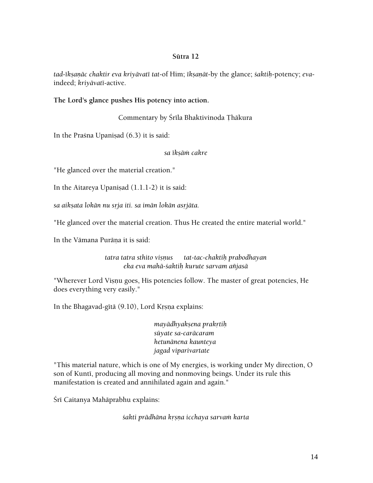#### **Sütra 12**

*tad-ékñaëäc chaktir eva kriyävaté tat*-of Him; *ékñaëät*-by the glance; *çaktiù*-potency; *eva*indeed; *kriyävaté*-active.

#### **The Lord's glance pushes His potency into action.**

Commentary by Śrīla Bhaktivinoda Thākura

In the Prasna Upanisad  $(6.3)$  it is said:

#### *sa ékñäà cakre*

"He glanced over the material creation."

In the Aitareya Upanisad  $(1.1.1-2)$  it is said:

*sa aikñata lokän nu såja iti. sa imän lokän asåjäta.*

"He glanced over the material creation. Thus He created the entire material world."

In the Vāmana Purāna it is said:

*tatra tatra sthito viñëus tat-tac-chaktiù prabodhayan eka eva mahä-çaktiù kurute sarvam aïjasä* 

"Wherever Lord Visnu goes, His potencies follow. The master of great potencies, He does everything very easily."

In the Bhagavad-gītā (9.10), Lord Krsņa explains:

*mayädhyakñena prakåtiù süyate sa-caräcaram hetunänena kaunteya jagad viparivartate* 

"This material nature, which is one of My energies, is working under My direction, O son of Kuntī, producing all moving and nonmoving beings. Under its rule this manifestation is created and annihilated again and again."

Śrī Caitanya Mahāprabhu explains:

*çakti prädhäna kåñëa icchaya sarvaà karta*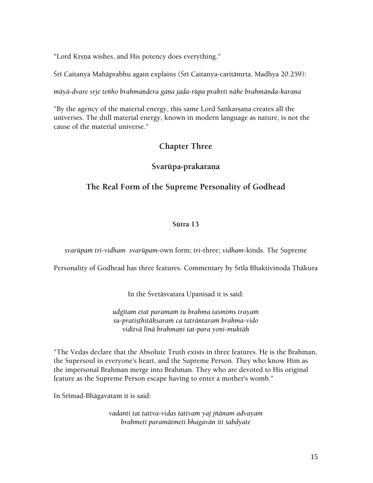"Lord Krsna wishes, and His potency does everything."

Śrī Caitanya Mahāprabhu again explains (Śrī Caitanya-caritāmrta, Madhya 20.259):

*māyā-dvare srje tenho brahmandera gana jada-rūpa prakrti nāhe brahmānda-karana* 

"By the agency of the material energy, this same Lord Sankarsana creates all the universes. The dull material energy, known in modern language as nature, is not the cause of the material universe."

# **Chapter Three**

# Svarūpa-prakaraņa

# **The Real Form of the Supreme Personality of Godhead**

## **Sütra 13**

*svarüpaà tri-vidham svarüpam*-own form; *tri*-three; *vidham*-kinds. The Supreme

Personality of Godhead has three features. Commentary by Śrīla Bhaktivinoda Thākura

In the Śvetāśvatara Upanisad it is said:

*udgétam etat paramaà tu brahma tasmiàs trayaà su-pratiñöhitäkñaraà ca taträntaraà brahma-vido viditvä lénä brahmaëi tat-para yoëi-muktäù* 

"The Vedas declare that the Absolute Truth exists in three features. He is the Brahman, the Supersoul in everyone's heart, and the Supreme Person. They who know Him as the impersonal Brahman merge into Brahman. They who are devoted to His original feature as the Supreme Person escape having to enter a mother's womb."

In Śrīmad-Bhāgavatam it is said:

*vadanti tat tattva-vidas tattvaà yaj jïänam advayam brahmeti paramätmeti bhagavän iti çabdyate*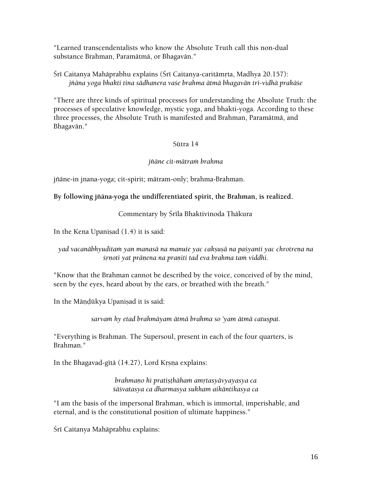"Learned transcendentalists who know the Absolute Truth call this non-dual substance Brahman, Paramätmä, or Bhagavän."

Śrī Caitanya Mahāprabhu explains (Śrī Caitanya-caritāmṛta, Madhya 20.157): *jïäna yoga bhakti tina sädhanera vaçe brahma ätmä bhagavän tri-vidhä prakäçe* 

"There are three kinds of spiritual processes for understanding the Absolute Truth: the processes of speculative knowledge, mystic yoga, and bhakti-yoga. According to these three processes, the Absolute Truth is manifested and Brahman, Paramätmä, and Bhagavän."

## Sütra 14

## *jïäne cit-mätraà brahma*

jïäne-in jnana-yoga; cit-spirit; mätram-only; brahma-Brahman.

## **By following jïäna-yoga the undifferentiated spirit, the Brahman, is realized.**

# Commentary by Śrīla Bhaktivinoda Thākura

In the Kena Upanisad  $(1.4)$  it is said:

# *yad vacanäbhyuditaà yan manasä na manute yac cakñuñä na paçyanti yac chrotreëa na śrnoti yat prānena na praniti tad eva brahma tam viddhi.*

"Know that the Brahman cannot be described by the voice, conceived of by the mind, seen by the eyes, heard about by the ears, or breathed with the breath."

In the Māņdūkya Upaniṣad it is said:

sarvam hy etad brahmāyam ātmā brahma so 'yam ātmā catuspat.

"Everything is Brahman. The Supersoul, present in each of the four quarters, is Brahman."

In the Bhagavad-gītā (14.27), Lord Krsna explains:

*brahmano hi pratisthāham amrtasyāvyayasya ca çäçvatasya ca dharmasya sukham aikäntikasya ca* 

"I am the basis of the impersonal Brahman, which is immortal, imperishable, and eternal, and is the constitutional position of ultimate happiness."

Śrī Caitanya Mahāprabhu explains: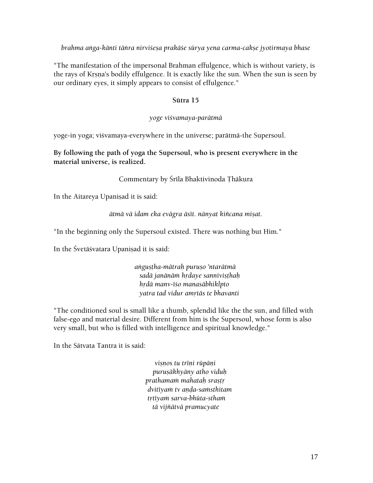*brahma anga-kānti tānra nirvišesa prakāše sūrya yena carma-cakṣe jyotirmaya bhase* 

"The manifestation of the impersonal Brahman effulgence, which is without variety, is the rays of Krsna's bodily effulgence. It is exactly like the sun. When the sun is seen by our ordinary eyes, it simply appears to consist of effulgence."

#### **Sütra 15**

#### *yoge viçvamaya-parätmä*

yoge-in yoga; viçvamaya-everywhere in the universe; parätmä-the Supersoul.

**By following the path of yoga the Supersoul, who is present everywhere in the material universe, is realized.** 

Commentary by Śrīla Bhaktivinoda Thākura

In the Aitareya Upaniṣad it is said:

*ätmä vä idam eka evägra äsét. nänyat kiïcana miñat.* 

"In the beginning only the Supersoul existed. There was nothing but Him."

In the Śvetāśvatara Upanisad it is said:

*aìguñöha-mätraù puruño 'ntarätmä sadä janänäà hådaye sanniviñöhaù hådä manv-éço manasäbhiklpto yatra tad vidur amåtäs te bhavanti* 

"The conditioned soul is small like a thumb, splendid like the the sun, and filled with false-ego and material desire. Different from him is the Supersoul, whose form is also very small, but who is filled with intelligence and spiritual knowledge."

In the Sätvata Tantra it is said:

 $visnos$  tu trīni rūpāni *puruñäkhyäny atho viduù prathamaà mahataù srañöå*  dvitīya*m* tv anda-samsthitam *tåtéyaà sarva-bhüta-sthaà tä vijïätvä pramucyate*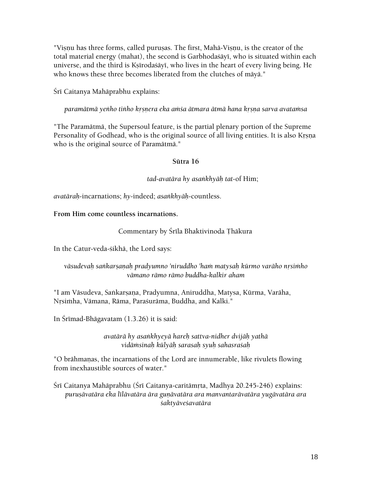"Visnu has three forms, called purusas. The first, Mahā-Visnu, is the creator of the total material energy (mahat), the second is Garbhodaśāyī, who is situated within each universe, and the third is Ksīrodaśāyī, who lives in the heart of every living being. He who knows these three becomes liberated from the clutches of mäyä."

Śrī Caitanya Mahāprabhu explains:

*paramātmā yenho tinho krsnera eka amsa ātmara ātmā hana krsna sarva avatamsa* 

"The Paramätmä, the Supersoul feature, is the partial plenary portion of the Supreme Personality of Godhead, who is the original source of all living entities. It is also Krsna who is the original source of Paramätmä."

## **Sütra 16**

*tad-avatära hy asaìkhyäù tat*-of Him;

*avatäraù*-incarnations; *hy*-indeed; *asaìkhyäù*-countless.

## **From Him come countless incarnations.**

## Commentary by Śrīla Bhaktivinoda Thākura

In the Catur-veda-çikhä, the Lord says:

## vāsudevah sankarsanah pradyumno 'niruddho 'ham matysah kūrmo varāho nrsimho *vämano rämo rämo buddha-kalkir aham*

"I am Vāsudeva, Saṅkarṣaṇa, Pradyumna, Aniruddha, Matysa, Kūrma, Varāha, Nrsimha, Vāmana, Rāma, Paraśurāma, Buddha, and Kalki."

In Śrīmad-Bhāgavatam  $(1.3.26)$  it is said:

*avatärä hy asaìkhyeyä hareù sattva-nidher dvijäù yathä vidäàsinaù külyäù sarasaù syuù sahasraçaù* 

"O brāhmanas, the incarnations of the Lord are innumerable, like rivulets flowing from inexhaustible sources of water."

Śrī Caitanya Mahāprabhu (Śrī Caitanya-caritāmṛta, Madhya 20.245-246) explains: *puruñävatära eka lélävatära ära guëävatära ara manvantarävatära yugävatära ara çaktyäveçavatära*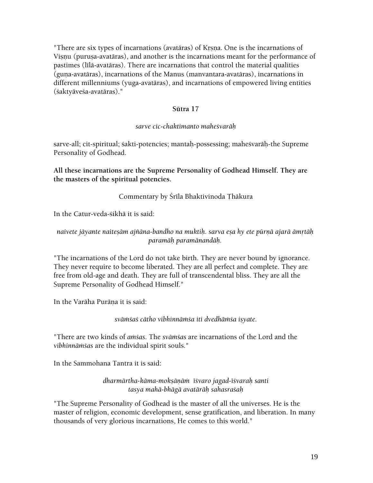"There are six types of incarnations (avatāras) of Krsna. One is the incarnations of Visnu (puruṣa-avatāras), and another is the incarnations meant for the performance of pastimes (līlā-avatāras). There are incarnations that control the material qualities (guna-avatāras), incarnations of the Manus (manvantara-avatāras), incarnations in different millenniums (yuga-avatäras), and incarnations of empowered living entities (çaktyäveça-avatäras)."

## **Sütra 17**

## *sarve cic-chaktimanto maheçvaräù*

sarve-all; cit-spiritual; sakti-potencies; mantah-possessing; mahesvarāh-the Supreme Personality of Godhead.

**All these incarnations are the Supreme Personality of Godhead Himself. They are the masters of the spiritual potencies.** 

## Commentary by Śrīla Bhaktivinoda Thākura

In the Catur-veda-çikhä it is said:

## naivete jäyante naitesām ajñāna-bandho na muktih. sarva esa hy ete pūrnā ajarā āmrtāh *paramäù paramänandäù.*

"The incarnations of the Lord do not take birth. They are never bound by ignorance. They never require to become liberated. They are all perfect and complete. They are free from old-age and death. They are full of transcendental bliss. They are all the Supreme Personality of Godhead Himself."

In the Varāha Purāna it is said:

svāmśaś cātho vibhinnāmśa iti dvedhāmśa isyate.

"There are two kinds of *amsas*. The *svāmsas* are incarnations of the Lord and the *vibhinnäàças* are the individual spirit souls."

In the Sammohana Tantra it is said:

*dharmärtha-käma-mokñäëäà éçvaro jagad-éçvaraù santi tasya mahä-bhägä avatäräù sahasraçaù* 

"The Supreme Personality of Godhead is the master of all the universes. He is the master of religion, economic development, sense gratification, and liberation. In many thousands of very glorious incarnations, He comes to this world."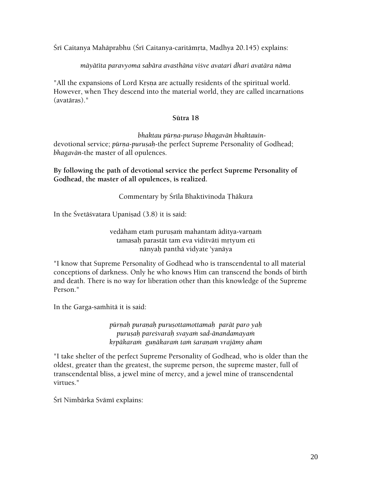Śrī Caitanya Mahāprabhu (Śrī Caitanya-caritāmṛta, Madhya 20.145) explains:

*mäyätéta paravyoma sabära avasthäna viçve avatari dhari avatära näma* 

"All the expansions of Lord Krsna are actually residents of the spiritual world. However, when They descend into the material world, they are called incarnations (avatäras)."

## **Sütra 18**

*bhaktau pūrņa-purușo bhagavān bhaktauin-*

devotional service; *pūrna-purusah-the perfect Supreme Personality of Godhead*; *bhagavän*-the master of all opulences.

**By following the path of devotional service the perfect Supreme Personality of Godhead, the master of all opulences, is realized.** 

Commentary by Śrīla Bhaktivinoda Thākura

In the Śvetāśvatara Upanisad (3.8) it is said:

vedāham etam puruṣaṁ mahantaṁ āditya-varṇaṁ tamasah parastāt tam eva viditvāti mrtyum eti nänyaù panthä vidyate 'yanäya

"I know that Supreme Personality of Godhead who is transcendental to all material conceptions of darkness. Only he who knows Him can transcend the bonds of birth and death. There is no way for liberation other than this knowledge of the Supreme Person."

In the Garga-samhitā it is said:

*pürëaù puraëaù puruñottamottamaù parät paro yaù puruñaù pareçvaraù svayaà sad-änandamayaà kåpäkaraà guëäkaraà taà çaraëaà vrajämy aham* 

"I take shelter of the perfect Supreme Personality of Godhead, who is older than the oldest, greater than the greatest, the supreme person, the supreme master, full of transcendental bliss, a jewel mine of mercy, and a jewel mine of transcendental virtues."

Śrī Nimbārka Svāmī explains: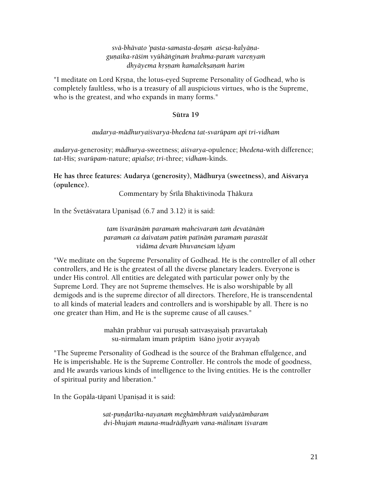*svä-bhävato 'pasta-samasta-doñaà açeña-kalyäëaguëaika-räçim vyühäìginaà brahma-paraà vareëyaà dhyäyema kåñëaà kamalekñaëaà harim* 

"I meditate on Lord Krsna, the lotus-eyed Supreme Personality of Godhead, who is completely faultless, who is a treasury of all auspicious virtues, who is the Supreme, who is the greatest, and who expands in many forms."

#### **Sütra 19**

#### *audarya-mädhuryaiçvarya-bhedena tat-svarüpam api tri-vidham*

*audarya*-generosity; *mädhurya*-sweetness; *aiçvarya*-opulence; *bhedena*-with difference; *tat*-His; *svarüpam*-nature; *apialso*; *tri*-three; *vidham-*kinds.

**He has three features: Audarya (generosity), Mädhurya (sweetness), and Aiçvarya (opulence).** 

Commentary by Śrīla Bhaktivinoda Thākura

In the Śvetāśvatara Upaniṣad (6.7 and 3.12) it is said:

*tam éçvaräëäà paramaà maheçvaraà taà devatänäà paramaà ca daivatam patià paténäà paramaà parastät vidäma devaà bhuvaneçam éòyam* 

"We meditate on the Supreme Personality of Godhead. He is the controller of all other controllers, and He is the greatest of all the diverse planetary leaders. Everyone is under His control. All entities are delegated with particular power only by the Supreme Lord. They are not Supreme themselves. He is also worshipable by all demigods and is the supreme director of all directors. Therefore, He is transcendental to all kinds of material leaders and controllers and is worshipable by all. There is no one greater than Him, and He is the supreme cause of all causes."

> mahān prabhur vai puruṣaḥ sattvasyaiṣaḥ pravartakaḥ su-nirmalam imam prāptim iśāno jyotir avyayah

"The Supreme Personality of Godhead is the source of the Brahman effulgence, and He is imperishable. He is the Supreme Controller. He controls the mode of goodness, and He awards various kinds of intelligence to the living entities. He is the controller of spiritual purity and liberation."

In the Gopāla-tāpanī Upaniṣad it is said:

*sat-puëòaréka-nayanaà meghämbhraà vaidyutämbaram dvi-bhujaà mauna-mudräòhyaà vana-mälinam éçvaram*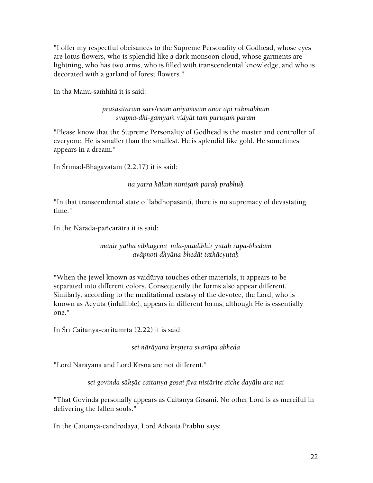"I offer my respectful obeisances to the Supreme Personality of Godhead, whose eyes are lotus flowers, who is splendid like a dark monsoon cloud, whose garments are lightning, who has two arms, who is filled with transcendental knowledge, and who is decorated with a garland of forest flowers."

In tha Manu-saṁhitā it is said:

*praçäsitaraà sarv/eñäà aniyäàsam aëor api rukmäbhaà svapna-dhé-gamyaà vidyät taà puruñaà param* 

"Please know that the Supreme Personality of Godhead is the master and controller of everyone. He is smaller than the smallest. He is splendid like gold. He sometimes appears in a dream."

In Śrīmad-Bhāgavatam  $(2.2.17)$  it is said:

*na yatra kälaà nimiñaà paraù prabhuù* 

"In that transcendental state of labdhopaçänti, there is no supremacy of devastating time."

In the Nārada-pañcarātra it is said:

## *maëir yathä vibhägena néla-pétädibhir yutaù rüpa-bhedam aväpnoti dhyäna-bhedät tathäcyutaù*

"When the jewel known as vaidürya touches other materials, it appears to be separated into different colors. Consequently the forms also appear different. Similarly, according to the meditational ecstasy of the devotee, the Lord, who is known as Acyuta (infallible), appears in different forms, although He is essentially one."

In Śrī Caitanya-caritāmrta (2.22) it is said:

*sei näräyaëa kåñëera svarüpa abheda* 

"Lord Nārāyaṇa and Lord Krsṇa are not different."

sei govinda sākṣāc caitanya gosai jīva nistārite aiche dayālu ara nai

"That Govinda personally appears as Caitanya Gosāñi. No other Lord is as merciful in delivering the fallen souls."

In the Caitanya-candrodaya, Lord Advaita Prabhu says: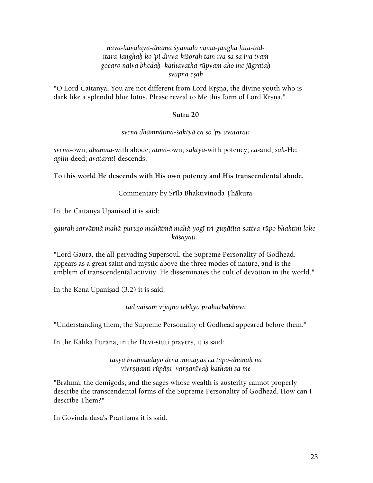## *nava-kuvalaya-dhäma çyämalo väma-jaìghä hita-taditara-jaìghaù ko 'pi divya-kiçoraù tam iva sa sa iva tvaà gocaro naiva bhedaù kathayatha rüpyam aho me jägrataù svapna eñaù*

"O Lord Caitanya, You are not different from Lord Krsna, the divine youth who is dark like a splendid blue lotus. Please reveal to Me this form of Lord Krsna."

## **Sütra 20**

## *svena dhämnätma-çaktyä ca so 'py avatarati*

*svena*-own; *dhämnä*-with abode; *ätma-*own; *çaktyä*-with potency; *ca*-and; *saù*-He; *apiin*-deed; *avatarati*-descends.

**To this world He descends with His own potency and His transcendental abode.** 

# Commentary by Śrīla Bhaktivinoda Thākura

In the Caitanya Upanisad it is said:

## *gauraù sarvätmä mahä-puruño mahätmä mahä-yogé tri-guëätéta-sattva-rüpo bhaktià loke käçayati.*

"Lord Gaura, the all-pervading Supersoul, the Supreme Personality of Godhead, appears as a great saint and mystic above the three modes of nature, and is the emblem of transcendental activity. He disseminates the cult of devotion in the world."

In the Kena Upanisad  $(3.2)$  it is said:

# *tad vaiñäà vijajïo tebhyo prähurbabhüva*

"Understanding them, the Supreme Personality of Godhead appeared before them."

In the Kälikä Puräna, in the Devi-stuti prayers, it is said:

## *tasya brahmädayo devä munayaç ca tapo-dhanäù na*  vivrnnanti rūpāņi varņanīyah katham sa me

"Brahmä, the demigods, and the sages whose wealth is austerity cannot properly describe the transcendental forms of the Supreme Personality of Godhead. How can I describe Them?"

In Govinda däsa's Prärthanä it is said: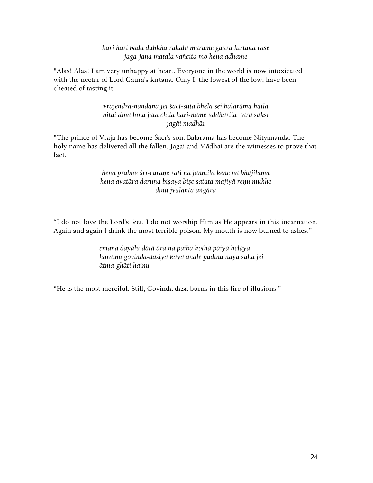*hari hari baòa duùkha rahala marame gaura kértana rase jaga-jana matala vaïcita mo hena adhame* 

"Alas! Alas! I am very unhappy at heart. Everyone in the world is now intoxicated with the nectar of Lord Gaura's kīrtana. Only I, the lowest of the low, have been cheated of tasting it.

> *vrajendra-nandana jei çacé-suta bhela sei balaräma haila nitäi déna héna jata chila hari-näme uddhärila tära säkñé jagäi madhäi*

"The prince of Vraja has become Śacī's son. Balarāma has become Nityānanda. The holy name has delivered all the fallen. Jagai and Mädhai are the witnesses to prove that fact.

## *hena prabhu çré-caraëe rati nä janmila kene na bhajiläma hena avatāra daruna bisaya bise satata majiyā renu mukhe dinu jvalanta aìgära*

"I do not love the Lord's feet. I do not worship Him as He appears in this incarnation. Again and again I drink the most terrible poison. My mouth is now burned to ashes."

> *emana dayälu dätä ära na paiba kothä päiyä heläya häräinu govinda-däsiyä kaya anale puòinu naya saha jei ätma-ghäti hainu*

"He is the most merciful. Still, Govinda däsa burns in this fire of illusions."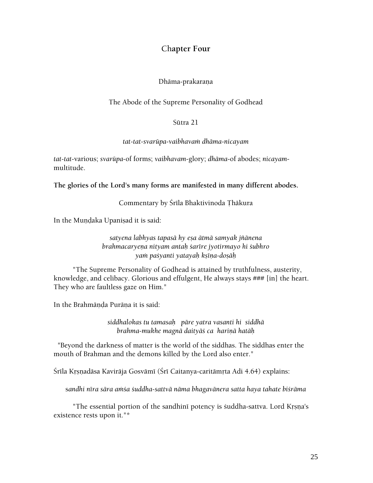# Ch**apter Four**

#### Dhāma-prakaraņa

#### The Abode of the Supreme Personality of Godhead

#### Sütra 21

#### *tat-tat-svarüpa-vaibhavaà dhäma-nicayam*

*tat-tat*-various; *svarüpa*-of forms; *vaibhavam*-glory; *dhäma*-of abodes; *nicayam*multitude.

**The glories of the Lord's many forms are manifested in many different abodes.** 

Commentary by Śrīla Bhaktivinoda Thākura

In the Mundaka Upanisad it is said:

## *satyena labhyas tapasä hy eña ätmä samyak jïänena brahmacaryeëa nityam antaù çarére jyotirmayo hi çubhro yaà paçyanti yatayaù kñéëa-doñäù*

 "The Supreme Personality of Godhead is attained by truthfulness, austerity, knowledge, and celibacy. Glorious and effulgent, He always stays ### [in] the heart. They who are faultless gaze on Him."

In the Brahmända Puräna it is said:

*siddhalokas tu tamasaù päre yatra vasanti hi siddhä brahma-mukhe magnä daityäç ca hariëä hatäù* 

 "Beyond the darkness of matter is the world of the siddhas. The siddhas enter the mouth of Brahman and the demons killed by the Lord also enter."

Śrīla Krsnadāsa Kavirāja Gosvāmī (Śrī Caitanya-caritāmrta Adi 4.64) explains:

sandhi nīra sāra amsa suddha-sattvā nāma bhagavānera satta haya tahate bisrāma

"The essential portion of the sandhini potency is suddha-sattva. Lord Krsna's existence rests upon it."\*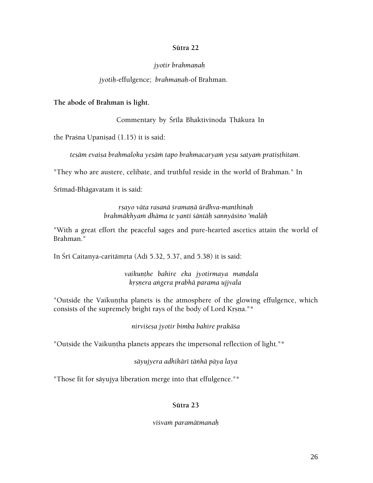#### **Sütra 22**

#### *jyotir brahmanah*

#### *jyotih-effulgence; brahmanah-of Brahman.*

**The abode of Brahman is light.** 

Commentary by Śrīla Bhaktivinoda Thākura In

the Praśna Upaniṣad (1.15) it is said:

*tesām evaisa brahmaloka yesām tapo brahmacaryam yesu satyam pratisthitam.* 

"They who are austere, celibate, and truthful reside in the world of Brahman." In

Śrīmad-Bhāgavatam it is said:

*åñayo väta rasanä çramaëä ürdhva-manthinaù brahmäkhyaà dhäma te yanti çäntäù sannyäsino 'maläù* 

"With a great effort the peaceful sages and pure-hearted ascetics attain the world of Brahman."

In Śrī Caitanya-caritāmrta (Adi 5.32, 5.37, and 5.38) it is said:

vaikunthe bahire eka jyotirmaya mandala *kåñëera aìgera prabhä parama ujjvala* 

"Outside the Vaikuntha planets is the atmosphere of the glowing effulgence, which consists of the supremely bright rays of the body of Lord Krsna."\*

*nirviçeña jyotir bimba bahire prakäça* 

"Outside the Vaikuntha planets appears the impersonal reflection of light."\*

*säyujyera adhikäré täìhä päya laya* 

"Those fit for säyujya liberation merge into that effulgence."\*

## **Sütra 23**

*viçvaà paramätmanaù*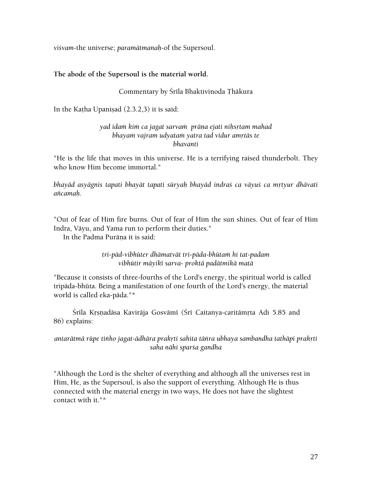*viçvam*-the universe; *paramätmanaù*-of the Supersoul.

## **The abode of the Supersoul is the material world.**

## Commentary by Śrīla Bhaktivinoda Thākura

In the Katha Upanisad  $(2.3.2,3)$  it is said:

## yad idam kim ca jagat sarvam prāņa ejati nihsrtam mahad bhayam vajram udyatam yatra tad vidur amrtās te *bhavanti*

"He is the life that moves in this universe. He is a terrifying raised thunderbolt. They who know Him become immortal."

bhayād asyāgnis tapati bhayāt tapati sūryah bhayād indraś ca vāyuś ca mrtyur dhāvati *aïcamaù.* 

"Out of fear of Him fire burns. Out of fear of Him the sun shines. Out of fear of Him Indra, Väyu, and Yama run to perform their duties."

In the Padma Purāna it is said:

*tri-päd-vibhüter dhämatvät tri-päda-bhütaà hi tat-padam vibhütir mäyiké sarva- proktä padätmikä matä* 

"Because it consists of three-fourths of the Lord's energy, the spiritual world is called tripäda-bhüta. Being a manifestation of one fourth of the Lord's energy, the material world is called eka-päda."\*

Śrīla Krsnadāsa Kavirāja Gosvāmī (Śrī Caitanya-caritāmrta Adi 5.85 and 86) explains:

## antarātmā rūpe tinho jagat-ādhāra prakrti sahita tānra ubhaya sambandha tathāpi prakrti *saha nähi sparça gandha*

"Although the Lord is the shelter of everything and although all the universes rest in Him, He, as the Supersoul, is also the support of everything. Although He is thus connected with the material energy in two ways, He does not have the slightest contact with it."\*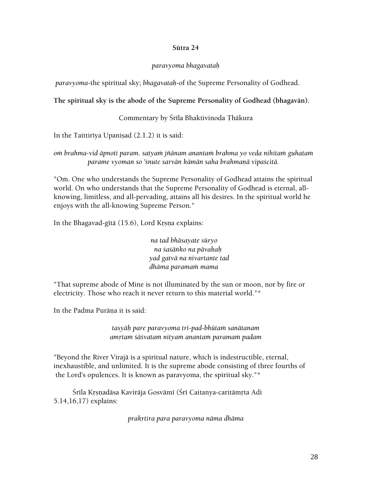#### **Sütra 24**

#### *paravyoma bhagavataù*

*paravyoma*-the spiritual sky; *bhagavataù*-of the Supreme Personality of Godhead.

## **The spiritual sky is the abode of the Supreme Personality of Godhead (bhagavän).**

## Commentary by Śrīla Bhaktivinoda Thākura

In the Taittiriya Upanisad  $(2.1.2)$  it is said:

*oà brahma-vid äpnoti param. satyaà jïänam anantaà brahma yo veda nihitaà guhataà parame vyoman so 'çnute sarvän kämän saha brahmaëä vipaçcitä.* 

"Om. One who understands the Supreme Personality of Godhead attains the spiritual world. On who understands that the Supreme Personality of Godhead is eternal, allknowing, limitless, and all-pervading, attains all his desires. In the spiritual world he enjoys with the all-knowing Supreme Person."

In the Bhagavad-gita  $(15.6)$ , Lord Krsna explains:

*na tad bhäsayate süryo na çaçäìko na pävakaù yad gatvä na nivartante tad dhäma paramaà mama* 

"That supreme abode of Mine is not illuminated by the sun or moon, nor by fire or electricity. Those who reach it never return to this material world."\*

In the Padma Purāna it is said:

*tasyäù pare paravyoma tri-pad-bhütaà sanätanam amåtaà çäçvataà nityaà anantaà paramaà padam* 

"Beyond the River Virajä is a spiritual nature, which is indestructible, eternal, inexhaustible, and unlimited. It is the supreme abode consisting of three fourths of the Lord's opulences. It is known as paravyoma, the spiritual sky."\*

Śrīla Krsņadāsa Kavirāja Gosvāmī (Śrī Caitanya-caritāmŗta Adi 5.14,16,17) explains:

*prakåtira para paravyoma näma dhäma*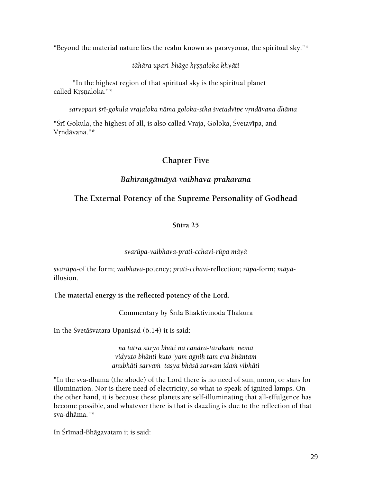"Beyond the material nature lies the realm known as paravyoma, the spiritual sky."\*

*tähära upari-bhäge kåñëaloka khyäti* 

 "In the highest region of that spiritual sky is the spiritual planet called Krsnaloka."\*

*sarvopari çré-gokula vrajaloka näma goloka-stha çvetadvépe våndävana dhäma* 

"Śrī Gokula, the highest of all, is also called Vraja, Goloka, Śvetavīpa, and Vrndāvana."\*

# **Chapter Five**

# *Bahiraìgämäyä-vaibhava-prakaraëa*

# **The External Potency of the Supreme Personality of Godhead**

# **Sütra 25**

# *svarüpa-vaibhava-prati-cchavi-rüpa mäyä*

*svarüpa*-of the form; *vaibhava*-potency; *prati-cchavi*-reflection; *rüpa*-form; *mäyä*illusion.

**The material energy is the reflected potency of the Lord.** 

Commentary by Śrīla Bhaktivinoda Thākura

In the Śvetāśvatara Upanisad (6.14) it is said:

*na tatra süryo bhäti na candra-tärakaà nemä vidyuto bhänti kuto 'yam agniù tam eva bhäntam anubhäti sarvaà tasya bhäsä sarvam idaà vibhäti* 

"In the sva-dhäma (the abode) of the Lord there is no need of sun, moon, or stars for illumination. Nor is there need of electricity, so what to speak of ignited lamps. On the other hand, it is because these planets are self-illuminating that all-effulgence has become possible, and whatever there is that is dazzling is due to the reflection of that sva-dhäma."\*

In Śrīmad-Bhāgavatam it is said: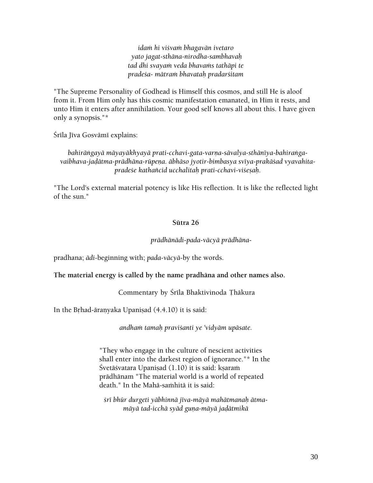*idaà hi viçvaà bhagavän ivetaro yato jagat-sthäna-nirodha-sambhavaù tad dhi svayaà veda bhavaàs tathäpi te pradeça- mätraà bhavataù pradarçitam* 

"The Supreme Personality of Godhead is Himself this cosmos, and still He is aloof from it. From Him only has this cosmic manifestation emanated, in Him it rests, and unto Him it enters after annihilation. Your good self knows all about this. I have given only a synopsis."\*

Šrīla Jīva Gosvāmī explains:

bahirāngayā māyayākhyayā prati-cchavi-gata-varna-sāvalya-sthānīya-bahirangavaibhava-jadātma-prādhāna-rūpeņa. ābhāso jyotir-bimbasya svīya-prakāśad vyavahita*pradeçe kathaïcid ucchalitaù prati-cchavi-viçeñaù.* 

"The Lord's external material potency is like His reflection. It is like the reflected light of the sun."

#### **Sütra 26**

*prädhänädi-pada-väcyä prädhäna*-

pradhana; *ädi*-beginning with; *pada-väcyä*-by the words.

**The material energy is called by the name pradhäna and other names also.** 

Commentary by Śrīla Bhaktivinoda Thākura

In the Brhad-āranyaka Upanisad  $(4.4.10)$  it is said:

*andhaà tamaù praviçanti ye 'vidyäm upäsate.* 

"They who engage in the culture of nescient activities shall enter into the darkest region of ignorance."\* In the Śvetāśvatara Upaniṣad (1.10) it is said: kṣaraṁ prädhänam "The material world is a world of repeated death." In the Mahā-samhitā it is said:

*çré bhür durgeti yäbhinnä jéva-mäyä mahätmanaù ätmamäyä tad-icchä syäd guëa-mäyä jaòätmikä*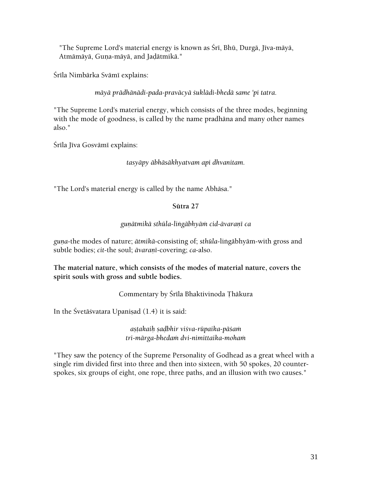"The Supreme Lord's material energy is known as Śrī, Bhū, Durgā, Jīva-māyā, Atmāmāyā, Guņa-māyā, and Jadātmikā."

Śrīla Nimbārka Svāmī explains:

*mäyä prädhänädi-pada-praväcyä çuklädi-bhedä same 'pi tatra.* 

"The Supreme Lord's material energy, which consists of the three modes, beginning with the mode of goodness, is called by the name pradhäna and many other names also."

Śrīla Jīva Gosvāmī explains:

*tasyäpy äbhäsäkhyatvam api dhvanitam.* 

"The Lord's material energy is called by the name Abhäsa."

# **Sütra 27**

# *guëätmikä sthüla-liìgäbhyäà cid-ävaraëé ca*

*guëa*-the modes of nature; *ätmikä*-consisting of; *sthüla*-liìgäbhyäm-with gross and subtle bodies; *cit-the soul; <i>āvaranī-covering*; *ca-also.* 

**The material nature, which consists of the modes of material nature, covers the spirit souls with gross and subtle bodies.** 

Commentary by Śrīla Bhaktivinoda Thākura

In the Śvetāśvatara Upaniṣad  $(1.4)$  it is said:

*añöakaiù ñaòbhir viçva-rüpaika-päçaà tri-märga-bhedaà dvi-nimittaika-mohaà* 

"They saw the potency of the Supreme Personality of Godhead as a great wheel with a single rim divided first into three and then into sixteen, with 50 spokes, 20 counterspokes, six groups of eight, one rope, three paths, and an illusion with two causes."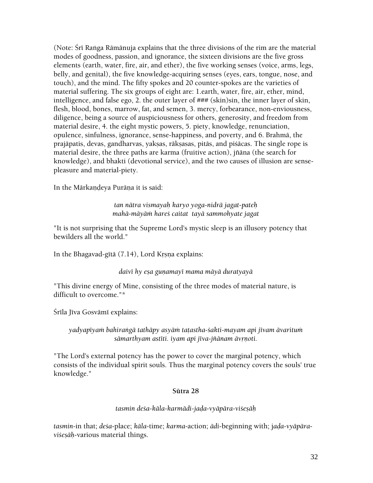(Note: Śrī Ranga Rāmānuja explains that the three divisions of the rim are the material modes of goodness, passion, and ignorance, the sixteen divisions are the five gross elements (earth, water, fire, air, and ether), the five working senses (voice, arms, legs, belly, and genital), the five knowledge-acquiring senses (eyes, ears, tongue, nose, and touch), and the mind. The fifty spokes and 20 counter-spokes are the varieties of material suffering. The six groups of eight are: 1.earth, water, fire, air, ether, mind, intelligence, and false ego, 2. the outer layer of ### (skin)sin, the inner layer of skin, flesh, blood, bones, marrow, fat, and semen, 3. mercy, forbearance, non-enviousness, diligence, being a source of auspiciousness for others, generosity, and freedom from material desire, 4. the eight mystic powers, 5. piety, knowledge, renunciation, opulence, sinfulness, ignorance, sense-happiness, and poverty, and 6. Brahmä, the prajāpatis, devas, gandharvas, yaksas, rāksasas, pitās, and piśācas. The single rope is material desire, the three paths are karma (fruitive action), jïäna (the search for knowledge), and bhakti (devotional service), and the two causes of illusion are sensepleasure and material-piety.

In the Mārkandeya Purāņa it is said:

#### *tan nätra vismayaù karyo yoga-nidrä jagat-pateù mahä-mäyäà hareç caitat tayä sammohyate jagat*

"It is not surprising that the Supreme Lord's mystic sleep is an illusory potency that bewilders all the world."

In the Bhagavad-gītā (7.14), Lord Krsņa explains:

*daivé hy eña guëamayé mama mäyä duratyayä* 

"This divine energy of Mine, consisting of the three modes of material nature, is difficult to overcome."\*

Śrīla Jīva Gosvāmī explains:

*yadyapéyaà bahiraìgä tathäpy asyäà taöastha-çakti-mayam api jévam ävarituà*  sāmarthyam astīti. iyam api jīva-jñānam āvrņoti.

"The Lord's external potency has the power to cover the marginal potency, which consists of the individual spirit souls. Thus the marginal potency covers the souls' true knowledge."

#### **Sütra 28**

#### *tasmin deça-käla-karmädi-jaòa-vyäpära-viçeñäù*

*tasmin*-in that; *deça*-place; *käla*-time; *karma*-action; *ädi*-beginning with; j*aòa-vyäpäraviçeñäù*-various material things.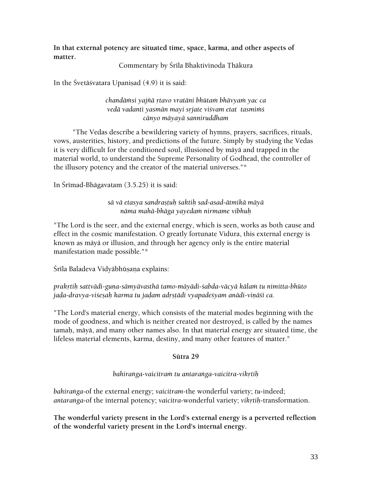**In that external potency are situated time, space, karma, and other aspects of matter.** 

Commentary by Śrīla Bhaktivinoda Thākura

In the Śvetāśvatara Upanisad (4.9) it is said:

*chandäàsi yajïä åtavo vratäni bhütaà bhävyaà yac ca vedä vadanti yasmän mayi såjate viçvam etat tasmiàç cänyo mäyayä sanniruddham* 

 "The Vedas describe a bewildering variety of hymns, prayers, sacrifices, rituals, vows, austerities, history, and predictions of the future. Simply by studying the Vedas it is very difficult for the conditioned soul, illusioned by mäyä and trapped in the material world, to understand the Supreme Personality of Godhead, the controller of the illusory potency and the creator of the material universes."\*

In Śrīmad-Bhāgavatam  $(3.5.25)$  it is said:

*sä vä etasya sandrañöuù çaktiù sad-asad-ätmikä mäyä näma mahä-bhäga yayedaà nirmame vibhuù* 

"The Lord is the seer, and the external energy, which is seen, works as both cause and effect in the cosmic manifestation. O greatly fortunate Vidura, this external energy is known as mäyä or illusion, and through her agency only is the entire material manifestation made possible."\*

Śrīla Baladeva Vidyābhūṣana explains:

prakrtih sattvādi-guna-sāmyāvasthā tamo-māyādi-*śabda-vācyā kālam tu nimitta-bhūto* jada-dravya-vi*śesah karma tu jadam adrstādi vyapadeśyam anādi-vināśī ca.* 

"The Lord's material energy, which consists of the material modes beginning with the mode of goodness, and which is neither created nor destroyed, is called by the names tamaù, mäyä, and many other names also. In that material energy are situated time, the lifeless material elements, karma, destiny, and many other features of matter."

## **Sütra 29**

## bahiranga-vaicitram tu antaranga-vaicitra-vikrtih

*bahiraìga*-of the external energy; *vaicitram*-the wonderful variety; *tu*-indeed; antaranga-of the internal potency; *vaicitra-wonderful variety; vikrtih-transformation*.

**The wonderful variety present in the Lord's external energy is a perverted reflection of the wonderful variety present in the Lord's internal energy.**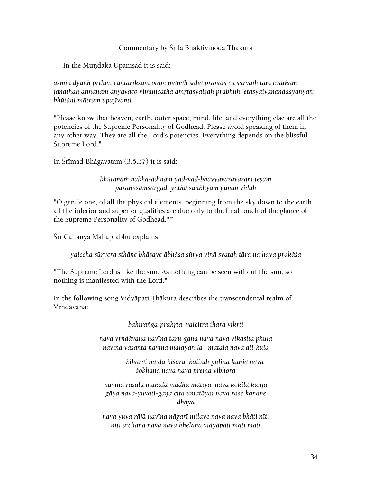#### Commentary by Śrīla Bhaktivinoda Thākura

In the Mundaka Upanisad it is said:

*asmin dyauù påthivé cäntarékñam otaà manaù saha präëaiç ca sarvaiù tam evaikaà jänathaù ätmänam anyäväco vimuïcatha ämåtasyaiñaù prabhuù. etasyaivänandasyänyäni bhütäni mätram upajévanti.* 

"Please know that heaven, earth, outer space, mind, life, and everything else are all the potencies of the Supreme Personality of Godhead. Please avoid speaking of them in any other way. They are all the Lord's potencies. Everything depends on the blissful Supreme Lord."

In Śrīmad-Bhāgavatam (3.5.37) it is said:

*bhütänäà nabha-ädénäà yad-yad-bhävyävarävaram teñäà paränusaàsärgäd yathä saìkhyaà guëän viduù* 

"O gentle one, of all the physical elements, beginning from the sky down to the earth, all the inferior and superior qualities are due only to the final touch of the glance of the Supreme Personality of Godhead."\*

Śrī Caitanya Mahāprabhu explains:

*yaiccha süryera sthäne bhäsaye äbhäsa sürya vinä svataù tära na haya prakäça* 

"The Supreme Lord is like the sun. As nothing can be seen without the sun, so nothing is manifested with the Lord."

In the following song Vidyāpati Thākura describes the transcendental realm of Vrndävana:

*bahiranga-prakrta vaicitra ihara vikrti* 

nava vrndāvana navīna taru-gaņa nava nava vikasita phula *navéna vasanta navéna malayänila matala nava ali-kula* 

> *biharai naula kiçora kälindé pulina kuïja nava çobhana nava nava prema vibhora*

*navéna rasäla mukula madhu matéya nava kokila kuïja gäya nava-yuvati-gaëa cita umatäyai nava rase kanane dhäya* 

*nava yuva räjä navéna nägaré milaye nava nava bhäti néti néti aichana nava nava khelana vidyäpati mati mati*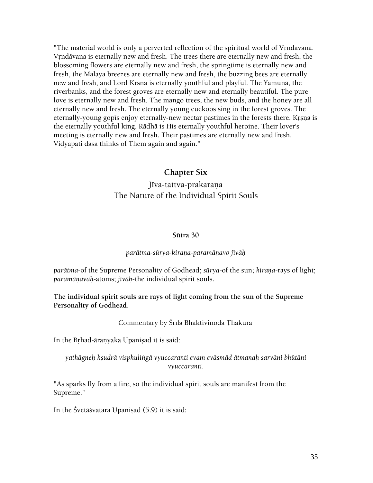"The material world is only a perverted reflection of the spiritual world of Vrndävana. Vrndāvana is eternally new and fresh. The trees there are eternally new and fresh, the blossoming flowers are eternally new and fresh, the springtime is eternally new and fresh, the Malaya breezes are eternally new and fresh, the buzzing bees are eternally new and fresh, and Lord Krsna is eternally youthful and playful. The Yamunā, the riverbanks, and the forest groves are eternally new and eternally beautiful. The pure love is eternally new and fresh. The mango trees, the new buds, and the honey are all eternally new and fresh. The eternally young cuckoos sing in the forest groves. The eternally-young gopis enjoy eternally-new nectar pastimes in the forests there. Krsna is the eternally youthful king. Rädhä is His eternally youthful heroine. Their lover's meeting is eternally new and fresh. Their pastimes are eternally new and fresh. Vidyäpati däsa thinks of Them again and again."

# **Chapter Six**

# Jīva-tattva-prakaraņa The Nature of the Individual Spirit Souls

#### **Sütra 30**

#### *parätma-sürya-kiraëa-paramäëavo jéväù*

*parātma-of the Supreme Personality of Godhead; <i>sūrya-of the sun; kirana-rays of light;* paramāņavah-atoms; *jīvāh-the individual spirit souls*.

#### **The individual spirit souls are rays of light coming from the sun of the Supreme Personality of Godhead.**

#### Commentary by Śrīla Bhaktivinoda Thākura

In the Brhad-āranyaka Upanisad it is said:

#### *yathägneù kñudrä visphuliìgä vyuccaranti evam eväsmäd ätmanaù sarväni bhütäni vyuccaranti.*

"As sparks fly from a fire, so the individual spirit souls are manifest from the Supreme."

In the Śvetāśvatara Upanisad (5.9) it is said: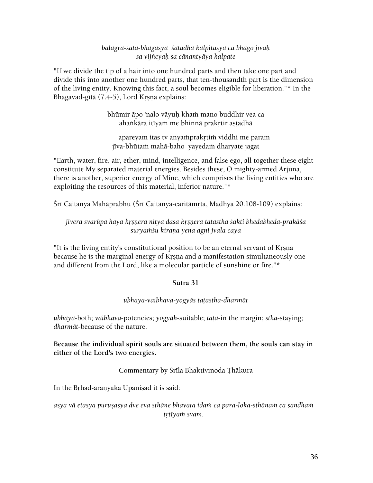## *bälägra-çata-bhägasya çatadhä kalpitasya ca bhägo jévaù sa vijïeyaù sa cänantyäya kalpate*

"If we divide the tip of a hair into one hundred parts and then take one part and divide this into another one hundred parts, that ten-thousandth part is the dimension of the living entity. Knowing this fact, a soul becomes eligible for liberation."\* In the Bhagavad-gītā (7.4-5), Lord Krsna explains:

> bhūmir āpo 'nalo vāyuh kham mano buddhir vea ca ahankāra itīyam me bhinnā prakrtir astadhā

apareyam itas tv anyamprakrtim viddhi me param jīva-bhūtam mahā-baho yayedam dharyate jagat

"Earth, water, fire, air, ether, mind, intelligence, and false ego, all together these eight constitute My separated material energies. Besides these, O mighty-armed Arjuna, there is another, superior energy of Mine, which comprises the living entities who are exploiting the resources of this material, inferior nature."\*

Śrī Caitanya Mahāprabhu (Śrī Caitanya-caritāmṛta, Madhya 20.108-109) explains:

jīvera svarūpa haya krsnera nitya dasa krsnera tatastha *śakti bhedabheda-prakā*śa *suryaàçu kiraëa yena agni jvala caya* 

"It is the living entity's constitutional position to be an eternal servant of Krsna because he is the marginal energy of Krsna and a manifestation simultaneously one and different from the Lord, like a molecular particle of sunshine or fire."\*

## **Sütra 31**

## *ubhaya-vaibhava-yogyäs taöastha-dharmät*

*ubhaya*-both; *vaibhava*-potencies; *yogyäù*-suitable; *taöa*-in the margin; *stha*-staying; *dharmät*-because of the nature.

**Because the individual spirit souls are situated between them, the souls can stay in either of the Lord's two energies.** 

## Commentary by Śrīla Bhaktivinoda Thākura

In the Brhad-äranyaka Upanisad it is said:

asya vā etasya puruṣasya dve eva sthāne bhavata idaṁ ca para-loka-sthānaṁ ca sandhaṁ trtīya*m* svam.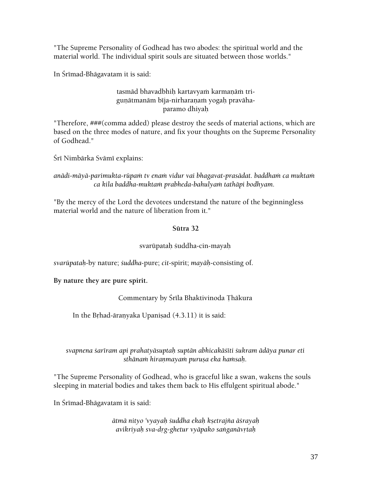"The Supreme Personality of Godhead has two abodes: the spiritual world and the material world. The individual spirit souls are situated between those worlds."

In Śrīmad-Bhāgavatam it is said:

### tasmād bhavadbhih kartavyam karmanām triguņātmanām bīja-nirharaņam yogah pravāhaparamo dhiyah

"Therefore, ###(comma added) please destroy the seeds of material actions, which are based on the three modes of nature, and fix your thoughts on the Supreme Personality of Godhead."

Śrī Nimbārka Svāmī explains:

### anādi-māyā-parimukta-rūpam tv enam vidur vai bhagavat-prasādat. baddham ca muktam *ca kila baddha-muktaà prabheda-bahulyaà tathäpi bodhyam.*

"By the mercy of the Lord the devotees understand the nature of the beginningless material world and the nature of liberation from it."

## **Sütra 32**

## svarūpatah śuddha-cin-mayah

*svarüpataù*-by nature; *çuddha*-pure; *cit*-spirit; *mayäù*-consisting of.

**By nature they are pure spirit.** 

# Commentary by Śrīla Bhaktivinoda Thākura

In the Brhad-āranyaka Upanisad (4.3.11) it is said:

### *svapnena çaréram api prahatyäsuptaù suptän abhicakäçéti çukram ädäya punar eti sthänaà hiraëmayaà puruña eka haàsaù.*

"The Supreme Personality of Godhead, who is graceful like a swan, wakens the souls sleeping in material bodies and takes them back to His effulgent spiritual abode."

In Śrīmad-Bhāgavatam it is said:

*ätmä nityo 'vyayaù çuddha ekaù kñetrajïa äçrayaù avikriyaù sva-dåg-ghetur vyäpako saìganävåtaù*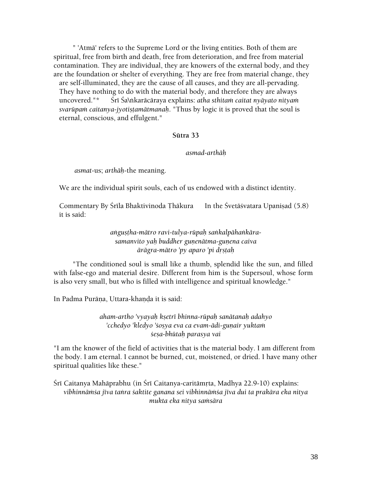" 'Atmä' refers to the Supreme Lord or the living entities. Both of them are spiritual, free from birth and death, free from deterioration, and free from material contamination. They are individual, they are knowers of the external body, and they are the foundation or shelter of everything. They are free from material change, they are self-illuminated, they are the cause of all causes, and they are all-pervading. They have nothing to do with the material body, and therefore they are always uncovered."\* Śrī Śa\ṅkarācāraya explains: *atha sthitam caitat nyāyato nityam svarūpam caitanya-jyotiṣṭamātmanaḥ*. "Thus by logic it is proved that the soul is eternal, conscious, and effulgent."

#### **Sütra 33**

#### *asmad-arthäù*

*asmat*-us; *arthäù*-the meaning.

We are the individual spirit souls, each of us endowed with a distinct identity.

Commentary By Śrīla Bhaktivinoda Thākura In the Śvetāśvatara Upanisad (5.8) it is said:

> angustha-mātro ravi-tulya-rūpah sankalpāhankāra*samanvito yaù buddher guëenätma-guëena caiva*   $\bar{a}$ rāgra-mātro 'py aparo 'pi drstah

 "The conditioned soul is small like a thumb, splendid like the sun, and filled with false-ego and material desire. Different from him is the Supersoul, whose form is also very small, but who is filled with intelligence and spiritual knowledge."

In Padma Purāna, Uttara-khanda it is said:

*aham-artho 'vyayaù kñetré bhinna-rüpaù sanätanaù adahyo*  'cchedyo 'kledyo '*śo§ya eva ca evam-ādi-gunair yuktam çeña-bhütaù parasya vai* 

"I am the knower of the field of activities that is the material body. I am different from the body. I am eternal. I cannot be burned, cut, moistened, or dried. I have many other spiritual qualities like these."

Śrī Caitanya Mahāprabhu (in Śrī Caitanya-caritāmṛta, Madhya 22.9-10) explains: vibhinnāmśa jīva tanra śaktite ganana sei vibhinnāmśa jīva dui ta prakāra eka nitya *mukta eka nitya saàsära*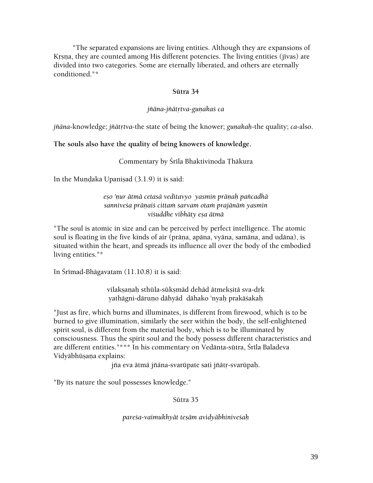"The separated expansions are living entities. Although they are expansions of Krsna, they are counted among His different potencies. The living entities (jīvas) are divided into two categories. Some are eternally liberated, and others are eternally conditioned."\*

#### **Sütra 34**

#### *jñāna-jñātrtva-gunakaś ca*

*jñāna*-knowledge; *jñātṛtva*-the state of being the knower; *guṇakaḥ*-the quality; *ca*-also.

#### **The souls also have the quality of being knowers of knowledge.**

Commentary by Śrīla Bhaktivinoda Thākura

In the Mundaka Upanisad  $(3.1.9)$  it is said:

eșo 'nur ātmā cetasā veditavyo yasmin prāņah pañcadhā sanniveśa prāņaiś cittam sarvam otam prajānām yasmin *viçuddhe vibhäty eña ätmä* 

"The soul is atomic in size and can be perceived by perfect intelligence. The atomic soul is floating in the five kinds of air (prāna, apāna, vyāna, samāna, and udāna), is situated within the heart, and spreads its influence all over the body of the embodied living entities."\*

In Śrīmad-Bhāgavatam  $(11.10.8)$  it is said:

vilaksanah sthūla-sūksmād dehād ātmeksitā sva-drk yathāgni-dāruno dāhyād dāhako 'nyah prakāśakah

"Just as fire, which burns and illuminates, is different from firewood, which is to be burned to give illumination, similarly the seer within the body, the self-enlightened spirit soul, is different from the material body, which is to be illuminated by consciousness. Thus the spirit soul and the body possess different characteristics and are different entities."\*\*\* In his commentary on Vedānta-sūtra, Śrīla Baladeva Vidyābhūsana explains:

jña eva ātmā jñāna-svarūpate sati jñātr-svarūpah.

"By its nature the soul possesses knowledge."

Sütra 35

*pareça-vaimukhyät teñäm avidyäbhiniveçaù*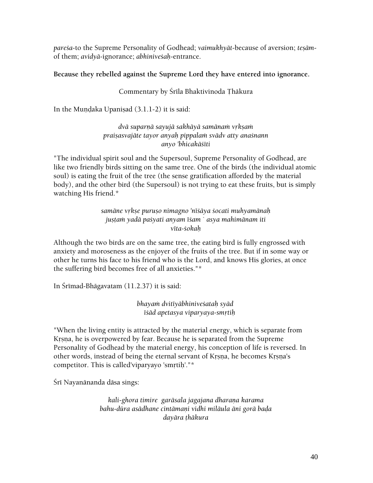*pareça*-to the Supreme Personality of Godhead; *vaimukhyät*-because of aversion; *teñäm*of them; *avidyä*-ignorance; *abhiniveçaù*-entrance.

### **Because they rebelled against the Supreme Lord they have entered into ignorance.**

### Commentary by Śrīla Bhaktivinoda Thākura

In the Mundaka Upanisad  $(3.1.1-2)$  it is said:

*dvā suparņā sayujā sakhāyā samānam vrkṣam praiñasvajäte tayor anyaù pippalaà svädv atty anaçnann anyo 'bhicakäçéti* 

"The individual spirit soul and the Supersoul, Supreme Personality of Godhead, are like two friendly birds sitting on the same tree. One of the birds (the individual atomic soul) is eating the fruit of the tree (the sense gratification afforded by the material body), and the other bird (the Supersoul) is not trying to eat these fruits, but is simply watching His friend.\*

> samāne vrkṣe puruṣo nimagno 'nīśāya śocati muhyamānaḥ justam yadā pa*šyati anyam īšam ` asya mahimānam iti véta-çokaù*

Although the two birds are on the same tree, the eating bird is fully engrossed with anxiety and moroseness as the enjoyer of the fruits of the tree. But if in some way or other he turns his face to his friend who is the Lord, and knows His glories, at once the suffering bird becomes free of all anxieties."\*

In Śrīmad-Bhāgavatam  $(11.2.37)$  it is said:

*bhayaà dvitéyäbhiniveçataù syäd*   $\overline{\text{isad}}$  apetasya viparyaya-smrtih

"When the living entity is attracted by the material energy, which is separate from Krsna, he is overpowered by fear. Because he is separated from the Supreme Personality of Godhead by the material energy, his conception of life is reversed. In other words, instead of being the eternal servant of Krsna, he becomes Krsna's competitor. This is called'viparyayo 'smrtih'."\*

Śrī Nayanānanda dāsa sings:

*kali-ghora timire garäsala jagajana dharaëa karama bahu-düra asädhane cintämaëi vidhi miläula äni gorä baòa dayära öhäkura*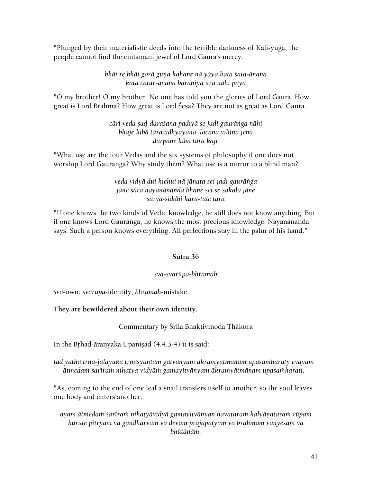"Plunged by their materialistic deeds into the terrible darkness of Kali-yuga, the people cannot find the cintāmaņi jewel of Lord Gaura's mercy.

### *bhāi re bhāi gorā guna kahane nā yāya kata śata-ānana kata catur-änana baraëiyä ura nähi päya*

"O my brother! O my brother! No one has told you the glories of Lord Gaura. How great is Lord Brahmā? How great is Lord Śeṣa? They are not as great as Lord Gaura.

> *cäri veda ñaò-daraçana paòiyä se jadi gauräìga nähi bhaje kibä tära adhyayana locana vihéna jena darpaëe kibä tära käje*

"What use are the four Vedas and the six systems of philosophy if one does not worship Lord Gaurānga? Why study them? What use is a mirror to a blind man?

### *veda vidyä dui kichui nä jänata sei jadi gauräìga jäne sära nayanänanda bhaëe sei se sakala jäne sarva-siddhi kara-tale tära*

"If one knows the two kinds of Vedic knowledge, he still does not know anything. But if one knows Lord Gauräìga, he knows the most precious knowledge. Nayanänanda says: Such a person knows everything. All perfections stay in the palm of his hand."

### **Sütra 36**

### *sva-svarüpa-bhramaù*

*sva*-own; *svarüpa*-identity; *bhramaù*-mistake.

### **They are bewildered about their own identity.**

Commentary by Śrīla Bhaktivinoda Thākura

In the Brhad-āranyaka Upanisad  $(4.4.3-4)$  it is said:

tad yathā trņa-jalāyukā trņasyāntam gatvanyam ākramyātmānam upasamharaty evāyam *ätmedaà çaréraà nihatya vidyäà gamayitvänyam äkramyätmänam upasaàharati.* 

"As, coming to the end of one leaf a snail transfers itself to another, so the soul leaves one body and enters another.

*ayam ätmedaà çaréraà nihatyävidyä gamayitvänyan navataraà kalyäëataraà rüpaà kurute pitryaà vä gandharvaà vä devaà prajäpatyaà vä brähmaà vänyeñäà vä bhütänäm.*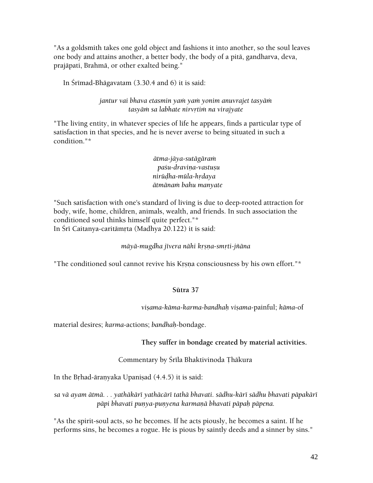"As a goldsmith takes one gold object and fashions it into another, so the soul leaves one body and attains another, a better body, the body of a pitä, gandharva, deva, prajäpati, Brahmä, or other exalted being."

In Śrīmad-Bhāgavatam  $(3.30.4 \text{ and } 6)$  it is said:

*jantur vai bhava etasmin yaà yaà yonim anuvrajet tasyäà tasyäà sa labhate nirvåtià na virajyate* 

"The living entity, in whatever species of life he appears, finds a particular type of satisfaction in that species, and he is never averse to being situated in such a condition."\*

> *ätma-jäya-sutägäraà*   $pa$ śu-draviņa-vastu*șu nirüòha-müla-hådaya ätmänaà bahu manyate*

"Such satisfaction with one's standard of living is due to deep-rooted attraction for body, wife, home, children, animals, wealth, and friends. In such association the conditioned soul thinks himself quite perfect."\* In Śrī Caitanya-caritāmrta (Madhya 20.122) it is said:

### *mäyä-mugdha jévera nähi kåñëa-småti-jïäna*

"The conditioned soul cannot revive his Krsna consciousness by his own effort."\*

### **Sütra 37**

*viñama-käma-karma-bandhaù viñama*-painful; *käma*-of

material desires; *karma*-actions; *bandhaù*-bondage.

**They suffer in bondage created by material activities.**

Commentary by Śrīla Bhaktivinoda Thākura

In the Brhad-āranyaka Upanisad (4.4.5) it is said:

*sa vä ayam ätmä. . . yathäkäré yathäcäré tathä bhavati. sädhu-käré sädhu bhavati päpakäré*  pāpi bhavati punya-punyena karmaņā bhavati pāpah pāpena.

"As the spirit-soul acts, so he becomes. If he acts piously, he becomes a saint. If he performs sins, he becomes a rogue. He is pious by saintly deeds and a sinner by sins."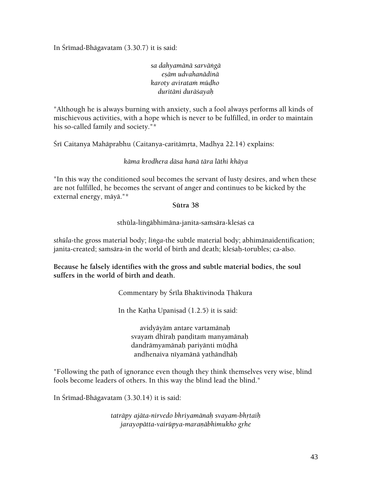In Srīmad-Bhāgavatam (3.30.7) it is said:

*sa dahyamänä sarväìgä eñäm udvahanädinä karoty avirataà müòho duritäni duräçayaù* 

"Although he is always burning with anxiety, such a fool always performs all kinds of mischievous activities, with a hope which is never to be fulfilled, in order to maintain his so-called family and society."\*

Śrī Caitanya Mahāprabhu (Caitanya-caritāmṛta, Madhya 22.14) explains:

*käma krodhera däsa hanä tära läthi khäya* 

"In this way the conditioned soul becomes the servant of lusty desires, and when these are not fulfilled, he becomes the servant of anger and continues to be kicked by the external energy, mäyä."\*

#### **Sütra 38**

sthūla-liṅgābhimāna-janita-saṁsāra-kleśaś ca

*sthüla*-the gross material body; *liìga*-the subtle material body; abhimänaidentification; janita-created; samsāra-in the world of birth and death; kleśah-torubles; ca-also.

**Because he falsely identifies with the gross and subtle material bodies, the soul suffers in the world of birth and death.** 

Commentary by Śrīla Bhaktivinoda Thākura

In the Katha Upanisad  $(1.2.5)$  it is said:

avidyäyäm antare vartamänaù svayam dhīrah panditam manyamānah dandrāmyamānah pariyānti mūdhā andhenaiva nīyamānā yathāndhāh

"Following the path of ignorance even though they think themselves very wise, blind fools become leaders of others. In this way the blind lead the blind."

In Śrīmad-Bhāgavatam (3.30.14) it is said:

*taträpy ajäta-nirvedo bhriyamänaù svayam-bhåtaiù*  jarayopātta-vairūpya-maranābhimukho grhe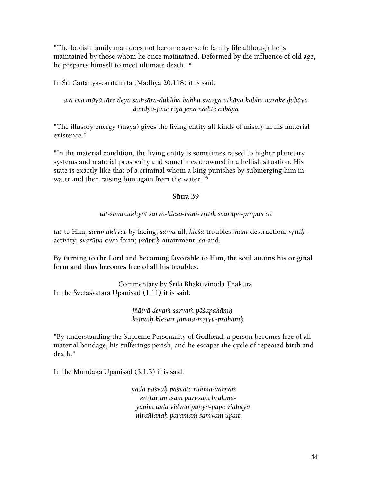"The foolish family man does not become averse to family life although he is maintained by those whom he once maintained. Deformed by the influence of old age, he prepares himself to meet ultimate death."\*

In Śrī Caitanya-caritāmrta (Madhya 20.118) it is said:

ata eva māyā tāre deya samsāra-duḥkha kabhu svarga uthāya kabhu narake ḍubāya *daëòya-jane räjä jena nadéte cubäya* 

"The illusory energy (mäyä) gives the living entity all kinds of misery in his material existence.\*

"In the material condition, the living entity is sometimes raised to higher planetary systems and material prosperity and sometimes drowned in a hellish situation. His state is exactly like that of a criminal whom a king punishes by submerging him in water and then raising him again from the water."\*

### **Sütra 39**

### *tat-sämmukhyät sarva-kleça-häni-våttiù svarüpa-präptiç ca*

*tat*-to Him; *sāmmukhyāt*-by facing; *sarva*-all; *kleśa*-troubles; *hāni*-destruction; *vrttih*activity; *svarüpa*-own form; *präptiù*-attainment; *ca*-and.

**By turning to the Lord and becoming favorable to Him, the soul attains his original form and thus becomes free of all his troubles.** 

Commentary by Śrīla Bhaktivinoda Thākura In the Śvetāśvatara Upanisad  $(1.11)$  it is said:

> *jïätvä devaà sarvaà päçapahäniù kñéëaiù kleçair janma-måtyu-prahäniù*

"By understanding the Supreme Personality of Godhead, a person becomes free of all material bondage, his sufferings perish, and he escapes the cycle of repeated birth and death."

In the Mundaka Upanisad (3.1.3) it is said:

*yadä paçyaù paçyate rukma-varëaà kartäram éçaà puruñaà brahmayonim tadä vidvän puëya-päpe vidhüya niraïjanaù paramaà samyam upaiti*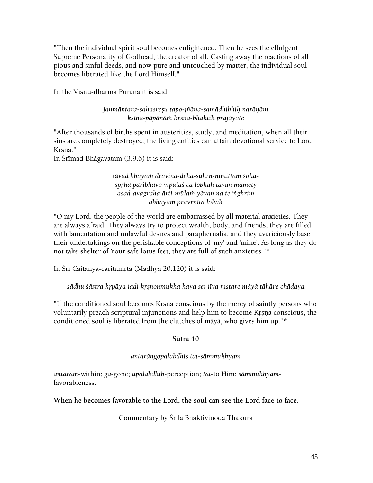"Then the individual spirit soul becomes enlightened. Then he sees the effulgent Supreme Personality of Godhead, the creator of all. Casting away the reactions of all pious and sinful deeds, and now pure and untouched by matter, the individual soul becomes liberated like the Lord Himself."

In the Visnu-dharma Purāņa it is said:

janmäntara-sahasreṣu tapo-jñāna-samādhibhiḥ narāṇāṁ *kñéëa-päpänäà kåñëa-bhaktiù prajäyate* 

"After thousands of births spent in austerities, study, and meditation, when all their sins are completely destroyed, the living entities can attain devotional service to Lord Krsna."

In Śrīmad-Bhāgavatam (3.9.6) it is said:

tāvad bhayam draviņa-deha-suhrn-nimittam śoka*spåhä paribhavo vipulaç ca lobhaù tävan mamety asad-avagraha ärti-mülaà yävan na te 'ìghrim abhayaà pravåëéta lokaù*

"O my Lord, the people of the world are embarrassed by all material anxieties. They are always afraid. They always try to protect wealth, body, and friends, they are filled with lamentation and unlawful desires and paraphernalia, and they avariciously base their undertakings on the perishable conceptions of 'my' and 'mine'. As long as they do not take shelter of Your safe lotus feet, they are full of such anxieties."\*

In Śrī Caitanya-caritāmŗta (Madhya 20.120) it is said:

sādhu *šāstra krpāya jadi krsnonmukha haya sei jīva nistare māyā tāhāre chādaya* 

"If the conditioned soul becomes Krsna conscious by the mercy of saintly persons who voluntarily preach scriptural injunctions and help him to become Krsna conscious, the conditioned soul is liberated from the clutches of mäyä, who gives him up."\*

### **Sütra 40**

### *antaräìgopalabdhis tat-sämmukhyam*

*antaram*-within; *ga*-gone; *upalabdhiù*-perception; *tat*-to Him; *sämmukhyam*favorableness.

**When he becomes favorable to the Lord, the soul can see the Lord face-to-face.** 

Commentary by Śrīla Bhaktivinoda Thākura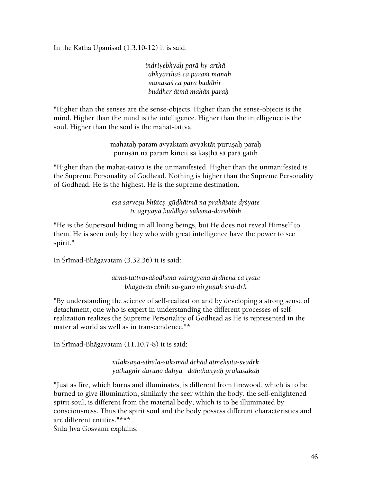In the Katha Upanisad  $(1.3.10-12)$  it is said:

*indriyebhyaù parä hy arthä abhyarthaç ca paraà manaù manasaç ca parä buddhir buddher ätmä mahän paraù* 

"Higher than the senses are the sense-objects. Higher than the sense-objects is the mind. Higher than the mind is the intelligence. Higher than the intelligence is the soul. Higher than the soul is the mahat-tattva.

> mahataḥ param avyaktaṁ avyaktāt puruṣaḥ paraḥ puruṣān na paraṁ kiñcit sā kaṣṭhā sā parā gatiḥ

"Higher than the mahat-tattva is the unmanifested. Higher than the unmanifested is the Supreme Personality of Godhead. Nothing is higher than the Supreme Personality of Godhead. He is the highest. He is the supreme destination.

> *eña sarveñu bhüteñ güòhätmä na prakäçate dåçyate tv agryayä buddhyä sükñma-darçibhiù*

"He is the Supersoul hiding in all living beings, but He does not reveal Himself to them. He is seen only by they who with great intelligence have the power to see spirit."

In Śrīmad-Bhāgavatam (3.32.36) it is said:

*ätma-tattvävabodhena vairägyena dåòhena ca iyate bhagavān ebhiḥ su-guṇo nirguṇaḥ sva-dṛk* 

"By understanding the science of self-realization and by developing a strong sense of detachment, one who is expert in understanding the different processes of selfrealization realizes the Supreme Personality of Godhead as He is represented in the material world as well as in transcendence."\*

In Śrīmad-Bhāgavatam (11.10.7-8) it is said:

*vilakñaëa-sthüla-sükñmäd dehäd ätmekñita-svadåk yathägnir däruëo dahyä dähakänyaù prakäçakaù* 

"Just as fire, which burns and illuminates, is different from firewood, which is to be burned to give illumination, similarly the seer within the body, the self-enlightened spirit soul, is different from the material body, which is to be illuminated by consciousness. Thus the spirit soul and the body possess different characteristics and are different entities."\*\*\*

Śrīla Jīva Gosvāmī explains: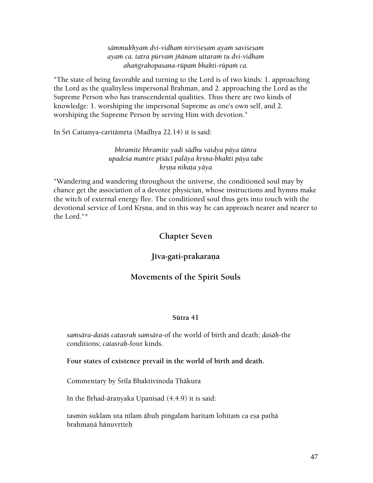*sämmukhyaà dvi-vidhaà nirviçeñam ayaà saviçeñam ayaà ca. tatra pürvaà jïänam uttaraà tu dvi-vidham ahaìgrahopasana-rüpaà bhakti-rüpaà ca.* 

"The state of being favorable and turning to the Lord is of two kinds: 1. approaching the Lord as the qualityless impersonal Brahman, and 2. approaching the Lord as the Supreme Person who has transcendental qualities. Thus there are two kinds of knowledge: 1. worshiping the impersonal Supreme as one's own self, and 2. worshiping the Supreme Person by serving Him with devotion."

In Śrī Caitanya-caritāmrta (Madhya 22.14) it is said:

*bhramite bhramite yadi sädhu vaidya päya täìra upadeça mantre piçäcé paläya kåñëa-bhakti päya tabe kåñëa nikaöa yäya* 

"Wandering and wandering throughout the universe, the conditioned soul may by chance get the association of a devotee physician, whose instructions and hymns make the witch of external energy flee. The conditioned soul thus gets into touch with the devotional service of Lord Krsna, and in this way he can approach nearer and nearer to the Lord."\*

## **Chapter Seven**

# Jīva-gati-prakaraņa

### **Movements of the Spirit Souls**

#### **Sütra 41**

*saàsära-daçäç catasraù saàsära*-of the world of birth and death; *daçäù*-the conditions; *catasraù*-four kinds.

**Four states of existence prevail in the world of birth and death.** 

Commentary by Śrīla Bhaktivinoda Thākura

In the Brhad-äranyaka Upanisad (4.4.9) it is said:

tasmin śuklam uta nīlam āhuḥ piṅgalaṁ haritaṁ lohitaṁ ca eṣa pathā brahmanā hānuvrtteh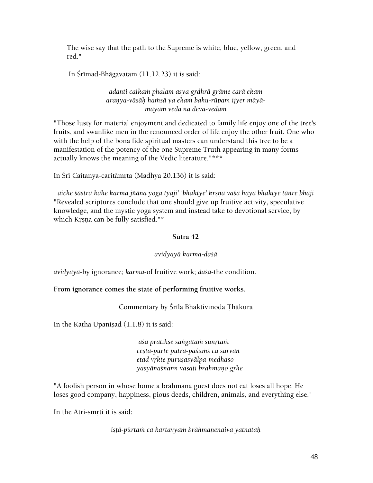The wise say that the path to the Supreme is white, blue, yellow, green, and red."

In Śrīmad-Bhāgavatam  $(11.12.23)$  it is said:

### *adanti caikaà phalam asya gådhrä gräme carä ekam*  aranya-vāsāh hamsā ya ekam bahu-rūpam ijyer māyā*mayaà veda na deva-vedam*

"Those lusty for material enjoyment and dedicated to family life enjoy one of the tree's fruits, and swanlike men in the renounced order of life enjoy the other fruit. One who with the help of the bona fide spiritual masters can understand this tree to be a manifestation of the potency of the one Supreme Truth appearing in many forms actually knows the meaning of the Vedic literature."\*\*\*

In Śrī Caitanya-caritāmrta (Madhya 20.136) it is said:

aiche *šāstra kahe karma jñāna yoga tyaji' `bhaktye' krsna vaša haya bhaktye tānre bhaji* "Revealed scriptures conclude that one should give up fruitive activity, speculative knowledge, and the mystic yoga system and instead take to devotional service, by which Krsna can be fully satisfied."\*

### **Sütra 42**

### *avidyayä karma-daçä*

*avidyayä*-by ignorance; *karma*-of fruitive work; *daçä*-the condition.

### **From ignorance comes the state of performing fruitive works.**

Commentary by Śrīla Bhaktivinoda Thākura

In the Katha Upanisad  $(1.1.8)$  it is said:

 $\bar{a}$ *šā pratīkṣe saṅgataṁ sunṛtaṁ ceñöä-pürte putra-paçuàç ca sarvän etad våkte puruñasyälpa-medhaso yasyänaçnann vasati brahmaëo gåhe* 

"A foolish person in whose home a brāhmana guest does not eat loses all hope. He loses good company, happiness, pious deeds, children, animals, and everything else."

In the Atri-smrti it is said:

*iñöä-pürtaà ca kartavyaà brähmaëenaiva yatnataù*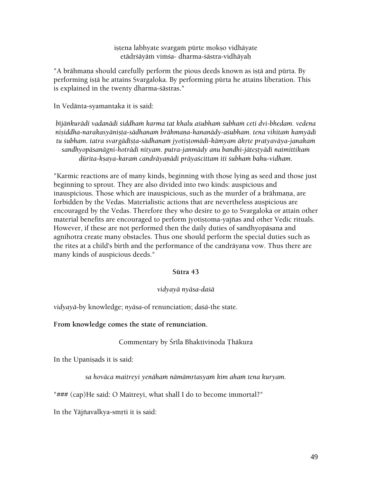istena labhyate svargam pürte mokso vidhäyate etādrśāyām vimśa- dharma-śāstra-vidhāyaḥ

"A brāhmaņa should carefully perform the pious deeds known as istā and pūrta. By performing istā he attains Svargaloka. By performing pūrta he attains liberation. This is explained in the twenty dharma-çästras."

In Vedänta-syamantaka it is said:

bījānkurādi vadanādi siddham karma tat khalu asubham subham ceti dvi-bhedam. vedena nişiddha-narakasyānişta-sādhanam brāhmaņa-hananādy-a*śubham. tena vihitam kamyādi* tu *subham. tatra svargādīsta-sādhanam jyotistomādi-kāmyam ākrte pratyavāya-janakam* sandhyopāsanāgni-hotrādi nityam. putra-janmādy anu bandhi-jātestyādi naimittikam *dürita-kñaya-karaà candräyaëädi präyaçcittam iti çubhaà bahu-vidham.* 

"Karmic reactions are of many kinds, beginning with those lying as seed and those just beginning to sprout. They are also divided into two kinds: auspicious and inauspicious. Those which are inauspicious, such as the murder of a brāhmaņa, are forbidden by the Vedas. Materialistic actions that are nevertheless auspicious are encouraged by the Vedas. Therefore they who desire to go to Svargaloka or attain other material benefits are encouraged to perform jyotistoma-yajñas and other Vedic rituals. However, if these are not performed then the daily duties of sandhyopäsana and agnihotra create many obstacles. Thus one should perform the special duties such as the rites at a child's birth and the performance of the candrāyana vow. Thus there are many kinds of auspicious deeds."

#### **Sütra 43**

#### *vidyayä nyäsa-daçä*

*vidyayä*-by knowledge; *nyäsa*-of renunciation; *daçä*-the state.

**From knowledge comes the state of renunciation.** 

### Commentary by Śrīla Bhaktivinoda Thākura

In the Upanisads it is said:

sa hovāca maitreyi yenāham nāmāmrtasyam kim aham tena kuryam.

"### (cap)He said: O Maitreyi, what shall I do to become immortal?"

In the Yājñavalkya-smṛti it is said: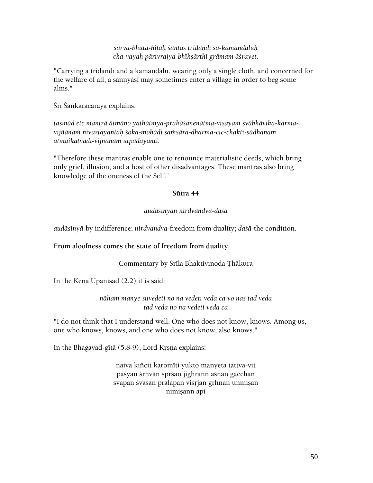*sarva-bhüta-hitaù çäntas tridaëòé sa-kamaëòaluù eka-vayaù pärivrajya-bhékñärthé grämam äçrayet.* 

"Carrying a tridandī and a kamandalu, wearing only a single cloth, and concerned for the welfare of all, a sannyāsī may sometimes enter a village in order to beg some alms."

Śrī Śaṅkarācāraya explains:

tasmād ete mantrā ātmāno yathātmya-prakāśanenātma-viṣayaṁ svābhāvika-karma*vijïänaà nivartayantaù çoka-mohädi saàsära-dharma-cic-chakti-sädhanam ätmaikatvädi-vijïänam utpädayanti.* 

"Therefore these mantras enable one to renounce materialistic deeds, which bring only grief, illusion, and a host of other disadvantages. These mantras also bring knowledge of the oneness of the Self."

#### **Sütra 44**

### *audäsényän nirdvandva-daçä*

*audäsényä*-by indifference; *nirdvandva*-freedom from duality; *daçä*-the condition.

### **From aloofness comes the state of freedom from duality.**

Commentary by Śrīla Bhaktivinoda Thākura

In the Kena Upanisad  $(2.2)$  it is said:

*nähaà manye suvedeti no na vedeti veda ca yo nas tad veda tad veda no na vedeti veda ca* 

"I do not think that I understand well. One who does not know, knows. Among us, one who knows, knows, and one who does not know, also knows."

In the Bhagavad-gītā (5.8-9), Lord Krsna explains:

naiva kiñcit karomīti yukto manyeta tattva-vit paśyan śrnyān sprśan jighrann aśnan gacchan svapan śvasan pralapan visrjan grhnan unmisan nimiṣann api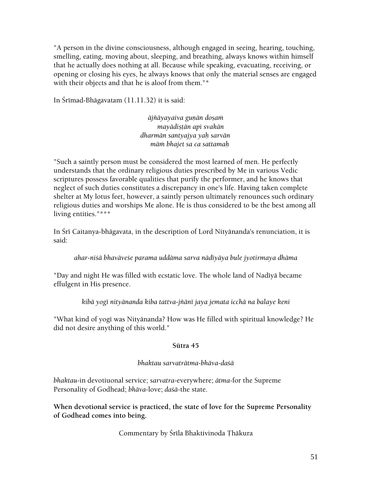"A person in the divine consciousness, although engaged in seeing, hearing, touching, smelling, eating, moving about, sleeping, and breathing, always knows within himself that he actually does nothing at all. Because while speaking, evacuating, receiving, or opening or closing his eyes, he always knows that only the material senses are engaged with their objects and that he is aloof from them."\*

In Śrīmad-Bhāgavatam (11.11.32) it is said:

 $\bar{a}$ jñāyayaiva gunān dosam *mayädiñöän api svakän dharmän santyajya yaù sarvän mäà bhajet sa ca sattamaù* 

"Such a saintly person must be considered the most learned of men. He perfectly understands that the ordinary religious duties prescribed by Me in various Vedic scriptures possess favorable qualities that purify the performer, and he knows that neglect of such duties constitutes a discrepancy in one's life. Having taken complete shelter at My lotus feet, however, a saintly person ultimately renounces such ordinary religious duties and worships Me alone. He is thus considered to be the best among all living entities."\*\*\*

In Śrī Caitanya-bhāgavata, in the description of Lord Nityānanda's renunciation, it is said:

*ahar-niçä bhaväveçe parama uddäma sarva nädéyäya bule jyotirmaya dhäma* 

"Day and night He was filled with ecstatic love. The whole land of Nadīyā became effulgent in His presence.

*kibä yogé nityänanda kiba tattva-jïäné jaya jemata icchä na balaye keni* 

"What kind of yogī was Nityānanda? How was He filled with spiritual knowledge? He did not desire anything of this world."

### **Sütra 45**

### *bhaktau sarvaträtma-bhäva-daçä*

*bhaktau*-in devotiuonal service; *sarvatra*-everywhere; *ätma*-for the Supreme Personality of Godhead; *bhäva*-love; *daçä-*the state.

**When devotional service is practiced, the state of love for the Supreme Personality of Godhead comes into being.** 

Commentary by Śrīla Bhaktivinoda Thākura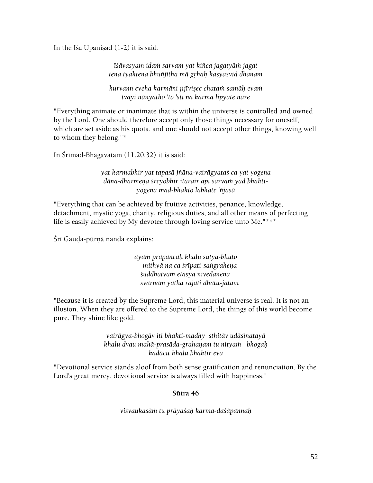In the Isa Upanisad  $(1-2)$  it is said:

*éçävasyam idaà sarvaà yat kiïca jagatyäà jagat tena tyaktena bhuïjétha mä gåhaù kasyasvid dhanam* 

*kurvann eveha karmäni jijéviñec chataà samäù evaà tvayi nänyatho 'to 'sti na karma lipyate nare* 

"Everything animate or inanimate that is within the universe is controlled and owned by the Lord. One should therefore accept only those things necessary for oneself, which are set aside as his quota, and one should not accept other things, knowing well to whom they belong."\*

In Śrīmad-Bhāgavatam  $(11.20.32)$  it is said:

*yat karmabhir yat tapasä jïäna-vairägyataç ca yat yogena*  dāna-dharmena śreyobhir itarair api sarvam yad bhakti*yogena mad-bhakto labhate 'ïjasä* 

"Everything that can be achieved by fruitive activities, penance, knowledge, detachment, mystic yoga, charity, religious duties, and all other means of perfecting life is easily achieved by My devotee through loving service unto Me."\*\*\*

Śrī Gauḍa-pūrṇā nanda explains:

*ayaà präpaïcaù khalu satya-bhüto mithyā na ca śrīpati-sangrahena çuddhatvam etasya nivedanena svarëaà yathä räjati dhätu-jätam* 

"Because it is created by the Supreme Lord, this material universe is real. It is not an illusion. When they are offered to the Supreme Lord, the things of this world become pure. They shine like gold.

> *vairägya-bhogäv iti bhakti-madhy sthitäv udäsénatayä khalu dvau mahä-prasäda-grahaëaà tu nityaà bhogaù kadäcit khalu bhaktir eva*

"Devotional service stands aloof from both sense gratification and renunciation. By the Lord's great mercy, devotional service is always filled with happiness."

#### **Sütra 46**

*viçvaukasäà tu präyaçaù karma-daçäpannaù*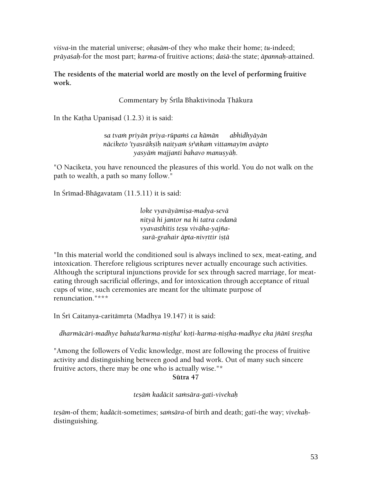*viçva*-in the material universe; *okasäm*-of they who make their home; *tu*-indeed; *präyaçaù*-for the most part; *karma*-of fruitive actions; *daçä*-the state; *äpannaù*-attained.

**The residents of the material world are mostly on the level of performing fruitive work.** 

Commentary by Śrīla Bhaktivinoda Ţhākura

In the Katha Upanisad  $(1.2.3)$  it is said:

s*a tvaà priyän priya-rüpaàç ca kämän abhidhyäyän*  nāciketo 'tyasrākṣīḥ naityaṁ śṛ\nkaṁ vittamayīm avāpto *yasyäà majjanti bahavo manuñyäù.* 

"O Naciketa, you have renounced the pleasures of this world. You do not walk on the path to wealth, a path so many follow."

In Śrīmad-Bhāgavatam  $(11.5.11)$  it is said:

 $loke vyavāyāmisa-madya-sevā$ *nityä hi jantor na hi tatra codanä vyavasthitis teñu viväha-yajïasurä-grahair äpta-nivåttir iñöä* 

"In this material world the conditioned soul is always inclined to sex, meat-eating, and intoxication. Therefore religious scriptures never actually encourage such activities. Although the scriptural injunctions provide for sex through sacred marriage, for meateating through sacrificial offerings, and for intoxication through acceptance of ritual cups of wine, such ceremonies are meant for the ultimate purpose of renunciation."\*\*\*

In Śrī Caitanya-caritāmŗta (Madhya 19.147) it is said:

dharmācāri-madhye bahuta'karma-niṣṭha' koṭi-karma-niṣṭha-madhye eka jñānī śreṣṭha

"Among the followers of Vedic knowledge, most are following the process of fruitive activity and distinguishing between good and bad work. Out of many such sincere fruitive actors, there may be one who is actually wise."\*

**Sütra 47** 

*teñäà kadäcit saàsära-gati-vivekaù* 

*tesām-of them; kadācit-sometimes; samsāra-of birth and death; gati-the way; vivekah*distinguishing.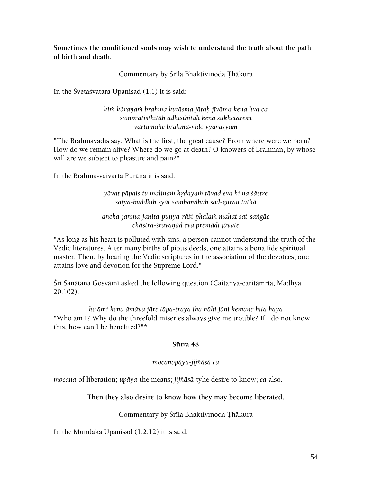**Sometimes the conditioned souls may wish to understand the truth about the path of birth and death.** 

### Commentary by Śrīla Bhaktivinoda Thākura

In the Śvetāśvatara Upanisad  $(1.1)$  it is said:

*kià käraëaà brahma kutäsma jätaù jéväma kena kva ca sampratiñöhitäù adhiñöhitaù kena sukhetareñu vartämahe brahma-vido vyavasyam* 

"The Brahmavādīs say: What is the first, the great cause? From where were we born? How do we remain alive? Where do we go at death? O knowers of Brahman, by whose will are we subject to pleasure and pain?"

In the Brahma-vaivarta Purāņa it is said:

*yävat päpais tu malinaà hådayaà tävad eva hi na çästre satya-buddhiù syät sambandhaù sad-gurau tathä* 

*aneka-janma-janita-puëya-räçi-phalaà mahat sat-saìgäc chästra-çravaëäd eva premädi jäyate* 

"As long as his heart is polluted with sins, a person cannot understand the truth of the Vedic literatures. After many births of pious deeds, one attains a bona fide spiritual master. Then, by hearing the Vedic scriptures in the association of the devotees, one attains love and devotion for the Supreme Lord."

Śrī Sanātana Gosvāmī asked the following question (Caitanya-caritāmṛta, Madhya 20.102):

*ke ämi kena ämäya järe täpa-traya iha nähi jäni kemane hita haya*  "Who am I? Why do the threefold miseries always give me trouble? If I do not know this, how can I be benefited?"\*

#### **Sütra 48**

### *mocanopäya-jijïäsä ca*

*mocana*-of liberation; *upäya*-the means; *jijïäsä*-tyhe desire to know; *ca*-also.

### **Then they also desire to know how they may become liberated.**

### Commentary by Śrīla Bhaktivinoda Thākura

In the Mundaka Upanisad  $(1.2.12)$  it is said: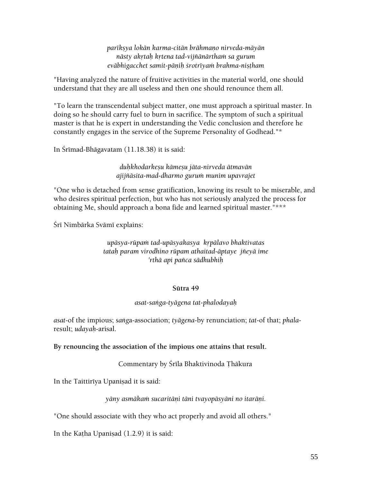*parékñya lokän karma-citän brähmaëo nirveda-mäyän nästy akåtaù kåtena tad-vijïänärthaà sa gurum eväbhigacchet samit-päëiù çrotréyaà brahma-niñöham* 

"Having analyzed the nature of fruitive activities in the material world, one should understand that they are all useless and then one should renounce them all.

"To learn the transcendental subject matter, one must approach a spiritual master. In doing so he should carry fuel to burn in sacrifice. The symptom of such a spiritual master is that he is expert in understanding the Vedic conclusion and therefore he constantly engages in the service of the Supreme Personality of Godhead."\*

In Śrīmad-Bhāgavatam (11.18.38) it is said:

*duùkhodarkeñu kämeñu jäta-nirveda ätmavän ajijïäsita-mad-dharmo guruà munim upavrajet* 

"One who is detached from sense gratification, knowing its result to be miserable, and who desires spiritual perfection, but who has not seriously analyzed the process for obtaining Me, should approach a bona fide and learned spiritual master."\*\*\*

Śrī Nimbārka Svāmī explains:

### *upäsya-rüpaà tad-upäsyakasya kåpälavo bhaktivatas tataù param virodhino rüpam athaitad-äptaye jïeyä ime 'rthä api païca sädhubhiù*

#### **Sütra 49**

#### *asat-saìga-tyägena tat-phalodayaù*

*asat*-of the impious; *saìg*a-association; *tyägena-*by renunciation; *tat*-of that; *phala*result; *udayaù*-arisal.

#### **By renouncing the association of the impious one attains that result.**

Commentary by Śrīla Bhaktivinoda Thākura

In the Taittiriya Upanisad it is said:

*yäny asmäkaà sucaritäëi täni tvayopäsyäni no itaräëi.* 

"One should associate with they who act properly and avoid all others."

In the Katha Upanisad  $(1.2.9)$  it is said: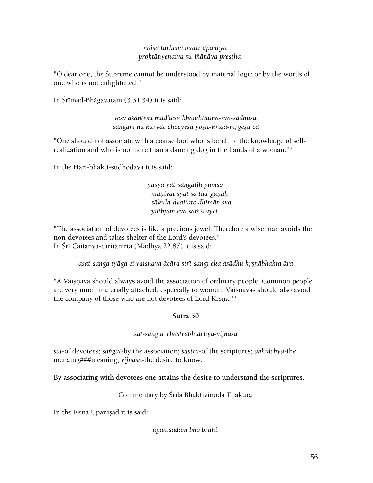### *naiña tarkeëa matir apaneyä proktänyenaiva su-jïänäya preñöha*

"O dear one, the Supreme cannot be understood by material logic or by the words of one who is not enlightened."

In Śrīmad-Bhāgavatam (3.31.34) it is said:

*teñv açänteñu müòheñu khaëòitätma-sva-sädhuñu*  sangam na kuryāc chocyeşu yoşit-krīdā-mrgeşu ca

"One should not associate with a coarse fool who is bereft of the knowledge of selfrealization and who is no more than a dancing dog in the hands of a woman."\*

In the Hari-bhakti-sudhodaya it is said:

*yasya yat-saìgatiù puàso manivat syāt sa tad-gunah säkula-dvaitato dhimän svayüthyän eva saàçrayet* 

"The association of devotees is like a precious jewel. Therefore a wise man avoids the non-devotees and takes shelter of the Lord's devotees." In Śrī Caitanya-caritāmrta (Madhya 22.87) it is said:

*asat-saìga tyäga ei vaiñëava äcära stré-saìgi eka asädhu kåñëäbhakta ära* 

"A Vaisnava should always avoid the association of ordinary people. Common people are very much materially attached, especially to women. Vaisnavas should also avoid the company of those who are not devotees of Lord Krsna."\*

### **Sütra 50**

### *sat-saìgäc chästräbhidehya-vijïäsä*

*sat*-of devotees; *saìgät*-by the association; *çästra*-of the scriptures; *abhidehya*-the menaing###meaning; *vijïäsä*-the desire to know.

**By associating with devotees one attains the desire to understand the scriptures.** 

Commentary by Śrīla Bhaktivinoda Thākura

In the Kena Upanisad it is said:

*upaniñadaà bho brühi.*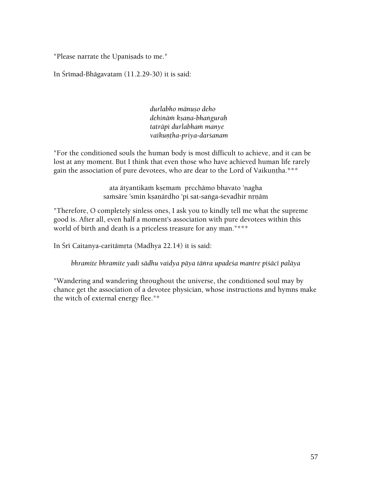"Please narrate the Upanisads to me."

In Śrīmad-Bhāgavatam  $(11.2.29-30)$  it is said:

*durlabho mänuño deho dehinäà kñaëa-bhaìguraù taträpi durlabhaà manye vaikuëöha-priya-darçanam* 

"For the conditioned souls the human body is most difficult to achieve, and it can be lost at any moment. But I think that even those who have achieved human life rarely gain the association of pure devotees, who are dear to the Lord of Vaikuntha.\*\*\*

> ata ätyantikam kṣemam prcchāmo bhavato 'nagha samsäre 'smin ksaṇārdho 'pi sat-saṅga-śevadhir nṛṇām

"Therefore, O completely sinless ones, I ask you to kindly tell me what the supreme good is. After all, even half a moment's association with pure devotees within this world of birth and death is a priceless treasure for any man."\*\*\*

In Śrī Caitanya-caritāmrta (Madhya 22.14) it is said:

*bhramite bhramite yadi sädhu vaidya päya täìra upadeça mantre piçäcé paläya* 

"Wandering and wandering throughout the universe, the conditioned soul may by chance get the association of a devotee physician, whose instructions and hymns make the witch of external energy flee."\*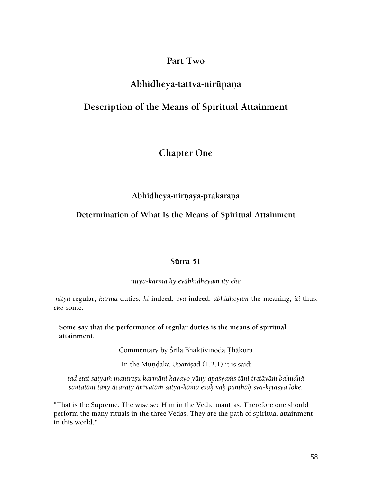# **Part Two**

# **Abhidheya-tattva-nirüpaëa**

# **Description of the Means of Spiritual Attainment**

# **Chapter One**

## Abhidheya-nirnaya-prakarana

# **Determination of What Is the Means of Spiritual Attainment**

### **Sütra 51**

*nitya-karma hy eväbhidheyam ity eke* 

*nitya*-regular; *karma*-duties; *hi*-indeed; *eva*-indeed; *abhidheyam*-the meaning; *iti*-thus; *eke*-some.

**Some say that the performance of regular duties is the means of spiritual attainment**.

Commentary by Śrīla Bhaktivinoda Ţhākura

In the Mundaka Upanisad  $(1.2.1)$  it is said:

tad etat satyam mantreșu karmāņi kavayo yāny apaśyams tāni tretāyām bahudhā santatāni tāny ācaraty ānīyatām satya-kāma eṣaḥ vaḥ panthāḥ sva-kṛtasya loke.

"That is the Supreme. The wise see Him in the Vedic mantras. Therefore one should perform the many rituals in the three Vedas. They are the path of spiritual attainment in this world."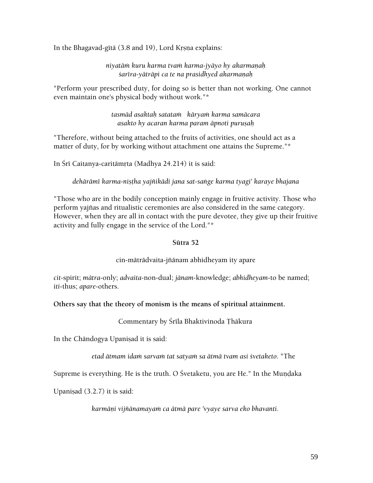In the Bhagavad-gita (3.8 and 19), Lord Krsna explains:

*niyatäà kuru karma tvaà karma-jyäyo hy akarmaëaù*   $s$ arīra-yātrāpi ca te na prasidhyed akarmaņah

"Perform your prescribed duty, for doing so is better than not working. One cannot even maintain one's physical body without work."\*

> *tasmäd asaktaù satataà käryaà karma samäcara asakto hy acaran karma param äpnoti puruñaù*

"Therefore, without being attached to the fruits of activities, one should act as a matter of duty, for by working without attachment one attains the Supreme."\*

In Śrī Caitanya-caritāmrta (Madhya 24.214) it is said:

dehārāmī karma-nistha yajñikādi jana sat-saṅge karma tyagi' karaye bhajana

"Those who are in the bodily conception mainly engage in fruitive activity. Those who perform yajïas and ritualistic ceremonies are also considered in the same category. However, when they are all in contact with the pure devotee, they give up their fruitive activity and fully engage in the service of the Lord."\*

#### **Sütra 52**

cin-mäträdvaita-jïänam abhidheyam ity apare

*cit*-spirit; *mätra*-only; *advaita*-non-dual; *jänam*-knowledge; *abhidheyam*-to be named; *iti*-thus; *apare*-others.

**Others say that the theory of monism is the means of spiritual attainment.** 

Commentary by Śrīla Bhaktivinoda Thākura

In the Chāndogya Upaniṣad it is said:

etad ātmam idam sarvam tat satyam sa ātmā tvam asi śvetaketo. "The

Supreme is everything. He is the truth. O Śvetaketu, you are He." In the Mundaka

Upanisad  $(3.2.7)$  it is said:

*karmäëi vijïänamayaà ca ätmä pare 'vyaye sarva eko bhavanti.*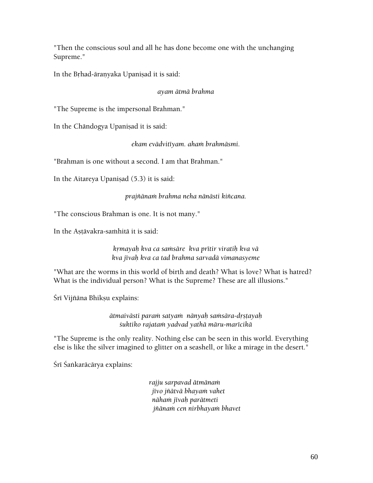"Then the conscious soul and all he has done become one with the unchanging Supreme."

In the Brhad-āranyaka Upanisad it is said:

### *ayam ätmä brahma*

"The Supreme is the impersonal Brahman."

In the Chāndogya Upaniṣad it is said:

*ekam evädvitéyam. ahaà brahmäsmi.* 

"Brahman is one without a second. I am that Brahman."

In the Aitareya Upanisad  $(5.3)$  it is said:

*prajïänaà brahma neha nänästi kiïcana.* 

"The conscious Brahman is one. It is not many."

In the Astavakra-samhita it is said:

*kåmayaù kva ca saàsäre kva prétir viratiù kva vä kva jévaù kva ca tad brahma sarvadä vimanasyeme* 

"What are the worms in this world of birth and death? What is love? What is hatred? What is the individual person? What is the Supreme? These are all illusions."

Śrī Vijñāna Bhikṣu explains:

*ätmaivästi paraà satyaà nänyaù saàsära-dåñöayaù çuktiko rajataà yadvad yathä märu-marécikä* 

"The Supreme is the only reality. Nothing else can be seen in this world. Everything else is like the silver imagined to glitter on a seashell, or like a mirage in the desert."

Śrī Śaṅkarācārya explains:

*rajju sarpavad ätmänaà jévo jïätvä bhayaà vahet nähaà jévaù parätmeti jïänaà cen nirbhayaà bhavet*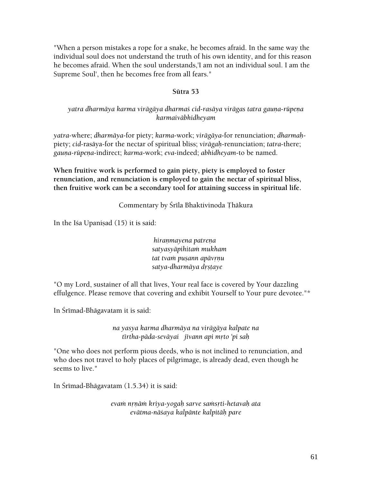"When a person mistakes a rope for a snake, he becomes afraid. In the same way the individual soul does not understand the truth of his own identity, and for this reason he becomes afraid. When the soul understands,'I am not an individual soul. I am the Supreme Soul', then he becomes free from all fears."

#### **Sütra 53**

### yatra dharmāya karma virāgāya dharma*š cid-rasāya virāgas tatra gauna-rūpena karmaiväbhidheyam*

*yatra*-where; *dharmäya*-for piety; *karma*-work; *virägäya*-for renunciation; *dharmaù*piety; *cid*-rasäya-for the nectar of spiritual bliss; *virägaù*-renunciation; *tatra*-there; *gauëa-rüpeëa*-indirect; *karma*-work; *eva*-indeed; *abhidheyam*-to be named.

**When fruitive work is performed to gain piety, piety is employed to foster renunciation, and renunciation is employed to gain the nectar of spiritual bliss, then fruitive work can be a secondary tool for attaining success in spiritual life.** 

### Commentary by Śrīla Bhaktivinoda Thākura

In the Isa Upanisad  $(15)$  it is said:

*hiranmayena patrena satyasyäpihitaà mukham tat tvam pusann apāvrņu satya-dharmäya dåñöaye* 

"O my Lord, sustainer of all that lives, Your real face is covered by Your dazzling effulgence. Please remove that covering and exhibit Yourself to Your pure devotee."\*

In Śrīmad-Bhāgavatam it is said:

*na yasya karma dharmäya na virägäya kalpate na tértha-päda-seväyai jévann api måto 'pi saù* 

"One who does not perform pious deeds, who is not inclined to renunciation, and who does not travel to holy places of pilgrimage, is already dead, even though he seems to live."

In Śrīmad-Bhāgavatam  $(1.5.34)$  it is said:

*evaà nåëäà kriya-yogaù sarve saàsåti-hetavaù ata evätma-näçaya kalpänte kalpitäù pare*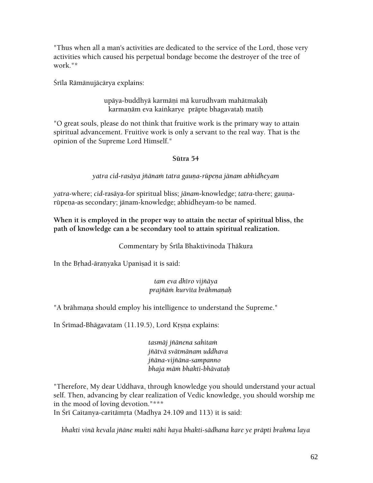"Thus when all a man's activities are dedicated to the service of the Lord, those very activities which caused his perpetual bondage become the destroyer of the tree of work."\*

Śrīla Rāmānujācārya explains:

upäya-buddhyä karmäni mä kurudhvam mahätmakäh karmanām eva kainkarye prāpte bhagavatah matih

"O great souls, please do not think that fruitive work is the primary way to attain spiritual advancement. Fruitive work is only a servant to the real way. That is the opinion of the Supreme Lord Himself."

### **Sütra 54**

yatra cid-rasāya jñānam tatra gauna-rūpeņa jānam abhidheyam

*yatra-where; cid-rasāya-for spiritual bliss; jānam-knowledge; <i>tatra-there; gauna*rüpena-as secondary; jänam-knowledge; abhidheyam-to be named.

**When it is employed in the proper way to attain the nectar of spiritual bliss, the path of knowledge can a be secondary tool to attain spiritual realization.** 

Commentary by Śrīla Bhaktivinoda Thākura

In the Brhad-āranyaka Upanisad it is said:

### *tam eva dhéro vijïäya prajïäà kurvéta brähmaëaù*

"A brāhmana should employ his intelligence to understand the Supreme."

In Śrīmad-Bhāgavatam (11.19.5), Lord Krsna explains:

*tasmäj jïänena sahitaà jïätvä svätmänam uddhava jïäna-vijïäna-sampanno bhaja mäà bhakti-bhävataù* 

"Therefore, My dear Uddhava, through knowledge you should understand your actual self. Then, advancing by clear realization of Vedic knowledge, you should worship me in the mood of loving devotion."\*\*\*

In Śrī Caitanya-caritāmrta (Madhya 24.109 and 113) it is said:

*bhakti vinä kevala jïäne mukti nähi haya bhakti-sädhana kare ye präpti brahma laya*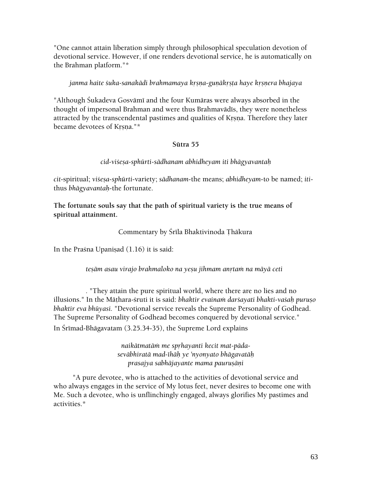"One cannot attain liberation simply through philosophical speculation devotion of devotional service. However, if one renders devotional service, he is automatically on the Brahman platform."\*

### janma haite *suka-sanakādi brahmamaya krsna-gunākrsta haye krsnera bhajaya*

"Although Śukadeva Gosvāmī and the four Kumāras were always absorbed in the thought of impersonal Brahman and were thus Brahmavādīs, they were nonetheless attracted by the transcendental pastimes and qualities of Krsna. Therefore they later became devotees of Krsna."\*

### **Sütra 55**

*cid-viçeña-sphürti-sädhanam abhidheyam iti bhägyavantaù* 

*cit*-spiritual; *viçeña-sphürti*-variety; *sädhanam*-the means; *abhidheyam*-to be named; *iti*thus *bhägyavantaù*-the fortunate.

**The fortunate souls say that the path of spiritual variety is the true means of spiritual attainment.** 

Commentary by Śrīla Bhaktivinoda Thākura

In the Prasna Upanisad  $(1.16)$  it is said:

### *teñäm asau virajo brahmaloko na yeñu jihmam anåtaà na mäyä ceti*

*.* "They attain the pure spiritual world, where there are no lies and no illusions." In the Māthara-*śruti it is said: bhaktir evainam darśayati bhakti-vaśah puruso bhaktir eva bhüyasi.* "Devotional service reveals the Supreme Personality of Godhead. The Supreme Personality of Godhead becomes conquered by devotional service." In Śrīmad-Bhāgavatam (3.25.34-35), the Supreme Lord explains

> *naikātmatām me sprhayanti kecit mat-pādaseväbhiratä mad-éhäù ye 'nyonyato bhägavatäù prasajya sabhäjayante mama pauruñäëi*

 "A pure devotee, who is attached to the activities of devotional service and who always engages in the service of My lotus feet, never desires to become one with Me. Such a devotee, who is unflinchingly engaged, always glorifies My pastimes and activities.\*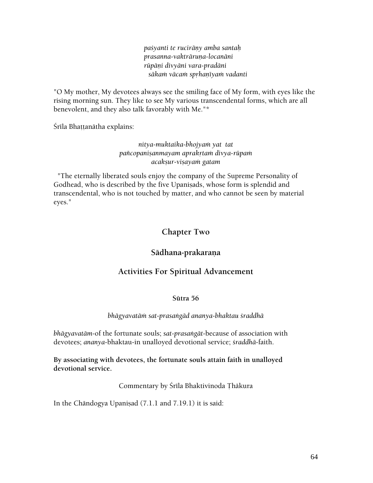*paçyanti te ruciräëy amba santaù prasanna-vakträruëa-locanäni rüpäëi divyäni vara-pradäni säkaà väcaà spåhaëéyaà vadanti* 

"O My mother, My devotees always see the smiling face of My form, with eyes like the rising morning sun. They like to see My various transcendental forms, which are all benevolent, and they also talk favorably with Me."\*

Śrīla Bhaṭṭanātha explains:

### *nitya-muktaika-bhojyaà yat tat païcopaniñanmayam aprakåtaà divya-rüpaà acakñur-viñayaà gatam*

 "The eternally liberated souls enjoy the company of the Supreme Personality of Godhead, who is described by the five Upanisads, whose form is splendid and transcendental, who is not touched by matter, and who cannot be seen by material eyes."

# **Chapter Two**

# Sādhana-prakaraņa

# **Activities For Spiritual Advancement**

### **Sütra 56**

### *bhägyavatäà sat-prasaìgäd ananya-bhaktau çraddhä*

*bhägyavatäm*-of the fortunate souls; *sat-prasaìgät*-because of association with devotees; *ananya*-bhaktau-in unalloyed devotional service; *çraddhä*-faith.

**By associating with devotees, the fortunate souls attain faith in unalloyed devotional service.** 

Commentary by Srīla Bhaktivinoda Thākura

In the Chāndogya Upaniṣad  $(7.1.1$  and  $7.19.1)$  it is said: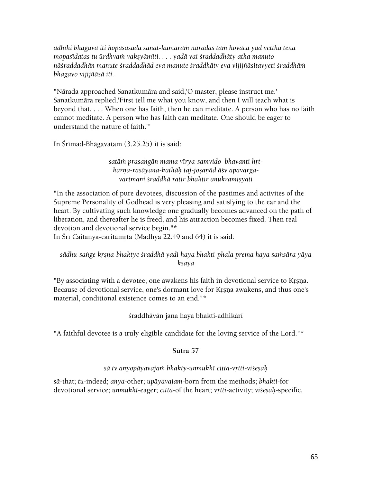*adhéhi bhagava iti hopasasäda sanat-kumäraà näradas taà hoväca yad vetthä tena mopasidatas tu ürdhvam vaksyāmīti. . . . yadā vai śraddadhāty atha manuto näçraddadhän manute çraddadhäd eva manute çraddhätv eva vijijïäsitavyeti çraddhäà bhagavo vijijïäsä iti.* 

"Närada approached Sanatkumära and said,'O master, please instruct me.' Sanatkumära replied,'First tell me what you know, and then I will teach what is beyond that. . . . When one has faith, then he can meditate. A person who has no faith cannot meditate. A person who has faith can meditate. One should be eager to understand the nature of faith.'"

In Śrīmad-Bhāgavatam  $(3.25.25)$  it is said:

satām prasangān mama vīrya-samvido bhavanti hrtkarna-rasāyana-kathāh taj-josanād āśv apavarga*vartmani çraddhä ratir bhaktir anukramiñyati* 

"In the association of pure devotees, discussion of the pastimes and activites of the Supreme Personality of Godhead is very pleasing and satisfying to the ear and the heart. By cultivating such knowledge one gradually becomes advanced on the path of liberation, and thereafter he is freed, and his attraction becomes fixed. Then real devotion and devotional service begin."\*

In Śrī Caitanya-caritāmrta (Madhya 22.49 and 64) it is said:

### sādhu-saṅge kṛṣṇa-bhaktye śraddhā yadi haya bhakti-phala prema haya saṁsāra yāya *kñaya*

"By associating with a devotee, one awakens his faith in devotional service to Krsna. Because of devotional service, one's dormant love for Krsna awakens, and thus one's material, conditional existence comes to an end."\*

### śraddhāvān jana haya bhakti-adhikārī

"A faithful devotee is a truly eligible candidate for the loving service of the Lord."\*

### **Sütra 57**

### *sä tv anyopäyavajaà bhakty-unmukhé citta-våtti-viçeñaù*

*sä*-that; *tu*-indeed; *anya*-other; *upäyavajam*-born from the methods; *bhakti*-for devotional service; *unmukhī-eager; citta-of the heart; vrtti-activity; viśesah-specific.*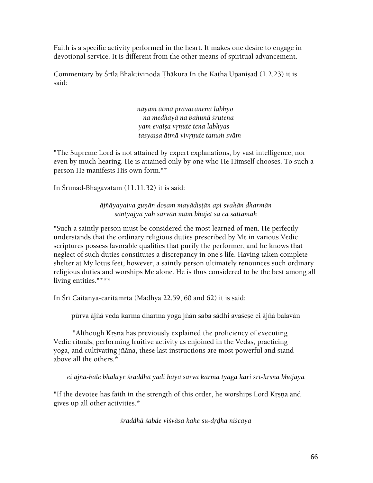Faith is a specific activity performed in the heart. It makes one desire to engage in devotional service. It is different from the other means of spiritual advancement.

Commentary by Śrīla Bhaktivinoda Thākura In the Katha Upanisad (1.2.23) it is said:

> *näyam ätmä pravacanena labhyo na medhayä na bahunä çrutena yam evaiña våëute tena labhyas tasyaiña ätmä vivåëute tanuà sväm*

"The Supreme Lord is not attained by expert explanations, by vast intelligence, nor even by much hearing. He is attained only by one who He Himself chooses. To such a person He manifests His own form."\*

In Srīmad-Bhāgavatam (11.11.32) it is said:

*äjïäyayaiva guëän doñaà mayädiñöän api svakän dharmän santyajya yaù sarvän mäà bhajet sa ca sattamaù* 

"Such a saintly person must be considered the most learned of men. He perfectly understands that the ordinary religious duties prescribed by Me in various Vedic scriptures possess favorable qualities that purify the performer, and he knows that neglect of such duties constitutes a discrepancy in one's life. Having taken complete shelter at My lotus feet, however, a saintly person ultimately renounces such ordinary religious duties and worships Me alone. He is thus considered to be the best among all living entities."\*\*\*

In Śrī Caitanya-caritāmŗta (Madhya 22.59, 60 and 62) it is said:

pūrva ājñā veda karma dharma yoga jñān saba sādhi avaśese ei ājñā balavān

"Although Krsna has previously explained the proficiency of executing Vedic rituals, performing fruitive activity as enjoined in the Vedas, practicing yoga, and cultivating jïäna, these last instructions are most powerful and stand above all the others.\*

*ei äjïä-bale bhaktye çraddhä yadi haya sarva karma tyäga kari çré-kåñëa bhajaya* 

"If the devotee has faith in the strength of this order, he worships Lord Krsna and gives up all other activities.\*

*çraddhä çabde viçväsa kahe su-dåòha niçcaya*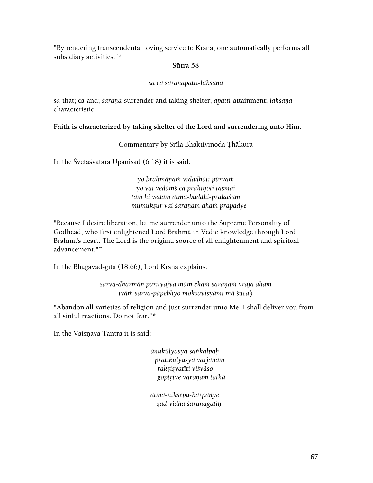"By rendering transcendental loving service to Krsna, one automatically performs all subsidiary activities."\*

### **Sütra 58**

### *sä ca çaraëäpatti-lakñaëä*

 $s\bar{a}$ -that; ca-and; *sarana*-surrender and taking shelter; *āpatti*-attainment; *lakṣanā*characteristic.

### **Faith is characterized by taking shelter of the Lord and surrendering unto Him**.

### Commentary by Śrīla Bhaktivinoda Thākura

In the Śvetāśvatara Upanisad (6.18) it is said:

*yo brahmäëaà vidadhäti pürvaà yo vai vedäàç ca prahiëoti tasmai taà hi vedam ätma-buddhi-prakäçaà mumukñur vai çaraëam ahaà prapadye* 

"Because I desire liberation, let me surrender unto the Supreme Personality of Godhead, who first enlightened Lord Brahmä in Vedic knowledge through Lord Brahmä's heart. The Lord is the original source of all enlightenment and spiritual advancement."\*

In the Bhagavad-gītā (18.66), Lord Krsna explains:

*sarva-dharmän parityajya mäm ekaà çaraëaà vraja ahaà tväà sarva-päpebhyo mokñayisyämi mä çucaù* 

"Abandon all varieties of religion and just surrender unto Me. I shall deliver you from all sinful reactions. Do not fear."\*

In the Vaisnava Tantra it is said:

*änukülyasya saìkalpaù prätikülyasya varjanam rakñiñyatéti viçväso goptåtve varaëaà tathä* 

*ätma-nikñepa-karpaëye ñaò-vidhä çaraëagatiù*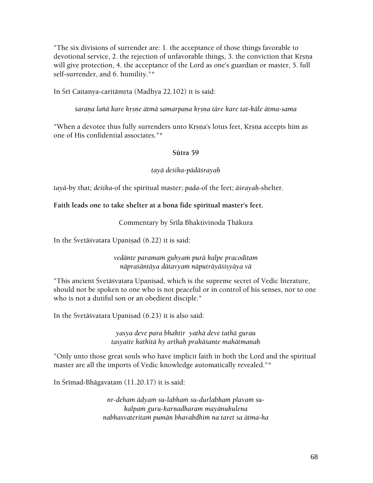"The six divisions of surrender are: 1. the acceptance of those things favorable to devotional service, 2. the rejection of unfavorable things, 3. the conviction that Krsna will give protection, 4. the acceptance of the Lord as one's guardian or master, 5. full self-surrender, and 6. humility."\*

In Śrī Caitanya-caritāmrta (Madhya 22.102) it is said:

*çaraëa laïä kare kåñëe ätmä samarpaëa kåñëa täre kare tat-käle ätma-sama* 

"When a devotee thus fully surrenders unto Krsna's lotus feet, Krsna accepts him as one of His confidential associates."\*

### **Sütra 59**

### *tayä deçika-pädäçrayaù*

*tayä*-by that; *deçika*-of the spiritual master; *pada*-of the feet; *äçrayaù*-shelter.

### **Faith leads one to take shelter at a bona fide spiritual master's feet.**

Commentary by Śrīla Bhaktivinoda Thākura

In the Śvetāśvatara Upanisad (6.22) it is said:

*vedänte paramaà guhyaà purä kalpe pracoditam näpraçäntäya dätavyaà näputräyäçiñyäya vä* 

"This ancient Śvetāśvatara Upaniṣad, which is the supreme secret of Vedic literature, should not be spoken to one who is not peaceful or in control of his senses, nor to one who is not a dutiful son or an obedient disciple."

In the Śvetāśvatara Upanisad  $(6.23)$  it is also said:

*yasya deve para bhaktir yathä deve tathä gurau tasyaite kathitä hy arthaù prakäçante mahätmanaù* 

"Only unto those great souls who have implicit faith in both the Lord and the spiritual master are all the imports of Vedic knowledge automatically revealed."\*

In Śrīmad-Bhāgavatam  $(11.20.17)$  it is said:

nr-deham ādyam su-labham su-durlabham plavam su*kalpaà guru-karëadharam mayänukulena nabhasvateritaà pumän bhavabdhià na taret sa ätma-ha*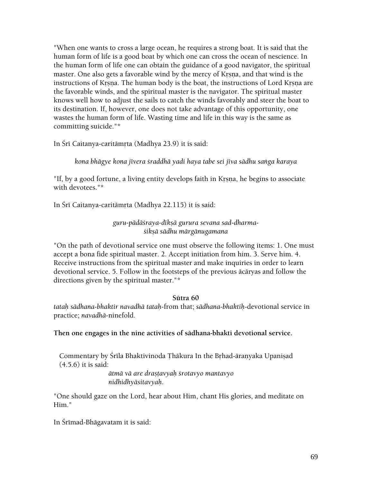"When one wants to cross a large ocean, he requires a strong boat. It is said that the human form of life is a good boat by which one can cross the ocean of nescience. In the human form of life one can obtain the guidance of a good navigator, the spiritual master. One also gets a favorable wind by the mercy of Krsna, and that wind is the instructions of Krsna. The human body is the boat, the instructions of Lord Krsna are the favorable winds, and the spiritual master is the navigator. The spiritual master knows well how to adjust the sails to catch the winds favorably and steer the boat to its destination. If, however, one does not take advantage of this opportunity, one wastes the human form of life. Wasting time and life in this way is the same as committing suicide."\*

In Śrī Caitanya-caritāmṛta (Madhya 23.9) it is said:

*kona bhägye kona jévera çraddhä yadi haya tabe sei jéva sädhu saìga karaya* 

"If, by a good fortune, a living entity develops faith in Krsna, he begins to associate with devotees."\*

In Śrī Caitanya-caritāmrta (Madhya 22.115) it is said:

*guru-pädäçraya-dékñä gurura sevana sad-dharmaçikñä sädhu märgänugamana* 

"On the path of devotional service one must observe the following items: 1. One must accept a bona fide spiritual master. 2. Accept initiation from him. 3. Serve him. 4. Receive instructions from the spiritual master and make inquiries in order to learn devotional service. 5. Follow in the footsteps of the previous äcäryas and follow the directions given by the spiritual master."\*

#### **Sütra 60**

*tataù sädhana-bhaktir navadhä tataù*-from that; *sädhana-bhaktiù*-devotional service in practice; *navadhä*-ninefold.

**Then one engages in the nine activities of sädhana-bhakti devotional service.** 

Commentary by Śrīla Bhaktivinoda Thākura In the Brhad-āranyaka Upanisad (4.5.6) it is said:

> *ätmä vä are drañöavyaù çrotavyo mantavyo nidhidhyäsitavyaù*.

"One should gaze on the Lord, hear about Him, chant His glories, and meditate on Him."

In Śrīmad-Bhāgavatam it is said: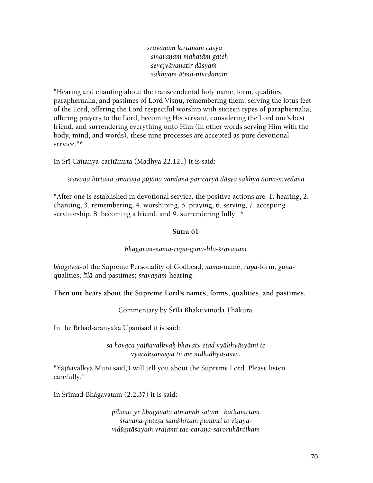*çravaëaà kértanaà cäsya smaraëaà mahatäà gateù sevejyävanatir däsyaà sakhyam ätma-nivedanam* 

"Hearing and chanting about the transcendental holy name, form, qualities, paraphernalia, and pastimes of Lord Visnu, remembering them, serving the lotus feet of the Lord, offering the Lord respectful worship with sixteen types of paraphernalia, offering prayers to the Lord, becoming His servant, considering the Lord one's best friend, and surrendering everything unto Him (in other words serving Him with the body, mind, and words), these nine processes are accepted as pure devotional service."\*

In Śrī Caitanya-caritāmrta (Madhya 22.121) it is said:

*çravaëa kértana smaraëa püjäna vandana paricaryä däsya sakhya ätma-nivedana* 

"After one is established in devotional service, the positive actions are: 1. hearing, 2. chanting, 3. remembering, 4. worshiping, 5. praying, 6. serving, 7. accepting servitorship, 8. becoming a friend, and 9. surrendering fully."\*

#### **Sütra 61**

#### *bhagavan-nāma-rūpa-guna-līlā-śravanam*

*bhagavat*-of the Supreme Personality of Godhead; *nāma*-name; *rūpa*-form; *guna*qualities; *līlā-and pastimes; śravaņam-hearing*.

#### **Then one hears about the Supreme Lord's names, forms, qualities, and pastimes.**

Commentary by Śrīla Bhaktivinoda Thākura

In the Brhad-āranyaka Upanisad it is said:

*sa hovaca yajïavalkyaù bhavaty etad vyäkhyäsyämi te vyäcäkñaëasya tu me nidhidhyäsasva.* 

"Yäjïavalkya Muni said,'I will tell you about the Supreme Lord. Please listen carefully."

In Srīmad-Bhāgavatam (2.2.37) it is said:

*pibanti ye bhagavata ätmanaù satäà kathämåtaà*  śravana-puteșu sambhrtam punānti te visaya*vidüñitäçayaà vrajanti tac-caraëa-saroruhäntikam*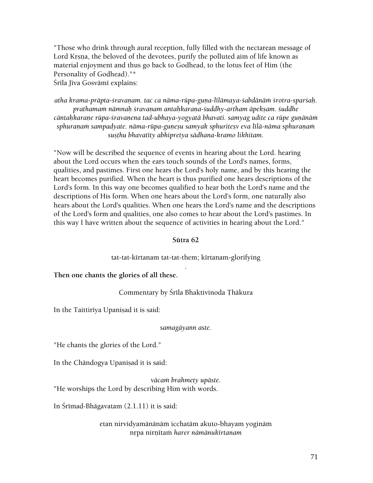"Those who drink through aural reception, fully filled with the nectarean message of Lord Krsna, the beloved of the devotees, purify the polluted aim of life known as material enjoyment and thus go back to Godhead, to the lotus feet of Him (the Personality of Godhead)."\* Śrīla Jīva Gosvāmī explains:

atha krama-prāpta-śravaņam. tac ca nāma-rūpa-guņa-līlāmaya-śabdānām śrotra-sparśaḥ. *prathamaà nämnaù çravaëam antaùkaraëa-çuddhy-artham äpekñam. çuddhe*  cāntahkarane rūpa-śravanena tad-ubhaya-yogyatā bhavati. samyag udite ca rūpe gunānām sphuranam sampadyate. näma-rūpa-gunesu samyak sphuritesy eva līlā-nāma sphuranam susthu bhavatīty abhipretya sādhana-kramo likhitam.

"Now will be described the sequence of events in hearing about the Lord. hearing about the Lord occurs when the ears touch sounds of the Lord's names, forms, qualities, and pastimes. First one hears the Lord's holy name, and by this hearing the heart becomes purified. When the heart is thus purified one hears descriptions of the Lord's form. In this way one becomes qualified to hear both the Lord's name and the descriptions of His form. When one hears about the Lord's form, one naturally also hears about the Lord's qualities. When one hears the Lord's name and the descriptions of the Lord's form and qualities, one also comes to hear about the Lord's pastimes. In this way I have written about the sequence of activities in hearing about the Lord."

#### **Sütra 62**

tat-tat-kirtanam tat-tat-them; kirtanam-glorifying .

**Then one chants the glories of all these.** 

Commentary by Śrīla Bhaktivinoda Thākura

In the Taittiriya Upanisad it is said:

#### *samagäyann aste.*

"He chants the glories of the Lord."

In the Chāndogya Upaniṣad it is said:

*väcaà brahmety upäste.*  "He worships the Lord by describing Him with words.

In Śrīmad-Bhāgavatam  $(2.1.11)$  it is said:

etan nirvidyamānānām icchatām akuto-bhayam yoginām nåpa nirëétaà *harer nämänukértanam*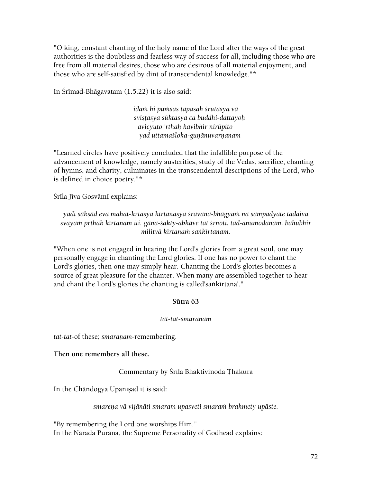"O king, constant chanting of the holy name of the Lord after the ways of the great authorities is the doubtless and fearless way of success for all, including those who are free from all material desires, those who are desirous of all material enjoyment, and those who are self-satisfied by dint of transcendental knowledge."\*

In Śrīmad-Bhāgavatam  $(1.5.22)$  it is also said:

*idaà hi puàsas tapasaù çrutasya vä sviñöasya süktasya ca buddhi-dattayoù avicyuto 'rthaù kavibhir nirüpito yad uttamaçloka-guëänuvarëanam* 

"Learned circles have positively concluded that the infallible purpose of the advancement of knowledge, namely austerities, study of the Vedas, sacrifice, chanting of hymns, and charity, culminates in the transcendental descriptions of the Lord, who is defined in choice poetry."\*

Śrīla Jīva Gosvāmī explains:

*yadi säkñäd eva mahat-kåtasya kértanasya çravaëa-bhägyaà na sampadyate tadaiva svayaà påthak kértanam iti. gäna-çakty-abhäve tat çåëoti. tad-anumodanam. bahubhir militvä kértanaà saìkértanam.* 

"When one is not engaged in hearing the Lord's glories from a great soul, one may personally engage in chanting the Lord glories. If one has no power to chant the Lord's glories, then one may simply hear. Chanting the Lord's glories becomes a source of great pleasure for the chanter. When many are assembled together to hear and chant the Lord's glories the chanting is called'sankirtana'."

### **Sütra 63**

### tat-tat-smaranam

*tat-tat-of these; smaranam-remembering.* 

**Then one remembers all these.** 

Commentary by Śrīla Bhaktivinoda Thākura

In the Chāndogya Upaniṣad it is said:

*smareëa vä vijänäti smaram upasveti smaraà brahmety upäste.* 

"By remembering the Lord one worships Him." In the Nārada Purāna, the Supreme Personality of Godhead explains: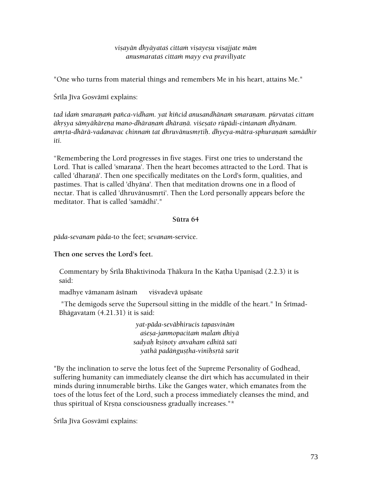*viñayän dhyäyataç cittaà viñayeñu visajjate mäm anusmarataç cittaà mayy eva praviléyate* 

"One who turns from material things and remembers Me in his heart, attains Me."

Śrīla Jīva Gosvāmī explains:

tad idam smaraņam pañca-vidham. yat kiñcid anusandhānam smaraņam. pūrvataś cittam *äkåñya sämyäkäreëa mano-dhäraëaà dhäraëä. viçeñato rüpädi-cintanaà dhyänam.*  amrta-dhārā-vadanavac chinnam tat dhruvānusmrtih. dhyeya-mātra-sphuranam samādhir *iti.* 

"Remembering the Lord progresses in five stages. First one tries to understand the Lord. That is called 'smarana'. Then the heart becomes attracted to the Lord. That is called 'dharanā'. Then one specifically meditates on the Lord's form, qualities, and pastimes. That is called 'dhyäna'. Then that meditation drowns one in a flood of nectar. That is called 'dhruvānusmṛti'. Then the Lord personally appears before the meditator. That is called 'samädhi'."

#### **Sütra 64**

*päda-sevanam päda*-to the feet; *sevanam*-service.

# **Then one serves the Lord's feet.**

Commentary by Śrīla Bhaktivinoda Thākura In the Katha Upanisad (2.2.3) it is said:

madhye vāmanam āsīnam viśvadevā upāsate

"The demigods serve the Supersoul sitting in the middle of the heart." In Srīmad-Bhägavatam (4.21.31) it is said:

> *yat-päda-seväbhirucis tapasvinäm açeña-janmopacitaà malaà dhiyä sadyaù kñiëoty anvaham edhitä sati yathä padäìguñöha-viniùsåtä sarit*

"By the inclination to serve the lotus feet of the Supreme Personality of Godhead, suffering humanity can immediately cleanse the dirt which has accumulated in their minds during innumerable births. Like the Ganges water, which emanates from the toes of the lotus feet of the Lord, such a process immediately cleanses the mind, and thus spiritual of Krsna consciousness gradually increases."\*

Śrīla Jīva Gosvāmī explains: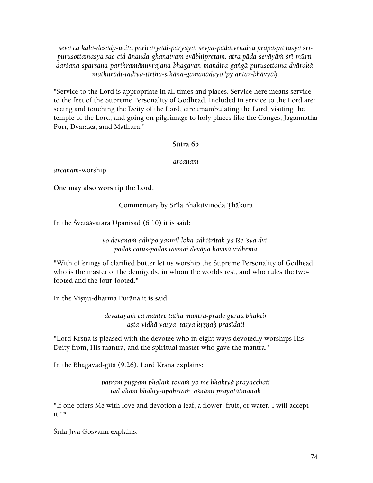*sevä ca käla-deçädy-ucitä paricaryädi-paryayä. sevya-pädatvenaiva präpasya tasya çré*purușottamasya sac-cid-ānanda-ghanatvam evābhipretam. atra pāda-sevāyām śrī-mūrtidarśana-sparśana-parikramānuvrajana-bhagavan-mandira-gangā-puruṣottama-dvārakā*mathurädi-tadéya-tértha-sthäna-gamanädayo 'py antar-bhävyäù.* 

"Service to the Lord is appropriate in all times and places. Service here means service to the feet of the Supreme Personality of Godhead. Included in service to the Lord are: seeing and touching the Deity of the Lord, circumambulating the Lord, visiting the temple of the Lord, and going on pilgrimage to holy places like the Ganges, Jagannätha Purī, Dvārakā, amd Mathurā."

#### **Sütra 65**

*arcanam* 

*arcanam*-worship.

**One may also worship the Lord.** 

Commentary by Śrīla Bhaktivinoda Thākura

In the Śvetāśvatara Upanisad  $(6.10)$  it is said:

*yo devanaà adhipo yasmil loka adhiçritaù ya éçe 'sya dvipadaç catuñ-padas tasmai deväya haviñä vidhema* 

"With offerings of clarified butter let us worship the Supreme Personality of Godhead, who is the master of the demigods, in whom the worlds rest, and who rules the twofooted and the four-footed."

In the Visnu-dharma Purāna it is said:

*devatäyäà ca mantre tathä mantra-prade gurau bhaktir añöa-vidhä yasya tasya kåñëaù prasédati* 

"Lord Krsna is pleased with the devotee who in eight ways devotedly worships His Deity from, His mantra, and the spiritual master who gave the mantra."

In the Bhagavad-gītā (9.26), Lord Krsņa explains:

*patraà puñpaà phalaà toyaà yo me bhaktyä prayacchati tad ahaà bhakty-upahåtaà açnämi prayatätmanaù* 

"If one offers Me with love and devotion a leaf, a flower, fruit, or water, I will accept it."\*

Śrīla Jīva Gosvāmī explains: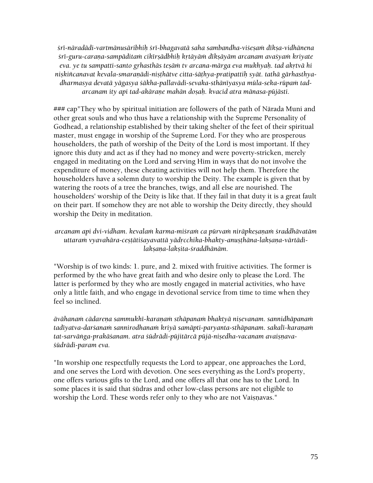*çré-näradädi-vartmänusäribhiù çré-bhagavatä saha sambandha-viçeñaà dékña-vidhänena çré-guru-caraëa-sampäditaà cikérñädbhiù kåtäyäà dékñäyäm arcanam avaçyaà kriyate eva. ye tu sampatti-santo grhasthās tesām tv arcana-mārga eva mukhyah. tad akrtvā hi* nişkiñcanavat kevala-smaraņādi-nişthātve citta-śāthya-pratipattih syāt. tathā gārhasthyadharmasya devatā yāgasya śākha-pallavādi-sevaka-sthānīyasya mūla-seka-rūpam tad*arcanam ity api tad-akäraëe mahän doñaù. kvacid atra mänasa-püjästi.* 

### cap"They who by spiritual initiation are followers of the path of Närada Muni and other great souls and who thus have a relationship with the Supreme Personality of Godhead, a relationship established by their taking shelter of the feet of their spiritual master, must engage in worship of the Supreme Lord. For they who are prosperous householders, the path of worship of the Deity of the Lord is most important. If they ignore this duty and act as if they had no money and were poverty-stricken, merely engaged in meditating on the Lord and serving Him in ways that do not involve the expenditure of money, these cheating activities will not help them. Therefore the householders have a solemn duty to worship the Deity. The example is given that by watering the roots of a tree the branches, twigs, and all else are nourished. The householders' worship of the Deity is like that. If they fail in that duty it is a great fault on their part. If somehow they are not able to worship the Deity directly, they should worship the Deity in meditation.

arcanam api dvi-vidham. kevalam karma-miśram ca pūrvam nirāpkeṣaṇaṁ śraddhāvatām uttaram vyavahāra-ceștātiśayavattā yādrcchika-bhakty-anușthāna-lakṣaṇa-vārtādi*lakñaëa-lakñita-çraddhänäm.* 

"Worship is of two kinds: 1. pure, and 2. mixed with fruitive activities. The former is performed by the who have great faith and who desire only to please the Lord. The latter is performed by they who are mostly engaged in material activities, who have only a little faith, and who engage in devotional service from time to time when they feel so inclined.

*ävähanaà cädareëa sammukhé-karaëaà sthäpanaà bhaktyä niñevanam. sannidhäpanaà*  tadīyatva-dar*šanam sannirodhanam kriyā samāpti-paryanta-sthāpanam. sakalī-karanam* tat-sarvānga-prakāśanam. atra śūdrādi-pūjitārcā pūjā-niṣedha-vacanam avaiṣnava*çüdrädi-param eva.* 

"In worship one respectfully requests the Lord to appear, one approaches the Lord, and one serves the Lord with devotion. One sees everything as the Lord's property, one offers various gifts to the Lord, and one offers all that one has to the Lord. In some places it is said that sūdras and other low-class persons are not eligible to worship the Lord. These words refer only to they who are not Vaisnavas."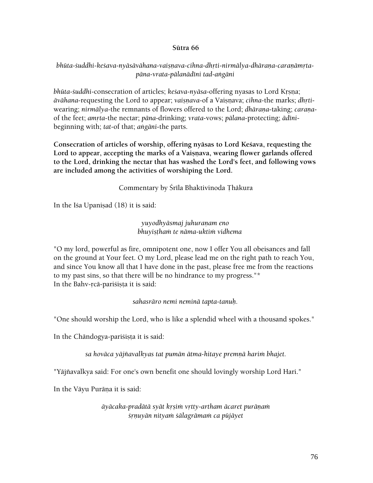#### **Sütra 66**

# bhūta-śuddhi-keśava-nyāsāvāhana-vaiṣnava-cihna-dhrti-nirmālya-dhārana-caranāmrta*päna-vrata-pälanädéni tad-aìgäni*

*bhūta-śuddhi-consecration of articles; keśava-nyāsa-offering nyasas to Lord Krsna; āvāhana-requesting the Lord to appear; vaisnava-of a Vaisnava; <i>cihna-the marks; dhrti*wearing; *nirmālya-the remnants of flowers offered to the Lord; <i>dhārana-taking; carana*of the feet; *amåta*-the nectar; *päna*-drinking; *vrata*-vows; *pälana*-protecting; *ädéni*beginning with; *tat*-of that; *aìgäni*-the parts.

**Consecration of articles of worship, offering nyäsas to Lord Keçava, requesting the**  Lord to appear, accepting the marks of a Vaisnava, wearing flower garlands offered **to the Lord, drinking the nectar that has washed the Lord's feet, and following vows are included among the activities of worshiping the Lord.** 

Commentary by Śrīla Bhaktivinoda Thākura

In the Isa Upanisad  $(18)$  it is said:

*yuyodhyäsmaj juhuraëam eno bhuyiñöhaà te näma-uktià vidhema* 

"O my lord, powerful as fire, omnipotent one, now I offer You all obeisances and fall on the ground at Your feet. O my Lord, please lead me on the right path to reach You, and since You know all that I have done in the past, please free me from the reactions to my past sins, so that there will be no hindrance to my progress."\* In the Bahv-reā-parisista it is said:

*sahasräro nemi neminä tapta-tanuù.* 

"One should worship the Lord, who is like a splendid wheel with a thousand spokes."

In the Chāndogya-parisista it is said:

sa hovāca yājñavalkyas tat pumān ātma-hitaye premņā harim bhajet.

"Yäjïavalkya said: For one's own benefit one should lovingly worship Lord Hari."

In the Väyu Puräna it is said:

*äyäcaka-pradätä syät kåñià våtty-artham äcaret puräëaà çåëuyän nityaà çälagrämaà ca püjäyet*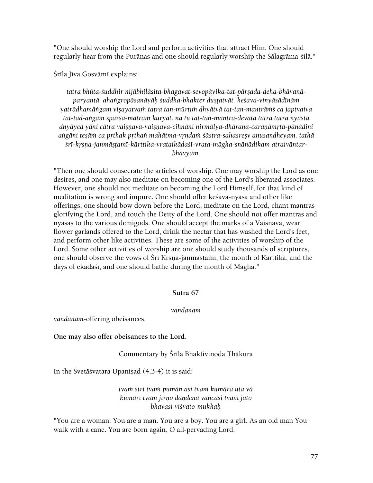"One should worship the Lord and perform activities that attract Him. One should regularly hear from the Purāṇas and one should regularly worship the Śālagrāma-śilā."

Śrīla Jīva Gosvāmī explains:

tatra bhūta-śuddhir nijābhilāsita-bhagavat-sevopāyika-tat-pārsada-deha-bhāvanā*paryantä. ahaìgropäsanäyäù çuddha-bhakter duñöatvät. keçava-vinyäsädénäà*  yatrādhamāṅgaṁ viṣayatvaṁ tatra tan-mūrtiṁ dhyātvā tat-tan-mantrāṁś ca japtvaiva *tat-tad-aìgaà sparça-mätraà kuryät. na tu tat-tan-mantra-devatä tatra tatra nyastä*  dhyāyed yāni cātra vaiṣṇava-vaiṣṇava-cihnāni nirmālya-dhāraṇa-caraṇāmṛta-pāṇādini aṅgāni tesāṁ ca prthak prthaṅ mahātma-vrndaṁ śāstra-sahasresv anusandheyam. tathā śrī-krsna-janmāstamī-kārttika-vrataikādaśī-vrata-māgha-snānādikam atraivāntar*bhävyam.* 

"Then one should consecrate the articles of worship. One may worship the Lord as one desires, and one may also meditate on becoming one of the Lord's liberated associates. However, one should not meditate on becoming the Lord Himself, for that kind of meditation is wrong and impure. One should offer kesava-nyāsa and other like offerings, one should bow down before the Lord, meditate on the Lord, chant mantras glorifying the Lord, and touch the Deity of the Lord. One should not offer mantras and nyāsas to the various demigods. One should accept the marks of a Vaisnava, wear flower garlands offered to the Lord, drink the nectar that has washed the Lord's feet, and perform other like activities. These are some of the activities of worship of the Lord. Some other activities of worship are one should study thousands of scriptures, one should observe the vows of Śrī Krsna-janmāṣṭamī, the month of Kārttika, and the days of ekādaśī, and one should bathe during the month of Māgha."

#### **Sütra 67**

#### *vandanam*

*vandanam*-offering obeisances.

#### **One may also offer obeisances to the Lord.**

#### Commentary by Śrīla Bhaktivinoda Thākura

In the Śvetāśvatara Upanisad  $(4.3-4)$  it is said:

#### *tvaà stré tvaà pumän asi tvaà kumära uta vä kumäré tvaà jérëo daëòena vaïcasi tvaà jato bhavasi viçvato-mukhaù*

"You are a woman. You are a man. You are a boy. You are a girl. As an old man You walk with a cane. You are born again, O all-pervading Lord.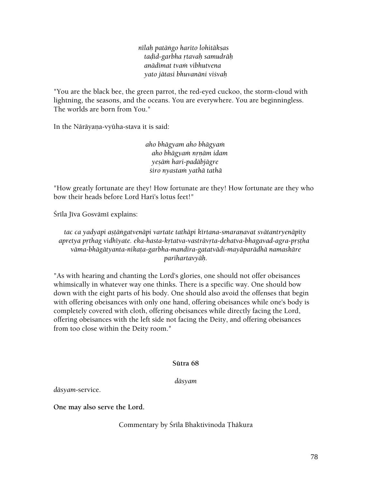*nīlaḥ patāṅgo harito lohitākṣas taòid-garbha åtavaù samudräù anädimat tvaà vibhutvena yato jätasi bhuvanäni viçvaù* 

"You are the black bee, the green parrot, the red-eyed cuckoo, the storm-cloud with lightning, the seasons, and the oceans. You are everywhere. You are beginningless. The worlds are born from You."

In the Nārāyaṇa-vyūha-stava it is said:

*aho bhägyam aho bhägyaà aho bhägyaà nåëäm idam yeñäà hari-padäbjägre çiro nyastaà yathä tathä* 

"How greatly fortunate are they! How fortunate are they! How fortunate are they who bow their heads before Lord Hari's lotus feet!"

Śrīla Jīva Gosvāmī explains:

tac ca yadyapi aştāngatvenāpi vartate tathāpi kīrtana-smaranavat svātantryenāpīty *apretya påthag vidhéyate. eka-hasta-kåtatva-vasträvåta-dehatva-bhagavad-agra-påñöha väma-bhägätyanta-nikaöa-garbha-mandira-gatatvädi-mayäparädhä namaskäre parihartavyäù.* 

"As with hearing and chanting the Lord's glories, one should not offer obeisances whimsically in whatever way one thinks. There is a specific way. One should bow down with the eight parts of his body. One should also avoid the offenses that begin with offering obeisances with only one hand, offering obeisances while one's body is completely covered with cloth, offering obeisances while directly facing the Lord, offering obeisances with the left side not facing the Deity, and offering obeisances from too close within the Deity room."

#### **Sütra 68**

*däsyam* 

*däsyam*-service.

**One may also serve the Lord.** 

Commentary by Śrīla Bhaktivinoda Thākura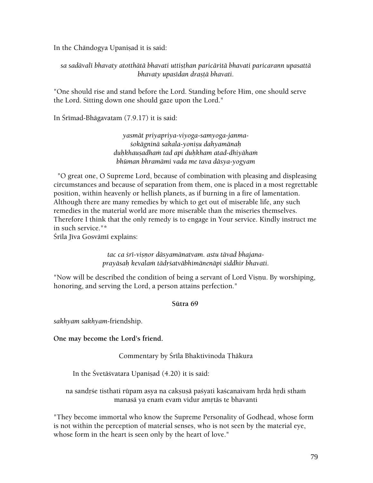In the Chāndogya Upaniṣad it is said:

*sa sadävalé bhavaty atotthätä bhavati uttiñöhan paricäritä bhavati paricarann upasattä bhavaty upasédan drañöä bhavati.* 

"One should rise and stand before the Lord. Standing before Him, one should serve the Lord. Sitting down one should gaze upon the Lord."

In Śrīmad-Bhāgavatam (7.9.17) it is said:

*yasmät priyapriya-viyoga-samyoga-janmaçokägninä sakala-yoniñu dahyamänaù duùkhauñadhaà tad api duùkham atad-dhiyähaà bhüman bhramämi vada me tava däsya-yogyam* 

 "O great one, O Supreme Lord, because of combination with pleasing and displeasing circumstances and because of separation from them, one is placed in a most regrettable position, within heavenly or hellish planets, as if burning in a fire of lamentation. Although there are many remedies by which to get out of miserable life, any such remedies in the material world are more miserable than the miseries themselves. Therefore I think that the only remedy is to engage in Your service. Kindly instruct me in such service."\*

Śrīla Jīva Gosvāmī explains:

tac ca *śrī-visnor dāsyamānatvam. astu tāvad bhajanaprayäsaù kevalaà tädåçatväbhimänenäpi siddhir bhavati.* 

"Now will be described the condition of being a servant of Lord Visnu. By worshiping, honoring, and serving the Lord, a person attains perfection."

#### **Sütra 69**

*sakhyam sakhyam*-friendship.

**One may become the Lord's friend.** 

Commentary by Śrīla Bhaktivinoda Thākura

In the Svetā svatara Upanisad (4.20) it is said:

na sandrśe tisthati rūpam asya na cakṣuṣā paśyati kaścanaivam hṛdā hṛdi stham manasā ya enam evam vidur amrtās te bhavanti

"They become immortal who know the Supreme Personality of Godhead, whose form is not within the perception of material senses, who is not seen by the material eye, whose form in the heart is seen only by the heart of love."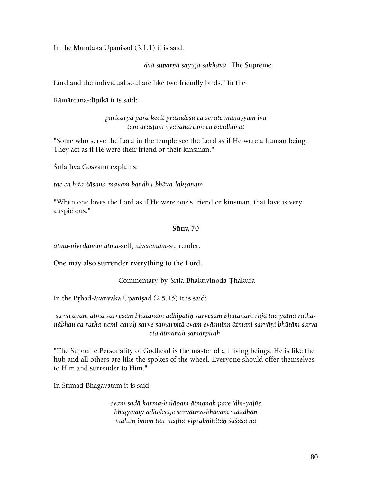In the Mundaka Upanisad  $(3.1.1)$  it is said:

*dvä suparëä sayujä sakhäyä* "The Supreme

Lord and the individual soul are like two friendly birds." In the

Rāmārcana-dīpikā it is said:

*paricaryä parä kecit präsädeñu ca çerate manuñyam iva tam drastum vyavahartum ca bandhuvat* 

"Some who serve the Lord in the temple see the Lord as if He were a human being. They act as if He were their friend or their kinsman."

Śrīla Jīva Gosvāmī explains:

tac ca hita-*śāsana-mayam bandhu-bhāva-lakṣanam*.

"When one loves the Lord as if He were one's friend or kinsman, that love is very auspicious."

#### **Sütra 70**

*ätma-nivedanam ätma*-self; *nivedanam*-surrender.

**One may also surrender everything to the Lord.** 

Commentary by Śrīla Bhaktivinoda Ţhākura

In the Brhad-āranyaka Upaniṣad (2.5.15) it is said:

sa vā ayam ātmā sarvesām bhūtānām adhipatih sarvesām bhūtānām rājā tad yathā ratha*näbhau ca ratha-nemi-caraù sarve samarpitä evam eväsminn ätmani sarväëi bhütäni sarva eta ätmanaù samarpitaù.* 

"The Supreme Personality of Godhead is the master of all living beings. He is like the hub and all others are like the spokes of the wheel. Everyone should offer themselves to Him and surrender to Him."

In Śrīmad-Bhāgavatam it is said:

*evaà sadä karma-kaläpam ätmanaù pare 'dhi-yajïe bhagavaty adhokñaje sarvätma-bhävaà vidadhän mahém imäà tan-niñöha-vipräbhihitaù çaçäsa ha*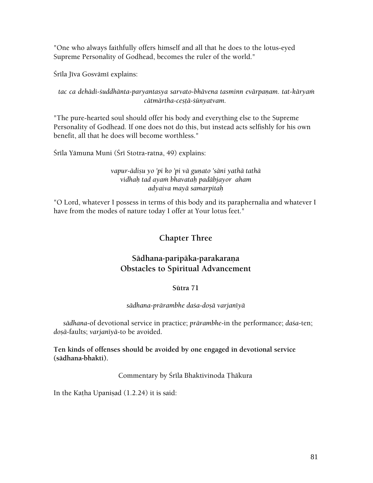"One who always faithfully offers himself and all that he does to the lotus-eyed Supreme Personality of Godhead, becomes the ruler of the world."

Śrīla Jīva Gosvāmī explains:

# tac ca dehādi-śuddhānta-paryantasya sarvato-bhāvena tasminn evārpaņam. tat-kāryam  $c$ ātmārtha-ceșțā-śūnyatvam.

"The pure-hearted soul should offer his body and everything else to the Supreme Personality of Godhead. If one does not do this, but instead acts selfishly for his own benefit, all that he does will become worthless."

Śrīla Yāmuna Muni (Śrī Stotra-ratna, 49) explains:

# vapur-ādișu yo 'pi ko 'pi vā guņato 'sāni yathā tathā *vidhaù tad ayaà bhavataù padäbjayor aham adyaiva mayä samarpitaù*

"O Lord, whatever I possess in terms of this body and its paraphernalia and whatever I have from the modes of nature today I offer at Your lotus feet."

# **Chapter Three**

# Sādhana-paripāka-parakaraņa **Obstacles to Spiritual Advancement**

# **Sütra 71**

# *sädhana-prärambhe daça-doñä varjanéyä*

*sädhana*-of devotional service in practice; *prärambhe*-in the performance; *daça*-ten; dosā-faults; varjanīyā-to be avoided.

**Ten kinds of offenses should be avoided by one engaged in devotional service (sädhana-bhakti).** 

Commentary by Śrīla Bhaktivinoda Thākura

In the Katha Upanisad  $(1.2.24)$  it is said: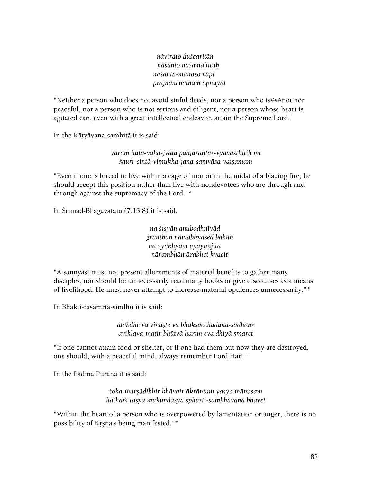*nävirato duçcaritän näçänto näsamähituù näçänta-mänaso väpi prajïänenainam äpnuyät* 

"Neither a person who does not avoid sinful deeds, nor a person who is###not nor peaceful, nor a person who is not serious and diligent, nor a person whose heart is agitated can, even with a great intellectual endeavor, attain the Supreme Lord."

In the Kātyāyana-samhitā it is said:

*varaà huta-vaha-jvälä païjaräntar-vyavasthitiù na çauri-cintä-vimukha-jana-samväsa-vaiñamam* 

"Even if one is forced to live within a cage of iron or in the midst of a blazing fire, he should accept this position rather than live with nondevotees who are through and through against the supremacy of the Lord."\*

In Śrīmad-Bhāgavatam (7.13.8) it is said:

*na çiñyän anubadhnéyäd granthän naiväbhyased bahün na vyäkhyäm upayuïjéta närambhän ärabhet kvacit* 

"A sannyāsī must not present allurements of material benefits to gather many disciples, nor should he unnecessarily read many books or give discourses as a means of livelihood. He must never attempt to increase material opulences unnecessarily."\*

In Bhakti-rasāmrta-sindhu it is said:

*alabdhe vä vinañöe vä bhakñäcchadana-sädhane aviklava-matir bhütvä harim eva dhiyä smaret* 

"If one cannot attain food or shelter, or if one had them but now they are destroyed, one should, with a peaceful mind, always remember Lord Hari."

In the Padma Purāna it is said:

*çoka-marñädibhir bhävair äkräntaà yasya mänasam kathaà tasya mukundasya sphurti-sambhävanä bhavet* 

"Within the heart of a person who is overpowered by lamentation or anger, there is no possibility of Krsna's being manifested."\*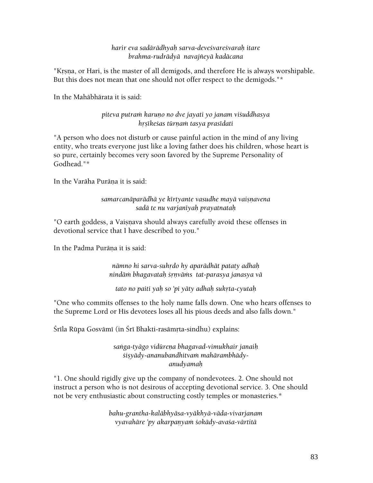#### *harir eva sadärädhyaù sarva-deveçvareçvaraù itare brahma-rudrädyä navajïeyä kadäcana*

"Krsna, or Hari, is the master of all demigods, and therefore He is always worshipable. But this does not mean that one should not offer respect to the demigods."\*

In the Mahäbhärata it is said:

# *piteva putraà karuëo no dve jayati yo janam viçuddhasya håñékeças türëaà tasya prasédati*

"A person who does not disturb or cause painful action in the mind of any living entity, who treats everyone just like a loving father does his children, whose heart is so pure, certainly becomes very soon favored by the Supreme Personality of Godhead."\*

In the Varāha Purāna it is said:

# samarcanāparādhā ye kīrtyante vasudhe mayā vaisnavena *sadä te nu varjanéyaù prayatnataù*

"O earth goddess, a Vaisnava should always carefully avoid these offenses in devotional service that I have described to you."

In the Padma Purāna it is said:

*nämno hi sarva-suhådo hy aparädhät pataty adhaù nindäà bhagavataù çåëväàs tat-parasya janasya vä* 

*tato no paiti yaù so 'pi yäty adhaù sukåta-cyutaù* 

"One who commits offenses to the holy name falls down. One who hears offenses to the Supreme Lord or His devotees loses all his pious deeds and also falls down."

Śrīla Rūpa Gosvāmī (in Śrī Bhakti-rasāmṛta-sindhu) explains:

*saìga-tyägo vidüreëa bhagavad-vimukhair janaiù çiñyädy-ananubandhitvaà mahärambhädyanudyamaù* 

"1. One should rigidly give up the company of nondevotees. 2. One should not instruct a person who is not desirous of accepting devotional service. 3. One should not be very enthusiastic about constructing costly temples or monasteries.\*

> *bahu-grantha-kaläbhyäsa-vyäkhyä-väda-vivarjanam vyavahāre 'py akarpanyam śokādy-avaśa-vārtitā*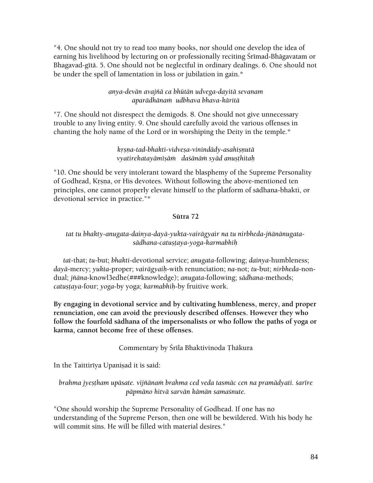"4. One should not try to read too many books, nor should one develop the idea of earning his livelihood by lecturing on or professionally reciting Śrīmad-Bhāgavatam or Bhagavad-gītā. 5. One should not be neglectful in ordinary dealings. 6. One should not be under the spell of lamentation in loss or jubilation in gain.\*

# *anya-devän avajïä ca bhütän udvega-dayitä sevanam aparädhänaà udbhava bhava-käritä*

"7. One should not disrespect the demigods. 8. One should not give unnecessary trouble to any living entity. 9. One should carefully avoid the various offenses in chanting the holy name of the Lord or in worshiping the Deity in the temple.\*

# *kåñëa-tad-bhakti-vidveña-vinindädy-asahiñëutä vyatirekatayäméñäà daçänäà syäd anuñöhitaù*

"10. One should be very intolerant toward the blasphemy of the Supreme Personality of Godhead, Krsna, or His devotees. Without following the above-mentioned ten principles, one cannot properly elevate himself to the platform of sädhana-bhakti, or devotional service in practice."\*

# **Sütra 72**

# *tat tu bhakty-anugata-dainya-dayä-yukta-vairägyair na tu nirbheda-jïänänugatasädhana-catuñöaya-yoga-karmabhiù*

*tat*-that; *tu*-but; *bhakti*-devotional service; *anugata*-following; *dainya*-humbleness; *dayä*-mercy; *yukta*-proper; *vairägyaiù*-with renunciation; *na-*not; *tu*-but; *nirbheda*-nondual; *jïäna*-knowl3edhe(###knowledge); *anugata*-following; *sädhana*-methods; *catustaya-four; yoga-by yoga; karmabhih-by fruitive work.* 

**By engaging in devotional service and by cultivating humbleness, mercy, and proper renunciation, one can avoid the previously described offenses. However they who follow the fourfold sädhana of the impersonalists or who follow the paths of yoga or karma, cannot become free of these offenses.** 

# Commentary by Śrīla Bhaktivinoda Thākura

In the Taittiriya Upanisad it is said:

# *brahma jyestham upāsate. vijñānam brahma ced veda tasmāc cen na pramādyati. sarīre päpmäno hitvä sarvän kämän samaçnute.*

"One should worship the Supreme Personality of Godhead. If one has no understanding of the Supreme Person, then one will be bewildered. With his body he will commit sins. He will be filled with material desires."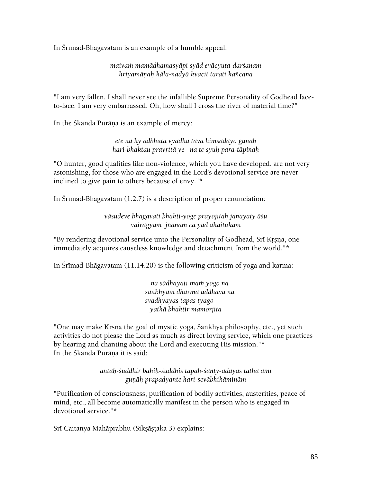In Srimad-Bhāgavatam is an example of a humble appeal:

*maivaà mamädhamasyäpi syäd eväcyuta-darçanam hriyamäëaù käla-nadyä kvacit tarati kaïcana* 

"I am very fallen. I shall never see the infallible Supreme Personality of Godhead faceto-face. I am very embarrassed. Oh, how shall I cross the river of material time?"

In the Skanda Purāņa is an example of mercy:

*ete na hy adbhutā vyādha tava himsādayo gunāh hari-bhaktau pravåttä ye na te syuù para-täpinaù* 

"O hunter, good qualities like non-violence, which you have developed, are not very astonishing, for those who are engaged in the Lord's devotional service are never inclined to give pain to others because of envy."\*

In Srimad-Bhāgavatam  $(1.2.7)$  is a description of proper renunciation:

*väsudeve bhagavati bhakti-yoge prayojitaù janayaty äçu vairägyaà jïänaà ca yad ahaitukam* 

"By rendering devotional service unto the Personality of Godhead, Śrī Krsna, one immediately acquires causeless knowledge and detachment from the world."\*

In Śrīmad-Bhāgavatam  $(11.14.20)$  is the following criticism of yoga and karma:

*na sädhayati maà yogo na saìkhyaà dharma uddhava na svadhyayas tapas tyago yathä bhaktir mamorjita* 

"One may make Krsna the goal of mystic yoga, Sankhya philosophy, etc., yet such activities do not please the Lord as much as direct loving service, which one practices by hearing and chanting about the Lord and executing His mission."\* In the Skanda Purāna it is said:

> *antaù-çuddhir bahiù-çuddhis tapaù-çänty-ädayas tathä amé guëäù prapadyante hari-seväbhikäminäm*

"Purification of consciousness, purification of bodily activities, austerities, peace of mind, etc., all become automatically manifest in the person who is engaged in devotional service."\*

Śrī Caitanya Mahāprabhu (Śikṣāṣṭaka 3) explains: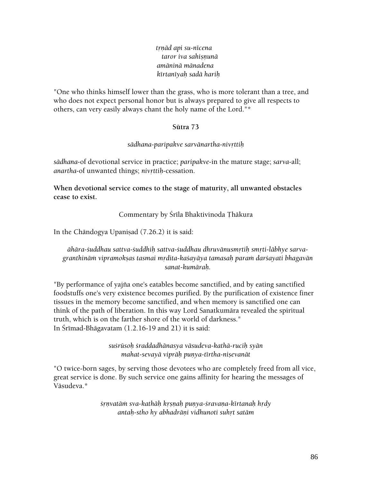*tåëäd api su-nécena taror iva sahiñëunä amäninä mänadena kértanéyaù sadä hariù* 

"One who thinks himself lower than the grass, who is more tolerant than a tree, and who does not expect personal honor but is always prepared to give all respects to others, can very easily always chant the holy name of the Lord."\*

#### **Sütra 73**

#### *sädhana-paripakve sarvänartha-nivåttiù*

*sädhana*-of devotional service in practice; *paripakve*-in the mature stage; *sarva*-all; *anartha-of unwanted things; nivrttih-cessation.* 

**When devotional service comes to the stage of maturity, all unwanted obstacles cease to exist.** 

Commentary by Śrīla Bhaktivinoda Thākura

In the Chāndogya Upanisad  $(7.26.2)$  it is said:

*ähära-çuddhau sattva-çuddhiù sattva-çuddhau dhruvänusmåtiù småti-läbhye sarva*granthinām vipramokṣas tasmai mṛdita-kaśayāya tamasaḥ param darśayati bhagavān *sanat-kumäraù.* 

"By performance of yajïa one's eatables become sanctified, and by eating sanctified foodstuffs one's very existence becomes purified. By the purification of existence finer tissues in the memory become sanctified, and when memory is sanctified one can think of the path of liberation. In this way Lord Sanatkumära revealed the spiritual truth, which is on the farther shore of the world of darkness." In Śrīmad-Bhāgavatam  $(1.2.16-19$  and  $21)$  it is said:

> *suçrüsoù çraddadhänasya väsudeva-kathä-ruciù syän mahat-sevayā viprāḥ puṇya-tīrtha-niṣevanāt*

"O twice-born sages, by serving those devotees who are completely freed from all vice, great service is done. By such service one gains affinity for hearing the messages of Väsudeva.\*

> *çåëvatäà sva-kathäù kåñëaù puëya-çravaëa-kértanaù hådy antaù-stho hy abhadräëi vidhunoti suhåt satäm*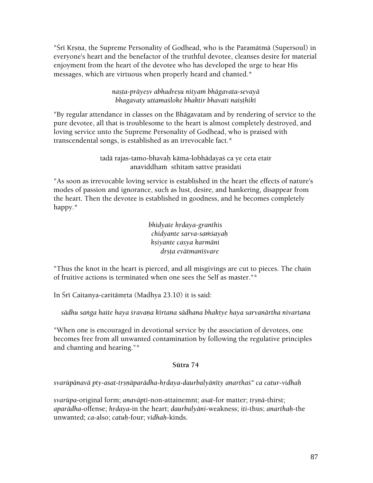"Śrī Krsna, the Supreme Personality of Godhead, who is the Paramātmā (Supersoul) in everyone's heart and the benefactor of the truthful devotee, cleanses desire for material enjoyment from the heart of the devotee who has developed the urge to hear His messages, which are virtuous when properly heard and chanted.\*

> *nañöa-präyeñv abhadreñu nityaà bhägavata-sevayä bhagavaty uttamaśloke bhaktir bhavati naişthikī*

"By regular attendance in classes on the Bhägavatam and by rendering of service to the pure devotee, all that is troublesome to the heart is almost completely destroyed, and loving service unto the Supreme Personality of Godhead, who is praised with transcendental songs, is established as an irrevocable fact.\*

> tadā rajas-tamo-bhavah kāma-lobhādayaś ca ye ceta etair anaviddham sthitam sattve prasidati

"As soon as irrevocable loving service is established in the heart the effects of nature's modes of passion and ignorance, such as lust, desire, and hankering, disappear from the heart. Then the devotee is established in goodness, and he becomes completely happy.\*

> *bhidyate hrdaya-granthis chidyante sarva-saàçayaù kñiyante casya karmäni dåñöa evätmanéçvare*

"Thus the knot in the heart is pierced, and all misgivings are cut to pieces. The chain of fruitive actions is terminated when one sees the Self as master."\*

In Śrī Caitanya-caritāmrta (Madhya 23.10) it is said:

sādhu sanga haite haya *śravana kīrtana sādhana bhaktye haya sarvanārtha nivartana* 

"When one is encouraged in devotional service by the association of devotees, one becomes free from all unwanted contamination by following the regulative principles and chanting and hearing."\*

# **Sütra 74**

svarūpānavā pty-asat-trsņāparādha-hrdaya-daurbalyānīty anarthas" ca catur-vidhah

*svarūpa-original form; anavāpti-non-attainemnt; <i>asat-for matter; trsnā-thirst; aparādha-offense; hrdaya-in the heart; daurbalyāni-weakness; <i>iti-thus; anarthah-the* unwanted; *ca*-also; *catuù*-four; *vidhaù*-kinds.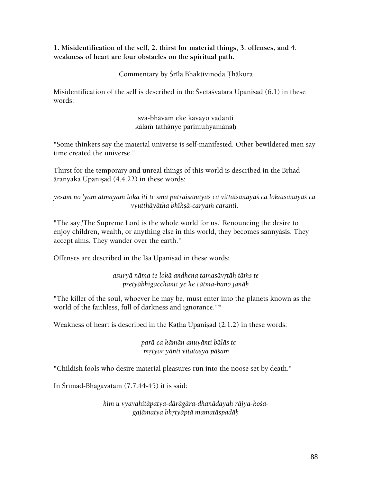**1. Misidentification of the self, 2. thirst for material things, 3. offenses, and 4. weakness of heart are four obstacles on the spiritual path.** 

Commentary by Śrīla Bhaktivinoda Thākura

Misidentification of the self is described in the Śvetāśvatara Upanisad  $(6.1)$  in these words:

> sva-bhävam eke kavayo vadanti kālam tathānye parimuhyamānah

"Some thinkers say the material universe is self-manifested. Other bewildered men say time created the universe."

Thirst for the temporary and unreal things of this world is described in the Brhadāranyaka Upaniṣad (4.4.22) in these words:

yesām no 'yam ātmāyam loka iti te sma putraisanāyā*ś ca vittaisanāyāś ca lokaisanāyāś ca vyutthäyätha bhékñä-caryaà caranti.* 

"The say,'The Supreme Lord is the whole world for us.' Renouncing the desire to enjoy children, wealth, or anything else in this world, they becomes sannyāsīs. They accept alms. They wander over the earth."

Offenses are described in the Isa Upanisad in these words:

*asuryä näma te lokä andhena tamasävåtäù täàs te pretyäbhigacchanti ye ke cätma-hano janäù* 

"The killer of the soul, whoever he may be, must enter into the planets known as the world of the faithless, full of darkness and ignorance."\*

Weakness of heart is described in the Katha Upanisad  $(2.1.2)$  in these words:

*parä ca kämän anuyänti bäläs te måtyor yänti vitatasya päçam* 

"Childish fools who desire material pleasures run into the noose set by death."

In Śrīmad-Bhāgavatam (7.7.44-45) it is said:

*kim u vyavahitäpatya-därägära-dhanädayaù räjya-koçagajämatya bhåtyäptä mamatäspadäù*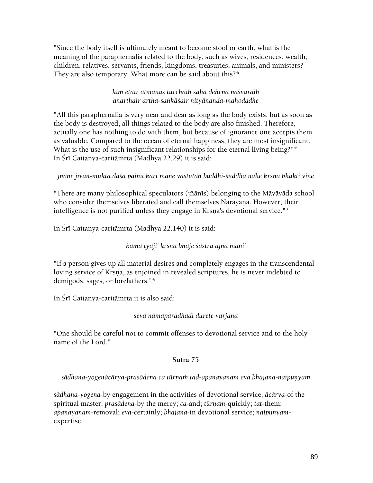"Since the body itself is ultimately meant to become stool or earth, what is the meaning of the paraphernalia related to the body, such as wives, residences, wealth, children, relatives, servants, friends, kingdoms, treasuries, animals, and ministers? They are also temporary. What more can be said about this?\*

# *kim etair ätmanas tucchaiù saha dehena naçvaraiù anarthair artha-saìkäçair nityänanda-mahodadhe*

"All this paraphernalia is very near and dear as long as the body exists, but as soon as the body is destroyed, all things related to the body are also finished. Therefore, actually one has nothing to do with them, but because of ignorance one accepts them as valuable. Compared to the ocean of eternal happiness, they are most insignificant. What is the use of such insignificant relationships for the eternal living being?"\* In Śrī Caitanya-caritāmrta (Madhya 22.29) it is said:

jñāne jīvan-mukta da*šā painu kari māne vastutah buddhi-šuddha nahe krsna bhakti vine* 

"There are many philosophical speculators (jñānīs) belonging to the Māyāvāda school who consider themselves liberated and call themselves Nārāyaṇa. However, their intelligence is not purified unless they engage in Krsna's devotional service."\*

In Śrī Caitanya-caritāmrta (Madhya 22.140) it is said:

# *käma tyaji' kåñëa bhaje çästra ajïä mäni'*

"If a person gives up all material desires and completely engages in the transcendental loving service of Krsna, as enjoined in revealed scriptures, he is never indebted to demigods, sages, or forefathers."\*

In Śrī Caitanya-caritāmrta it is also said:

# *sevä nämaparädhädi durete varjana*

"One should be careful not to commit offenses to devotional service and to the holy name of the Lord."

# **Sütra 75**

*sädhana-yogenäcärya-prasädena ca türëaà tad-apanayanam eva bhajana-naipuëyam* 

*sädhana-yogena*-by engagement in the activities of devotional service; *äcärya*-of the spiritual master; *prasādena-by the mercy; ca-and; tūrnam-quickly; tat-them; apanayanam-removal; eva-certainly; bhajana-in devotional service; naipunyam*expertise.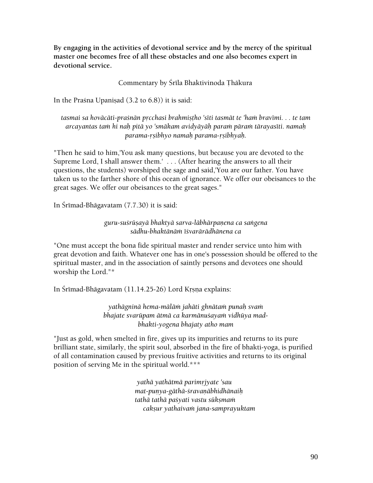**By engaging in the activities of devotional service and by the mercy of the spiritual master one becomes free of all these obstacles and one also becomes expert in devotional service.** 

Commentary by Śrīla Bhaktivinoda Thākura

In the Praśna Upaniṣad  $(3.2$  to  $6.8)$ ) it is said:

tasmai sa hovācāti-praśnān prcchasi brahmistho 'sīti tasmāt te 'ham bravīmi. . . te tam *arcayantas taà hi naù pitä yo 'smäkam avidyäyäù paraà päraà tärayaséti. namaù parama-åñibhyo namaù parama-åñibhyaù.* 

"Then he said to him,'You ask many questions, but because you are devoted to the Supreme Lord, I shall answer them.' . . . (After hearing the answers to all their questions, the students) worshiped the sage and said,'You are our father. You have taken us to the farther shore of this ocean of ignorance. We offer our obeisances to the great sages. We offer our obeisances to the great sages."

In Śrīmad-Bhāgavatam (7.7.30) it is said:

guru-suśrūṣayā bhaktyā sarva-lābhārpaņena ca saṅgena *sädhu-bhaktänäà éçvarärädhänena ca* 

"One must accept the bona fide spiritual master and render service unto him with great devotion and faith. Whatever one has in one's possession should be offered to the spiritual master, and in the association of saintly persons and devotees one should worship the Lord."\*

In Śrīmad-Bhāgavatam (11.14.25-26) Lord Krsna explains:

*yathägninä hema-mäläà jahäti ghnätaà punaù svaà*  bhajate svarūpam ātmā ca karmānuśayam vidhūya mad*bhakti-yogena bhajaty atho mam* 

"Just as gold, when smelted in fire, gives up its impurities and returns to its pure brilliant state, similarly, the spirit soul, absorbed in the fire of bhakti-yoga, is purified of all contamination caused by previous fruitive activities and returns to its original position of serving Me in the spiritual world.\*\*\*

> *yathä yathätmä parimåjyate 'sau mat-puëya-gäthä-çravaëäbhidhänaiù tathä tathä paçyati vastu sükñmaà cakñur yathaivaà jana-samprayuktam*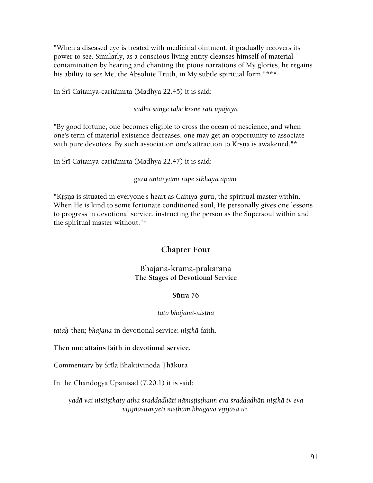"When a diseased eye is treated with medicinal ointment, it gradually recovers its power to see. Similarly, as a conscious living entity cleanses himself of material contamination by hearing and chanting the pious narrations of My glories, he regains his ability to see Me, the Absolute Truth, in My subtle spiritual form."\*\*\*

In Śrī Caitanya-caritāmrta (Madhya 22.45) it is said:

### *sädhu saìge tabe kåñëe rati upajaya*

"By good fortune, one becomes eligible to cross the ocean of nescience, and when one's term of material existence decreases, one may get an opportunity to associate with pure devotees. By such association one's attraction to Krsna is awakened."\*

In Śrī Caitanya-caritāmrta (Madhya 22.47) it is said:

#### *guru antaryämé rüpe çikhäya äpane*

"Krsna is situated in everyone's heart as Caittya-guru, the spiritual master within. When He is kind to some fortunate conditioned soul, He personally gives one lessons to progress in devotional service, instructing the person as the Supersoul within and the spiritual master without."\*

# **Chapter Four**

# Bhajana-krama-prakarana **The Stages of Devotional Service**

# **Sütra 76**

#### *tato bhajana-niñöhä*

*tatah-then; bhajana-in devotional service; nisthā-faith.* 

#### **Then one attains faith in devotional service.**

Commentary by Śrīla Bhaktivinoda Thākura

In the Chāndogya Upanisad  $(7.20.1)$  it is said:

yadā vai nistișthaty atha śraddadhāti nāniṣṭiṣṭhann eva śraddadhāti nisthā tv eva *vijijïäsitavyeti niñöhäà bhagavo vijijäsä iti.*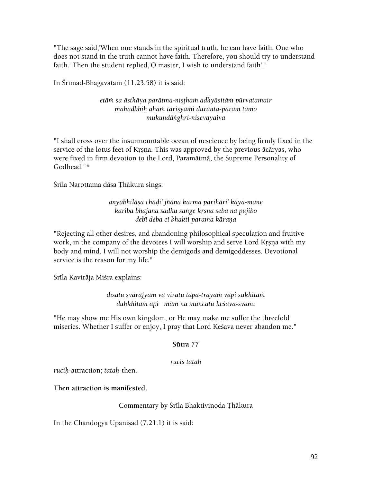"The sage said,'When one stands in the spiritual truth, he can have faith. One who does not stand in the truth cannot have faith. Therefore, you should try to understand faith.' Then the student replied,'O master, I wish to understand faith'."

In Śrīmad-Bhāgavatam  $(11.23.58)$  it is said:

*etäà sa ästhäya parätma-niñöhaà adhyäsitäà pürvatamair mahadbhiù ahaà tariñyämi duränta-päraà tamo mukundäìghri-niñevayaiva* 

"I shall cross over the insurmountable ocean of nescience by being firmly fixed in the service of the lotus feet of Krsna. This was approved by the previous ācāryas, who were fixed in firm devotion to the Lord, Paramätmä, the Supreme Personality of Godhead."\*

Śrīla Narottama dāsa Thākura sings:

*anyäbhiläña chäòi' jïäna karma parihäri' käya-mane kariba bhajana sädhu saìge kåñëa sebä na püjibo debī deba ei bhakti parama kāraņa* 

"Rejecting all other desires, and abandoning philosophical speculation and fruitive work, in the company of the devotees I will worship and serve Lord Krsna with my body and mind. I will not worship the demigods and demigoddesses. Devotional service is the reason for my life."

Šrīla Kavirāja Miśra explains:

dīsatu svārājyam vā viratu tāpa-trayam vāpi sukhitam *duùkhitam api mäà na muïcatu keçava-svämé* 

"He may show me His own kingdom, or He may make me suffer the threefold miseries. Whether I suffer or enjoy, I pray that Lord Kesava never abandon me."

#### **Sütra 77**

#### *rucis tataù*

*ruciù*-attraction; *tataù*-then.

**Then attraction is manifested.** 

#### Commentary by Śrīla Bhaktivinoda Thākura

In the Chāndogya Upanisad  $(7.21.1)$  it is said: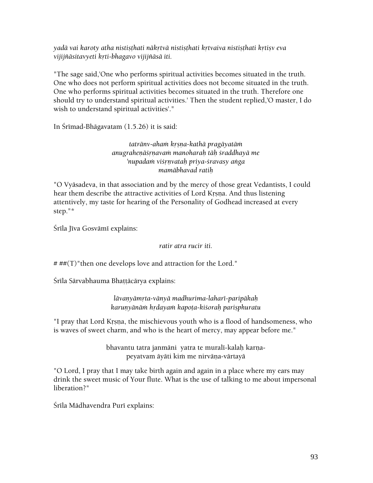*yadä vai karoty atha nistiñöhati näkåtvä nistiñöhati kåtvaiva nistiñöhati kåtiñv eva vijijïäsitavyeti kåti-bhagavo vijijïäsä iti.* 

"The sage said,'One who performs spiritual activities becomes situated in the truth. One who does not perform spiritual activities does not become situated in the truth. One who performs spiritual activities becomes situated in the truth. Therefore one should try to understand spiritual activities.' Then the student replied,'O master, I do wish to understand spiritual activities'."

In Srīmad-Bhāgavatam  $(1.5.26)$  it is said:

*tatränv-ahaà kåñëa-kathä pragäyatäà anugraheëäçåëavaà manoharaù täù çraddhayä me 'nupadaà viçåëvataù priya-çravasy aìga mamäbhavad ratiù* 

"O Vyäsadeva, in that association and by the mercy of those great Vedantists, I could hear them describe the attractive activities of Lord Krsna. And thus listening attentively, my taste for hearing of the Personality of Godhead increased at every step."\*

Śrīla Jīva Gosvāmī explains:

*ratir atra rucir iti.* 

 $# ##(T)$ "then one develops love and attraction for the Lord."

Śrīla Sārvabhauma Bhaṭṭācārya explains:

*lävaëyämåta-vänyä madhurima-laharé-paripäkaù karunyānām hrdayam kapota-kiśorah parisphuratu* 

"I pray that Lord Krsna, the mischievous youth who is a flood of handsomeness, who is waves of sweet charm, and who is the heart of mercy, may appear before me."

> bhavantu tatra janmāni yatra te muralī-kalaḥ karņapeyatvam äyäti kim me nirväna-värtayä

"O Lord, I pray that I may take birth again and again in a place where my ears may drink the sweet music of Your flute. What is the use of talking to me about impersonal liberation?"

Śrīla Mādhavendra Purī explains: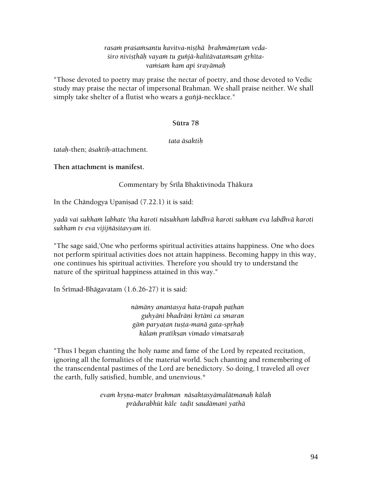#### rasam praśamsantu kavitva-nisthā brahmāmrtam vedasiro nivisthāh vayam tu guñjā-kalitāvatamsam grhīta*vaàçaà kam api çrayämaù*

"Those devoted to poetry may praise the nectar of poetry, and those devoted to Vedic study may praise the nectar of impersonal Brahman. We shall praise neither. We shall simply take shelter of a flutist who wears a guñjā-necklace."

# **Sütra 78**

#### *tata äsaktiù*

*tataù*-then; *äsaktiù*-attachment.

**Then attachment is manifest.** 

Commentary by Śrīla Bhaktivinoda Thākura

In the Chāndogya Upanisad  $(7.22.1)$  it is said:

yadā vai sukham labhate 'tha karoti nāsukham labdhvā karoti sukham eva labdhvā karoti *sukhaà tv eva vijijïäsitavyam iti.* 

"The sage said,'One who performs spiritual activities attains happiness. One who does not perform spiritual activities does not attain happiness. Becoming happy in this way, one continues his spiritual activities. Therefore you should try to understand the nature of the spiritual happiness attained in this way."

In Śrīmad-Bhāgavatam  $(1.6.26-27)$  it is said:

*nämäny anantasya hata-trapaù paöhan guhyäni bhadräëi kåtäni ca smaran gäà paryaöan tuñöa-manä gata-spåhaù kälaà pratékñan vimado vimatsaraù* 

"Thus I began chanting the holy name and fame of the Lord by repeated recitation, ignoring all the formalities of the material world. Such chanting and remembering of the transcendental pastimes of the Lord are benedictory. So doing, I traveled all over the earth, fully satisfied, humble, and unenvious.\*

> *evaà kåñëa-mater brahman näsaktasyämalätmanaù kälaù prädurabhüt käle taòit saudämané yathä*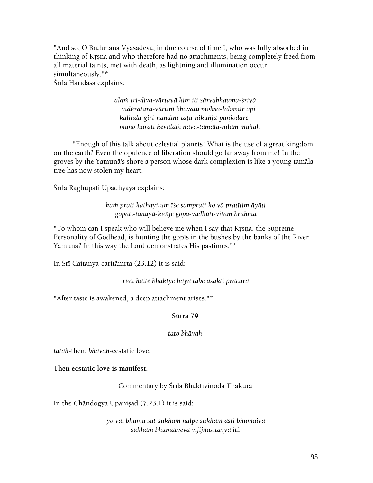"And so, O Brāhmaņa Vyāsadeva, in due course of time I, who was fully absorbed in thinking of Krsna and who therefore had no attachments, being completely freed from all material taints, met with death, as lightning and illumination occur simultaneously."\*

Śrīla Haridāsa explains:

*alaà tri-diva-värtayä kim iti särvabhauma-çriyä vidüratara-värtiné bhavatu mokña-lakñmér api kälinda-giri-nandiné-taöa-nikuïja-puïjodare mano harati kevalaà nava-tamäla-nélaà mahaù* 

 "Enough of this talk about celestial planets! What is the use of a great kingdom on the earth? Even the opulence of liberation should go far away from me! In the groves by the Yamunä's shore a person whose dark complexion is like a young tamäla tree has now stolen my heart."

Śrīla Raghupati Upādhyāya explains:

*kaà prati kathayitum éçe samprati ko vä pratétim äyäti gopati-tanayä-kuïje gopa-vadhüti-vitaà brahma* 

"To whom can I speak who will believe me when I say that Krsna, the Supreme Personality of Godhead, is hunting the gopis in the bushes by the banks of the River Yamunä? In this way the Lord demonstrates His pastimes."\*

In Śrī Caitanya-caritāmrta  $(23.12)$  it is said:

*ruci haite bhaktye haya tabe äsakti pracura* 

"After taste is awakened, a deep attachment arises."\*

# **Sütra 79**

#### *tato bhävaù*

*tataù*-then; *bhävaù*-ecstatic love.

**Then ecstatic love is manifest.** 

Commentary by Śrīla Bhaktivinoda Thākura

In the Chāndogya Upaniṣad (7.23.1) it is said:

*yo vai bhüma sat-sukhaà nälpe sukham asti bhümaiva sukhaà bhümatveva vijijïäsitavya iti.*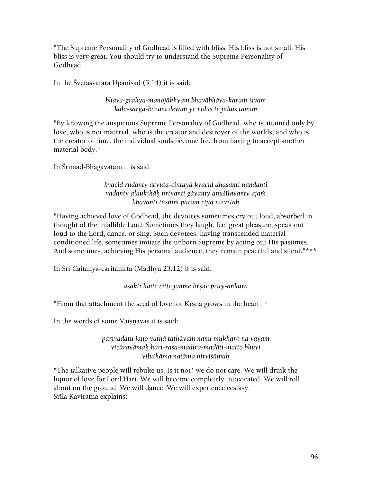"The Supreme Personality of Godhead is filled with bliss. His bliss is not small. His bliss is very great. You should try to understand the Supreme Personality of Godhead."

In the Śvetāśvatara Upanisad  $(5.14)$  it is said:

*bhava-grahya-manojäkhyaà bhaväbhäva-karaà çivam käla-särga-karaà devaà ye vidus te juhus tanum* 

"By knowing the auspicious Supreme Personality of Godhead, who is attained only by love, who is not material, who is the creator and destroyer of the worlds, and who is the creator of time, the individual souls become free from having to accept another material body."

In Śrīmad-Bhāgavatam it is said:

*kvacid rudanty acyuta-cintayä kvacid dhasanti nandanti vadanty alaukikäù nåtyanti gäyanty anuçélayanty ajaà bhavanti tūșnīm param etya nirvrtāḥ* 

"Having achieved love of Godhead, the devotees sometimes cry out loud, absorbed in thought of the infallible Lord. Sometimes they laugh, feel great pleasure, speak out loud to the Lord, dance, or sing. Such devotees, having transcended material conditioned life, sometimes imitate the unborn Supreme by acting out His pastimes. And sometimes, achieving His personal audience, they remain peaceful and silent."\*\*\*

In Śrī Caitanya-caritāmrta (Madhya 23.12) it is said:

 $\bar{a}$ sakti haite citte janme krsne prīty-ankura

"From that attachment the seed of love for Krsna grows in the heart."\*

In the words of some Vaisnavas it is said:

*parivadatu jano yathä tathäyaà nanu mukharo na vayaà vicärayämaù hari-rasa-madira-madäti-matto bhuvi viluthäma naöäma nirviçämaù* 

"The talkative people will rebuke us. Is it not? we do not care. We will drink the liquor of love for Lord Hari. We will become completely intoxicated. We will roll about on the ground. We will dance. We will experience ecstasy." Śrīla Kaviratna explains: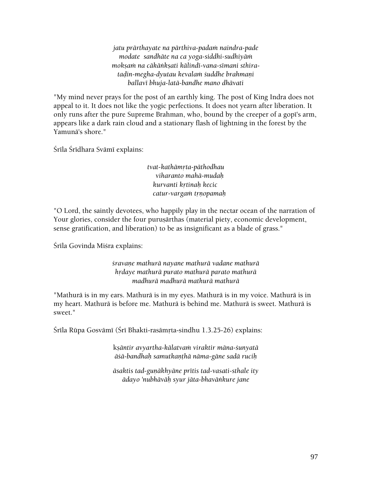*jatu prärthayate na pärthiva-padaà naindra-pade modate sandhäte na ca yoga-siddhi-sudhiyäà mokñaà na cäkäìkñati kälindé-vana-sémani sthirataòin-megha-dyutau kevalaà çuddhe brahmaëi ballavé bhuja-latä-bandhe mano dhävati* 

"My mind never prays for the post of an earthly king. The post of King Indra does not appeal to it. It does not like the yogic perfections. It does not yearn after liberation. It only runs after the pure Supreme Brahman, who, bound by the creeper of a gopi's arm, appears like a dark rain cloud and a stationary flash of lightning in the forest by the Yamunä's shore."

Śrīla Śrīdhara Svāmī explains:

*tvat-kathämåta-päthodhau viharanto mahä-mudaù kurvanti kåtinaù kecic catur-vargaà tåëopamaù* 

"O Lord, the saintly devotees, who happily play in the nectar ocean of the narration of Your glories, consider the four purusārthas (material piety, economic development, sense gratification, and liberation) to be as insignificant as a blade of grass."

Śrīla Govinda Miśra explains:

*çravaëe mathurä nayane mathurä vadane mathurä hådaye mathurä purato mathurä parato mathurä madhurä madhurä mathurä mathurä* 

"Mathurä is in my ears. Mathurä is in my eyes. Mathurä is in my voice. Mathurä is in my heart. Mathurä is before me. Mathurä is behind me. Mathurä is sweet. Mathurä is sweet."

Śrīla Rūpa Gosvāmī (Śrī Bhakti-rasāmṛta-sindhu 1.3.25-26) explains:

k*ñäntir avyartha-kälatvaà viraktir mäna-çunyatä äçä-bandhaù samutkaëöhä näma-gäne sadä ruciù* 

 $\bar{a}$ saktis tad-gunākhyāne prītis tad-vasati-sthale ity *ädayo 'nubhäväù syur jäta-bhaväìkure jane*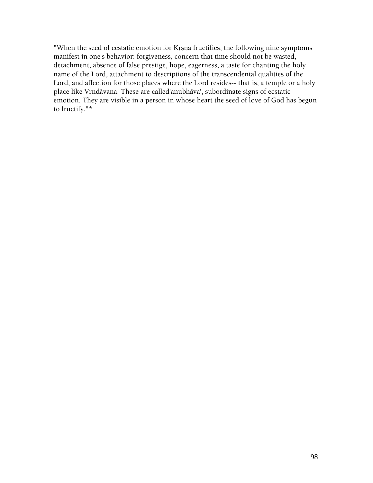"When the seed of ecstatic emotion for Krsna fructifies, the following nine symptoms manifest in one's behavior: forgiveness, concern that time should not be wasted, detachment, absence of false prestige, hope, eagerness, a taste for chanting the holy name of the Lord, attachment to descriptions of the transcendental qualities of the Lord, and affection for those places where the Lord resides-- that is, a temple or a holy place like Vrndāvana. These are called'anubhāva', subordinate signs of ecstatic emotion. They are visible in a person in whose heart the seed of love of God has begun to fructify."\*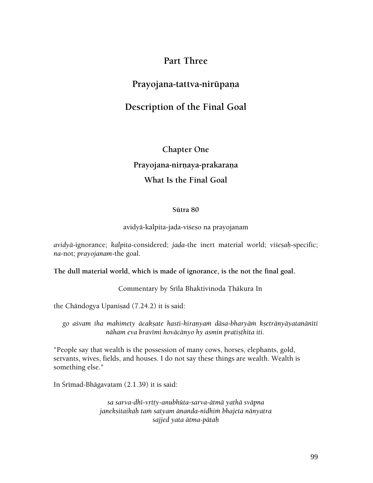# **Part Three**

# Prayojana-tattva-nirūpaņa

# **Description of the Final Goal**

**Chapter One**  Prayojana-nirnaya-prakarana **What Is the Final Goal** 

#### **Sütra 80**

#### avidyā-kalpita-jaḍa-viśeṣo na prayojanam

*avidyā-ignorance; kalpita-considered; jada-the inert material world; visesah-specific; na*-not; *prayojanam*-the goal.

#### **The dull material world, which is made of ignorance, is the not the final goal.**

Commentary by Śrīla Bhaktivinoda Thākura In

the Chāndogya Upanisad  $(7.24.2)$  it is said:

*go açvam iha mahimety äcakñate hasti-hiraëyaà däsa-bharyäà kñetränyäyatanänéti*  nāham eva bravīmi hovācānyo hy asmin pratisthita iti.

"People say that wealth is the possession of many cows, horses, elephants, gold, servants, wives, fields, and houses. I do not say these things are wealth. Wealth is something else."

In Śrīmad-Bhāgavatam (2.1.39) it is said:

*sa sarva-dhé-våtty-anubhüta-sarva-ätmä yathä sväpna janekñitaikaù taà satyam änanda-nidhià bhajeta nänyatra sajjed yata ätma-pätaù*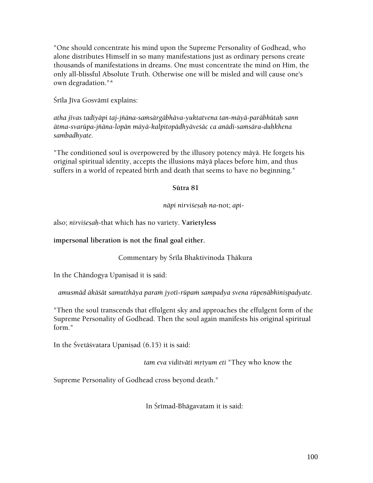"One should concentrate his mind upon the Supreme Personality of Godhead, who alone distributes Himself in so many manifestations just as ordinary persons create thousands of manifestations in dreams. One must concentrate the mind on Him, the only all-blissful Absolute Truth. Otherwise one will be misled and will cause one's own degradation."\*

Śrīla Jīva Gosvāmī explains:

*atha jévas tadéyäpi taj-jïäna-saàsärgäbhäva-yuktatvena tan-mäyä-paräbhütaù sann ätma-svarüpa-jïäna-lopän mäyä-kalpitopädhyäveçäc ca anädi-saàsära-duùkhena sambadhyate.* 

"The conditioned soul is overpowered by the illusory potency mäyä. He forgets his original spiritual identity, accepts the illusions mäyä places before him, and thus suffers in a world of repeated birth and death that seems to have no beginning."

# **Sütra 81**

*näpi nirviçeñaù na*-not; *api*-

also; *nirviçeñaù*-that which has no variety. **Varietyless** 

**impersonal liberation is not the final goal either.** 

# Commentary by Śrīla Bhaktivinoda Thākura

In the Chāndogya Upaniṣad it is said:

*amusmād ākāśāt samutthāya param jyotī-rūpam sampadya svena rūpeņābhinispadyate.* 

"Then the soul transcends that effulgent sky and approaches the effulgent form of the Supreme Personality of Godhead. Then the soul again manifests his original spiritual form."

In the Śvetāśvatara Upaniṣad (6.15) it is said:

tam eva viditvāti mrtyum eti "They who know the

Supreme Personality of Godhead cross beyond death."

In Śrīmad-Bhāgavatam it is said: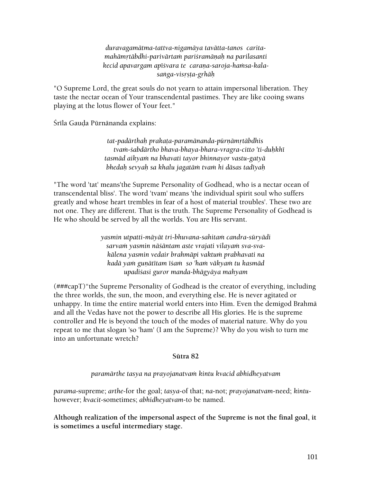*duravagamätma-tattva-nigamäya tavätta-tanos caritamahämåtäbdhi-parivärtaà pariçramäëaù na parilasanti*  kecid apavargam apīśvara te caraņa-saroja-hamsa-kala*saìga-visåñöa-gåhäù* 

"O Supreme Lord, the great souls do not yearn to attain impersonal liberation. They taste the nectar ocean of Your transcendental pastimes. They are like cooing swans playing at the lotus flower of Your feet."

Śrīla Gauḍa Pūrnānanda explains:

tat-padārthaḥ prakaṭa-paramānanda-pūrṇāmṛtābdhis  *tvaà-çabdärtho bhava-bhaya-bhara-vragra-citto 'ti-duùkhé tasmäd aikyaà na bhavati tayor bhinnayor vastu-gatyä bhedaù sevyaù sa khalu jagatäà tvaà hi däsas tadéyaù* 

"The word 'tat' means'the Supreme Personality of Godhead, who is a nectar ocean of transcendental bliss'. The word 'tvam' means 'the individual spirit soul who suffers greatly and whose heart trembles in fear of a host of material troubles'. These two are not one. They are different. That is the truth. The Supreme Personality of Godhead is He who should be served by all the worlds. You are His servant.

> *yasmin utpatti-mäyät tri-bhuvana-sahitaà candra-süryädi*  sarvam yasmin nāśāntam aste vrajati vilayam sva-sva*kälena yasmin vedair brahmäpi vaktuà prabhavati na kadä yaà guëätétam éçaà so 'haà väkyaà tu kasmäd upadiçasi guror manda-bhägyäya mahyam*

(###capT)"the Supreme Personality of Godhead is the creator of everything, including the three worlds, the sun, the moon, and everything else. He is never agitated or unhappy. In time the entire material world enters into Him. Even the demigod Brahmä and all the Vedas have not the power to describe all His glories. He is the supreme controller and He is beyond the touch of the modes of material nature. Why do you repeat to me that slogan 'so 'ham' (I am the Supreme)? Why do you wish to turn me into an unfortunate wretch?

#### **Sütra 82**

*paramärthe tasya na prayojanatvaà kintu kvacid abhidheyatvam* 

*parama*-supreme; *arthe*-for the goal; *tasya*-of that; *na*-not; *prayojanatvam*-need; *kintu*however; *kvacit*-sometimes; *abhidheyatvam*-to be named.

**Although realization of the impersonal aspect of the Supreme is not the final goal, it is sometimes a useful intermediary stage.**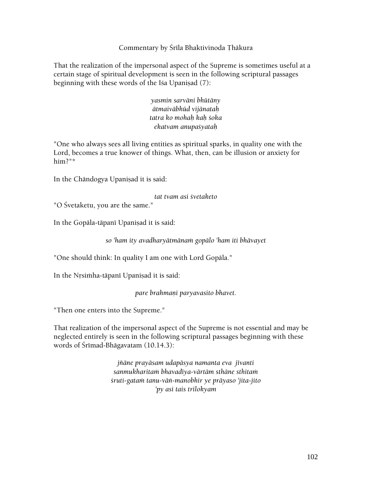Commentary by Srīla Bhaktivinoda Thākura

That the realization of the impersonal aspect of the Supreme is sometimes useful at a certain stage of spiritual development is seen in the following scriptural passages beginning with these words of the Isa Upanisad  $(7)$ :

> *yasmin sarväni bhütäny ätmaiväbhüd vijänataù tatra ko mohaù kaù çoka ekatvam anupaçyataù*

"One who always sees all living entities as spiritual sparks, in quality one with the Lord, becomes a true knower of things. What, then, can be illusion or anxiety for him?"\*

In the Chāndogya Upanisad it is said:

*tat tvam asi çvetaketo* 

"O Śvetaketu, you are the same."

In the Gopāla-tāpanī Upanisad it is said:

*so 'ham ity avadharyätmänaà gopälo 'ham iti bhävayet* 

"One should think: In quality I am one with Lord Gopäla."

In the Nrsimha-tāpanī Upanisad it is said:

*pare brahmaëi paryavasito bhavet.* 

"Then one enters into the Supreme."

That realization of the impersonal aspect of the Supreme is not essential and may be neglected entirely is seen in the following scriptural passages beginning with these words of Śrīmad-Bhāgavatam  $(10.14.3)$ :

> *jïäne prayäsam udapäsya namanta eva jévanti sanmukharitaà bhavadéya-värtäm sthäne sthitaà çruti-gataà tanu-väì-manobhir ye präyaso 'jita-jito 'py asi tais trilokyam*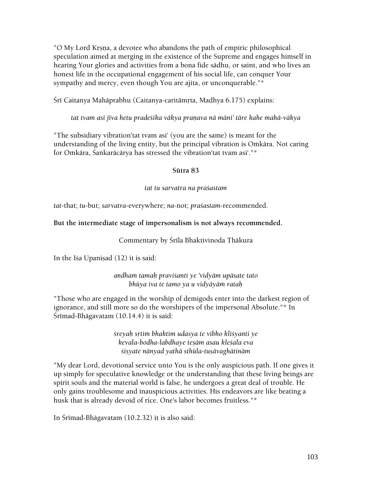"O My Lord Krsna, a devotee who abandons the path of empiric philosophical speculation aimed at merging in the existence of the Supreme and engages himself in hearing Your glories and activities from a bona fide sädhu, or saint, and who lives an honest life in the occupational engagement of his social life, can conquer Your sympathy and mercy, even though You are ajita, or unconquerable."\*

Śrī Caitanya Mahāprabhu (Caitanya-caritāmṛta, Madhya 6.175) explains:

tat tvam asi jīva hetu pradeśika vākya pranava nā māni' tāre kahe mahā-vākya

"The subsidiary vibration'tat tvam asi' (you are the same) is meant for the understanding of the living entity, but the principal vibration is Omkāra. Not caring for Omkāra, Śaṅkarācārya has stressed the vibration'tat tvam asi'."\*

#### **Sütra 83**

#### *tat tu sarvatra na praçastam*

*tat*-that; *tu*-but; *sarvatra*-everywhere; *na*-not; *praçastam*-recommended.

# **But the intermediate stage of impersonalism is not always recommended.**

Commentary by Śrīla Bhaktivinoda Thākura

In the Isa Upanisad  $(12)$  it is said:

*andhaà tamaù praviçanti ye 'vidyäm upäsate tato bhüya iva te tamo ya u vidyäyäà rataù* 

"Those who are engaged in the worship of demigods enter into the darkest region of ignorance, and still more so do the worshipers of the impersonal Absolute."\* In  $S$ rīmad-Bhāgavatam  $(10.14.4)$  it is said:

> *çreyaù såtià bhaktim udasya te vibho kliçyanti ye kevala-bodha-labdhaye teñäm asau kleçala eva çiñyate nänyad yathä sthüla-tuñävaghätinäm*

"My dear Lord, devotional service unto You is the only auspicious path. If one gives it up simply for speculative knowledge or the understanding that these living beings are spirit souls and the material world is false, he undergoes a great deal of trouble. He only gains troublesome and inauspicious activities. His endeavors are like beating a husk that is already devoid of rice. One's labor becomes fruitless."\*

In Śrīmad-Bhāgavatam (10.2.32) it is also said: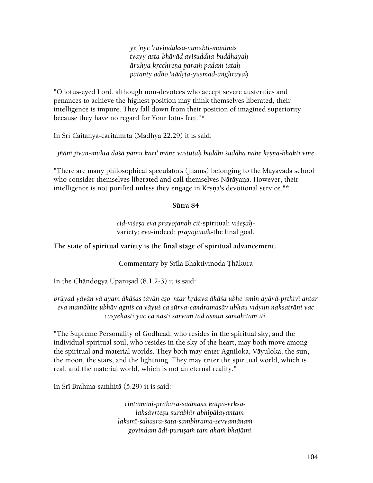*ye 'nye 'ravindäkña-vimukti-mäninas tvayy asta-bhäväd aviçuddha-buddhayaù äruhya kåcchreëa paraà padaà tataù patanty adho 'nädåta-yuñmad-aìghrayaù* 

"O lotus-eyed Lord, although non-devotees who accept severe austerities and penances to achieve the highest position may think themselves liberated, their intelligence is impure. They fall down from their position of imagined superiority because they have no regard for Your lotus feet."\*

In Šrī Caitanya-caritāmrta (Madhya 22.29) it is said:

jñānī jīvan-mukta daśā pāinu kari' māne vastutah buddhi śuddha nahe krsna-bhakti vine

"There are many philosophical speculators (jñānīs) belonging to the Māyāvāda school who consider themselves liberated and call themselves Nārāyana. However, their intelligence is not purified unless they engage in Krsna's devotional service."\*

# **Sütra 84**

*cid-viçeña eva prayojanaù cit*-spiritual; *viçeñaù*variety; *eva*-indeed; *prayojanaù*-the final goal.

# **The state of spiritual variety is the final stage of spiritual advancement.**

Commentary by Śrīla Bhaktivinoda Thākura

In the Chāndogya Upanisad  $(8.1.2-3)$  it is said:

brüyad yävän vä ayam äkäśas tävän eşo 'ntar hrdaya äkäśa ubhe 'smin dyävä-prthivī antar *eva mamähite ubhäv agniç ca väyuç ca sürya-candramasäv ubhau vidyun nakñaträëi yac*   $c$ āsyehāsti yac ca nāsti sarvam tad asmin samāhitam iti.

"The Supreme Personality of Godhead, who resides in the spiritual sky, and the individual spiritual soul, who resides in the sky of the heart, may both move among the spiritual and material worlds. They both may enter Agniloka, Väyuloka, the sun, the moon, the stars, and the lightning. They may enter the spiritual world, which is real, and the material world, which is not an eternal reality."

In Śrī Brahma-saṁhitā (5.29) it is said:

*cintämaëi-prakara-sadmasu kalpa-vrkñalakñävåteñu surabhér abhipälayantam lakñmé-sahasra-çata-sambhrama-sevyamänaà govindam ädi-puruñaà tam ahaà bhajämi*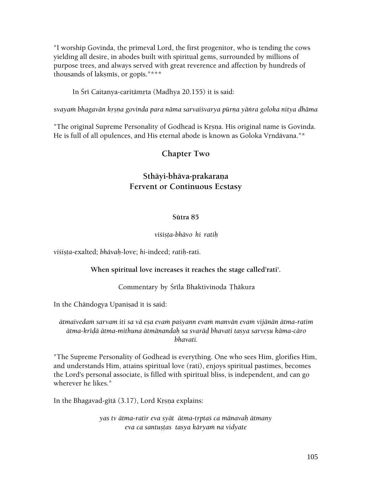"I worship Govinda, the primeval Lord, the first progenitor, who is tending the cows yielding all desire, in abodes built with spiritual gems, surrounded by millions of purpose trees, and always served with great reverence and affection by hundreds of thousands of lakṣmīs, or gopīs."\*\*\*

In Šrī Caitanya-caritāmrta (Madhya 20.155) it is said:

svayam bhagavān krsna govinda para nāma sarvaišvarya pūrna yānra goloka nitya dhāma

"The original Supreme Personality of Godhead is Krsna. His original name is Govinda. He is full of all opulences, and His eternal abode is known as Goloka Vrndävana."\*

# **Chapter Two**

# Sthāyi-bhāva-prakaraņa **Fervent or Continuous Ecstasy**

# **Sütra 85**

#### *viçiñöa-bhävo hi ratiù*

*viçiñöa*-exalted; *bhävaù*-love; *hi*-indeed; *ratiù*-rati.

# **When spiritual love increases it reaches the stage called'rati'.**

# Commentary by Śrīla Bhaktivinoda Thākura

In the Chāndogya Upaniṣad it is said:

*ätmaivedaà sarvam iti sa vä eña evaà paçyann evaà manvän evaà vijänän ätma-ratim ätma-kréòä ätma-mithuna ätmänandaù sa svaräò bhavati tasya sarveñu käma-cäro bhavati.* 

"The Supreme Personality of Godhead is everything. One who sees Him, glorifies Him, and understands Him, attains spiritual love (rati), enjoys spiritual pastimes, becomes the Lord's personal associate, is filled with spiritual bliss, is independent, and can go wherever he likes."

In the Bhagavad-gitā (3.17), Lord Krsna explains:

*yas tv ätma-ratir eva syät ätma-tåptaç ca mänavaù ätmany*   $eva$  ca santustas tasya kāryam na vidyate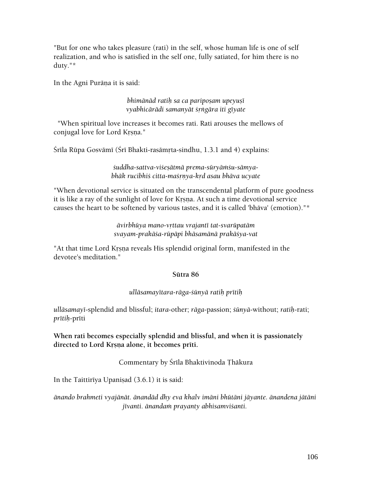"But for one who takes pleasure (rati) in the self, whose human life is one of self realization, and who is satisfied in the self one, fully satiated, for him there is no duty."\*

In the Agni Purāna it is said:

*bhimānād ratih sa ca pariposam upeyusī vyabhicärädi samanyät çåìgära iti géyate* 

 "When spiritual love increases it becomes rati. Rati arouses the mellows of conjugal love for Lord Krsna."

Śrīla Rūpa Gosvāmī (Šrī Bhakti-rasāmṛta-sindhu, 1.3.1 and 4) explains:

śuddha-sattva-viśesātmā prema-sūryāmśu-sāmya*bhäk rucibhiç citta-maçåëya-kåd asau bhäva ucyate* 

"When devotional service is situated on the transcendental platform of pure goodness it is like a ray of the sunlight of love for Krsna. At such a time devotional service causes the heart to be softened by various tastes, and it is called 'bhäva' (emotion)."\*

> *ävirbhüya mano-våttau vrajanté tat-svarüpatäm svayam-prakäça-rüpäpi bhäsamänä prakäçya-vat*

"At that time Lord Krsna reveals His splendid original form, manifested in the devotee's meditation."

#### **Sütra 86**

#### *ulläsamayétara-räga-çünyä ratiù prétiù*

*ulläsamayé*-splendid and blissful; *itara*-other; *räga*-passion; *çünyä*-without; *ratiù*-rati;  $pr$ ītiņ-prīti

**When rati becomes especially splendid and blissful, and when it is passionately**  directed to Lord Krsna alone, it becomes prīti.

Commentary by Śrīla Bhaktivinoda Thākura

In the Taittiriya Upanisad  $(3.6.1)$  it is said:

*änando brahmeti vyajänät. änandäd dhy eva khalv imäni bhütäni jäyante. änandena jätäni*  jīvanti. ānandam prayanty abhisamvi*santi*.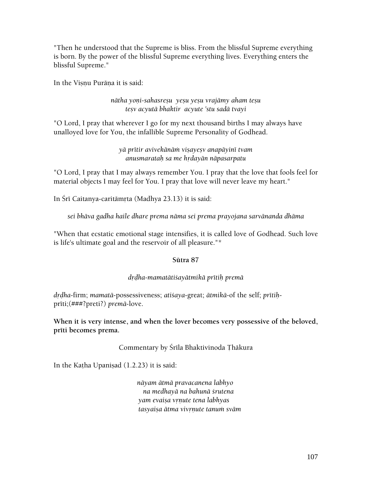"Then he understood that the Supreme is bliss. From the blissful Supreme everything is born. By the power of the blissful Supreme everything lives. Everything enters the blissful Supreme."

In the Visnu Purāņa it is said:

*nätha yoëi-sahasreñu yeñu yeñu vrajämy aham teñu teñv acyutä bhaktir acyute 'stu sadä tvayi* 

"O Lord, I pray that wherever I go for my next thousand births I may always have unalloyed love for You, the infallible Supreme Personality of Godhead.

> *yä prétir avivekänäà viñayeñv anapäyiné tvam anusmarataù sa me hådayän näpasarpatu*

"O Lord, I pray that I may always remember You. I pray that the love that fools feel for material objects I may feel for You. I pray that love will never leave my heart."

In Šrī Caitanya-caritāmrta (Madhya 23.13) it is said:

*sei bhäva gadha haile dhare prema näma sei prema prayojana sarvänanda dhäma* 

"When that ecstatic emotional stage intensifies, it is called love of Godhead. Such love is life's ultimate goal and the reservoir of all pleasure."\*

# **Sütra 87**

# *dåòha-mamatätiçayätmikä prétiù premä*

*dåòha*-firm; *mamatä*-possessiveness; *atiçaya*-great; *ätmikä*-of the self; *prétiù*prīti;(###?preti?) *premā-love*.

**When it is very intense, and when the lover becomes very possessive of the beloved,**  prīti becomes prema.

# Commentary by Śrīla Bhaktivinoda Ţhākura

In the Katha Upanisad  $(1.2.23)$  it is said:

*näyam ätmä pravacanena labhyo na medhayä na bahunä çrutena yam evaisa vrnute tena labhyas tasyaiña ätma vivåëute tanuà sväm*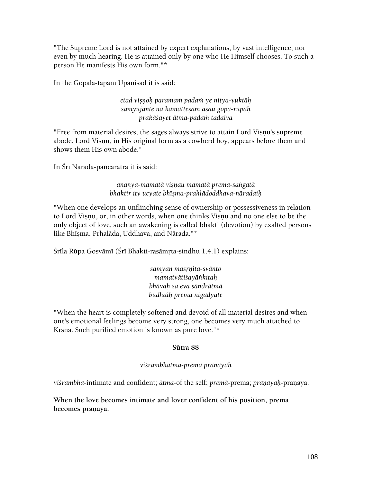"The Supreme Lord is not attained by expert explanations, by vast intelligence, nor even by much hearing. He is attained only by one who He Himself chooses. To such a person He manifests His own form."\*

In the Gopāla-tāpanī Upaniṣad it is said:

*etad viñëoù paramaà padaà ye nitya-yuktäù samyujante na kämätteñäm asau gopa-rüpaù prakäçayet ätma-padaà tadaiva* 

"Free from material desires, the sages always strive to attain Lord Vișnu's supreme abode. Lord Visnu, in His original form as a cowherd boy, appears before them and shows them His own abode."

In Śrī Nārada-pañcarātra it is said:

*ananya-mamatä viñëau mamatä prema-saìgatä bhaktir ity ucyate bhéñma-prahlädoddhava-näradaiù* 

"When one develops an unflinching sense of ownership or possessiveness in relation to Lord Visnu, or, in other words, when one thinks Visnu and no one else to be the only object of love, such an awakening is called bhakti (devotion) by exalted persons like Bhīsma, Prhalāda, Uddhava, and Nārada."\*

Śrīla Rūpa Gosvāmī (Śrī Bhakti-rasāmṛta-sindhu 1.4.1) explains:

*samyaì masåëita-svänto mamatvätiçayäìkitaù bhävaù sa eva sändrätmä budhaiù prema nigadyate* 

"When the heart is completely softened and devoid of all material desires and when one's emotional feelings become very strong, one becomes very much attached to Krsna. Such purified emotion is known as pure love."\*

# **Sütra 88**

# *viçrambhätma-premä praëayaù*

*vi§rambha*-intimate and confident; *ātma*-of the self; *premā*-prema; *pranayah*-pranaya.

**When the love becomes intimate and lover confident of his position, prema**  becomes praņaya.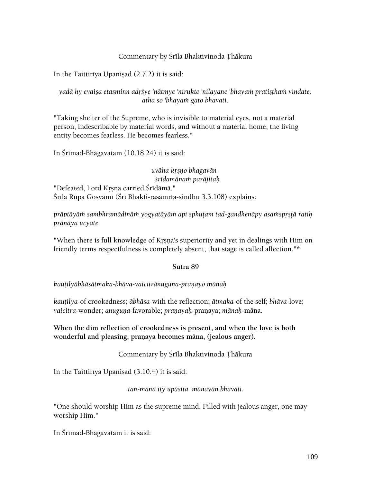### Commentary by Śrīla Bhaktivinoda Thākura

In the Taittiriya Upanisad  $(2.7.2)$  it is said:

*yadā hy evaisa etasminn adršye 'nātmye 'nirukte 'nilayane 'bhayam pratistham vindate. atha so 'bhayaà gato bhavati.* 

"Taking shelter of the Supreme, who is invisible to material eyes, not a material person, indescribable by material words, and without a material home, the living entity becomes fearless. He becomes fearless."

In Srīmad-Bhāgavatam (10.18.24) it is said:

*uväha kåñëo bhagavän çrédamänaà paräjitaù*  "Defeated, Lord Krsna carried Śrīdāmā." Śrīla Rūpa Gosvāmī (Śrī Bhakti-rasāmṛta-sindhu 3.3.108) explains:

präptäyäm sambhramädinäm yogyatäyäm api sphutam tad-gandhenäpy asamsprstä ratih prānāya ucyate

"When there is full knowledge of Krsna's superiority and yet in dealings with Him on friendly terms respectfulness is completely absent, that stage is called affection."\*

#### **Sütra 89**

*kauöilyäbhäsätmaka-bhäva-vaicitränuguëa-praëayo mänaù* 

*kautilya-of crookedness; <i>ābhāsa-with the reflection; ātmaka-of the self; bhāva-love; vaicitra*-wonder; *anuguëa*-favorable; *praëayaù*-praëaya; *mänaù*-mäna.

### **When the dim reflection of crookedness is present, and when the love is both**  wonderful and pleasing, pranaya becomes māna, (jealous anger).

### Commentary by Śrīla Bhaktivinoda Thākura

In the Taittiriya Upaniṣad  $(3.10.4)$  it is said:

*tan-mana ity upäséta. mänavän bhavati.* 

"One should worship Him as the supreme mind. Filled with jealous anger, one may worship Him."

In Srimad-Bhāgavatam it is said: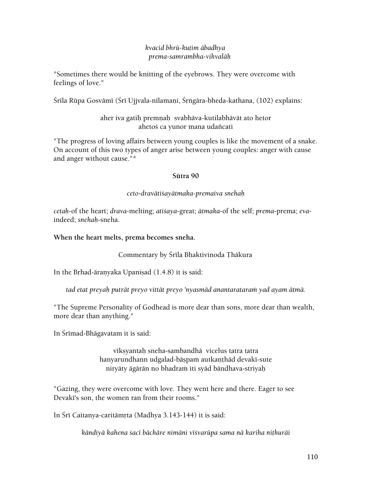### *kvacid bhrü-kuöim äbadhya prema-samrambha-vihvaläù*

"Sometimes there would be knitting of the eyebrows. They were overcome with feelings of love."

Śrīla Rūpa Gosvāmī (Śrī Ujjvala-nīlamani, Śrṅgāra-bheda-kathana, (102) explains:

# aher iva gatih premnah svabhāva-kutilabhāvāt ato hetor ahetoś ca yunor mana udañcati

"The progress of loving affairs between young couples is like the movement of a snake. On account of this two types of anger arise between young couples: anger with cause and anger without cause."\*

### **Sütra 90**

# *ceto-dravätiçayätmaka-premaiva snehaù*

*cetaù*-of the heart; *drava*-melting; *atiçaya*-great; *ätmaka*-of the self; *prema*-prema; *eva*indeed; *snehaù*-sneha.

### **When the heart melts, prema becomes sneha.**

Commentary by Śrīla Bhaktivinoda Thākura

In the Brhad-āranyaka Upanisad  $(1.4.8)$  it is said:

*tad etat preyaù puträt preyo vittät preyo 'nyasmäd anantarataraà yad ayam ätmä.* 

"The Supreme Personality of Godhead is more dear than sons, more dear than wealth, more dear than anything."

In Śrīmad-Bhāgavatam it is said:

vīksyantah sneha-sambandhā vicelus tatra tatra hanyarundhann udgalad-bāspam autkanthād devakī-sute niryāty āgārān no bhadram iti syād bāndhava-striyah

"Gazing, they were overcome with love. They went here and there. Eager to see Devaki's son, the women ran from their rooms."

In Śrī Caitanya-caritāmŗta (Madhya 3.143-144) it is said:

*kändiyä kahena çacé bächäre nimäni véçvarüpa sama nä kariha niöhuräi*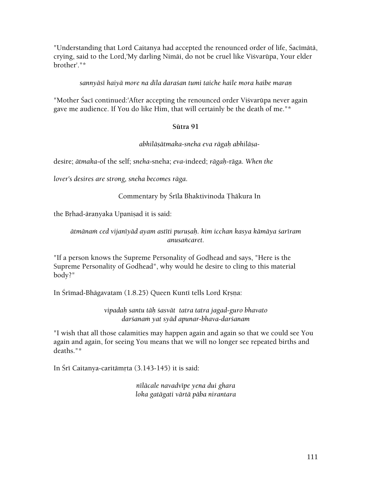"Understanding that Lord Caitanya had accepted the renounced order of life, Sacīmātā, crying, said to the Lord,'My darling Nimäi, do not be cruel like Viçvarüpa, Your elder brother'."\*

*sannyäsé haiyä more na dila daraçan tumi taiche haile mora haibe maraë* 

"Mother Śacī continued:'After accepting the renounced order Visvarūpa never again gave me audience. If You do like Him, that will certainly be the death of me."\*

# **Sütra 91**

*abhiläñätmaka-sneha eva rägaù abhiläña*-

desire; *ätmaka*-of the self; *sneha*-sneha; *eva*-indeed; *rägaù*-räga. *When the* 

*lover's desires are strong, sneha becomes räga*.

Commentary by Śrīla Bhaktivinoda Thākura In

the Brhad-āranyaka Upanisad it is said:

*ätmänaà ced vijanéyäd ayam astéti puruñaù. kim icchan kasya kämäya çaréram anusaïcaret.* 

"If a person knows the Supreme Personality of Godhead and says, "Here is the Supreme Personality of Godhead", why would he desire to cling to this material body?"

In Śrīmad-Bhāgavatam (1.8.25) Queen Kuntī tells Lord Krsna:

*vipadaù santu täù çasvät tatra tatra jagad-guro bhavato darçanaà yat syäd apunar-bhava-darçanam* 

"I wish that all those calamities may happen again and again so that we could see You again and again, for seeing You means that we will no longer see repeated births and deaths."\*

In Śrī Caitanya-caritāmrta (3.143-145) it is said:

*néläcale navadvépe yena dui ghara loka gatägati värtä päba nirantara*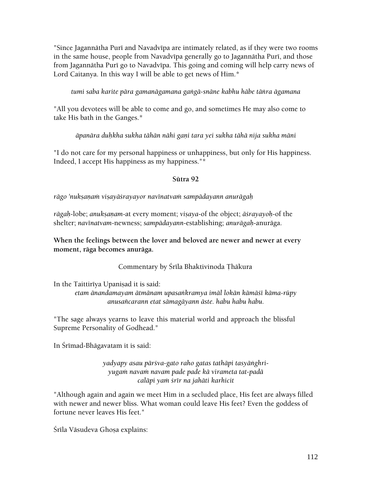"Since Jagannātha Purī and Navadvīpa are intimately related, as if they were two rooms in the same house, people from Navadvīpa generally go to Jagannātha Purī, and those from Jagannātha Purī go to Navadvīpa. This going and coming will help carry news of Lord Caitanya. In this way I will be able to get news of Him.\*

*tumi saba karite pära gamanägamana gaìgä-snäne kabhu häbe täìra ägamana* 

"All you devotees will be able to come and go, and sometimes He may also come to take His bath in the Ganges.\*

*äpanära duùkha sukha tähän nähi gaëi tara yei sukha tähä nija sukha mäni* 

"I do not care for my personal happiness or unhappiness, but only for His happiness. Indeed, I accept His happiness as my happiness."\*

#### **Sütra 92**

*rägo 'nukñaëaà viñayäçrayayor navénatvaà sampädayann anurägaù* 

rāgah-lobe; anukṣaṇam-at every moment; *viṣaya-of the object; āśrayayoḥ-of the* shelter; *navénatvam*-newness; *sampädayann*-establishing; *anurägaù*-anuräga.

**When the feelings between the lover and beloved are newer and newer at every moment, räga becomes anuräga.** 

Commentary by Śrīla Bhaktivinoda Thākura

In the Taittiriya Upanisad it is said:

*etam änandamayam ätmänam upasaìkramya imäl lokän kämäçé käma-rüpy anusaïcarann etat sämagäyann äste. habu habu habu.* 

"The sage always yearns to leave this material world and approach the blissful Supreme Personality of Godhead."

In Śrīmad-Bhāgavatam it is said:

*yadyapy asau pärçva-gato raho gatas tathäpi tasyäìghriyugaà navaà navam pade pade kä virameta tat-padä caläpi yaà çrér na jahäti karhicit* 

"Although again and again we meet Him in a secluded place, His feet are always filled with newer and newer bliss. What woman could leave His feet? Even the goddess of fortune never leaves His feet."

Śrīla Vāsudeva Ghosa explains: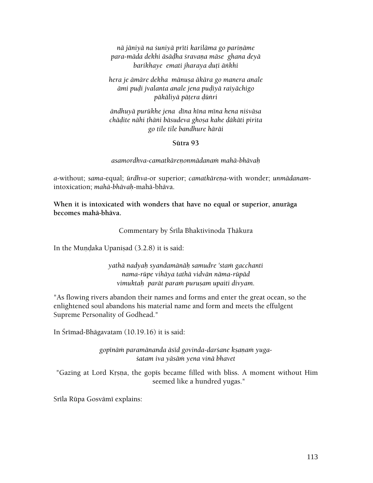*nä jäniyä na çuniyä préti kariläma go pariëäme para-mäda dekhi äsäòha çravaëa mäse ghana deyä barikhaye emati jharaya duöi äìkhi* 

*hera je ämäre dekha mänuña äkära go manera anale ämi puòi jvalanta anale jena puòiyä raiyächigo päkäliyä päöera òüìri* 

*ändhuyä purükhe jena déna héna ména hena niçväsa chäòite nähi öhäìi bäsudeva ghoña kahe òäkäti pirita go tile tile bandhure häräi* 

#### **Sütra 93**

*asamordhva-camatkäreëonmädanaà mahä-bhävaù* 

*a*-without; *sama*-equal; *ürdhva*-or superior; *camatkäreëa*-with wonder; *unmädanam*intoxication; *mahä-bhävaù*-mahä-bhäva.

**When it is intoxicated with wonders that have no equal or superior, anuräga becomes mahä-bhäva.** 

Commentary by Śrīla Bhaktivinoda Thākura

In the Mundaka Upanisad (3.2.8) it is said:

*yathä nadyaù syandamänäù samudre 'staà gacchanti nama-rüpe vihäya tathä vidvän näma-rüpäd vimuktaù parät paraà puruñam upaiti divyam.* 

"As flowing rivers abandon their names and forms and enter the great ocean, so the enlightened soul abandons his material name and form and meets the effulgent Supreme Personality of Godhead."

In Śrīmad-Bhāgavatam (10.19.16) it is said:

gopīnām paramānanda āsīd govinda-dar*šane ksaņam yugaçatam iva yäsäà yena vinä bhavet* 

"Gazing at Lord Krsna, the gopis became filled with bliss. A moment without Him seemed like a hundred yugas."

Srīla Rūpa Gosvāmī explains: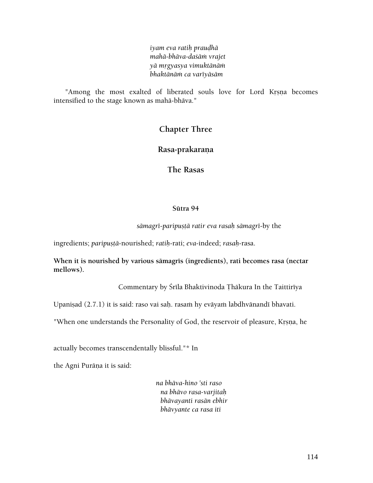*iyam eva ratiù prauòhä mahä-bhäva-daçäà vrajet yä mågyasya vimuktänäà bhaktänäà ca varéyäsäm* 

"Among the most exalted of liberated souls love for Lord Krsna becomes intensified to the stage known as mahä-bhäva."

# **Chapter Three**

# **Rasa-prakaraëa**

**The Rasas** 

#### **Sütra 94**

*sämagré-paripuñöä ratir eva rasaù sämagré*-by the

ingredients; *paripustā-nourished; ratih-rati; eva-indeed; rasah-rasa.* 

When it is nourished by various sāmagrīs (ingredients), rati becomes rasa (nectar **mellows).** 

Commentary by Śrīla Bhaktivinoda Thākura In the Taittirīya

Upaniṣad (2.7.1) it is said: raso vai saḥ. rasaṁ hy evāyaṁ labdhvānandī bhavati.

"When one understands the Personality of God, the reservoir of pleasure, Krsna, he

actually becomes transcendentally blissful."\* In

the Agni Purāna it is said:

*na bhäva-hino 'sti raso na bhävo rasa-varjitaù bhävayanti rasän ebhir bhävyante ca rasa iti*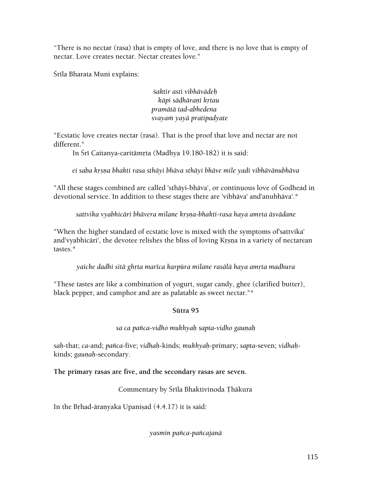"There is no nectar (rasa) that is empty of love, and there is no love that is empty of nectar. Love creates nectar. Nectar creates love."

Śrīla Bharata Muni explains:

ç*aktir asti vibhävädeù käpi sädhäraëé kåtau pramätä tad-abhedena svayaà yayä pratipadyate* 

"Ecstatic love creates nectar (rasa). That is the proof that love and nectar are not different."

In Śrī Caitanya-caritāmrta (Madhya 19.180-182) it is said:

*ei saba kåñëa bhakti rasa sthäyi bhäva sthäyi bhäve mile yadi vibhävänubhäva* 

"All these stages combined are called 'sthäyi-bhäva', or continuous love of Godhead in devotional service. In addition to these stages there are 'vibhäva' and'anubhäva'.\*

*sattvika vyabhicäri bhävera milane kåñëa-bhakti-rasa haya amåta äsvädane* 

"When the higher standard of ecstatic love is mixed with the symptoms of'sattvika' and'vyabhicāri', the devotee relishes the bliss of loving Krsna in a variety of nectarean tastes.\*

*yaiche dadhi sitä ghåta maréca karpüra milane rasälä haya amåta madhura* 

"These tastes are like a combination of yogurt, sugar candy, ghee (clarified butter), black pepper, and camphor and are as palatable as sweet nectar."\*

# **Sütra 95**

*sa ca païca-vidho mukhyaù sapta-vidho gauëaù* 

*saù*-that; *ca*-and; *païca*-five; *vidhaù*-kinds; *mukhyaù*-primary; *sapta*-seven; *vidhaù*kinds; *gaunah-secondary*.

**The primary rasas are five, and the secondary rasas are seven.** 

Commentary by Śrīla Bhaktivinoda Thākura

In the Brhad-āranyaka Upanisad  $(4.4.17)$  it is said:

*yasmin païca-païcajanä*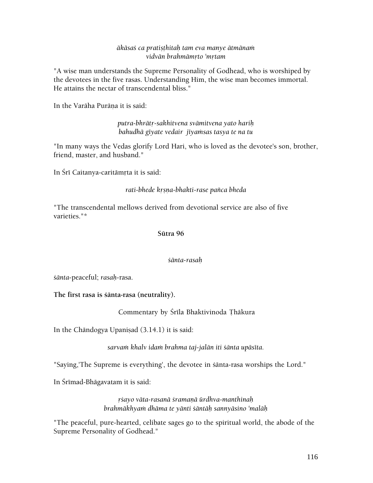#### $\bar{a}$ kāsaś ca pratiṣṭhitaḥ tam eva manye ātmānaṁ *vidvän brahmämåto 'måtam*

"A wise man understands the Supreme Personality of Godhead, who is worshiped by the devotees in the five rasas. Understanding Him, the wise man becomes immortal. He attains the nectar of transcendental bliss."

In the Varāha Purāna it is said:

*putra-bhrätå-sakhitvena svämitvena yato hariù*  bahudhā gīyate vedair jīyamsas tasya te na tu

"In many ways the Vedas glorify Lord Hari, who is loved as the devotee's son, brother, friend, master, and husband."

In Śrī Caitanya-caritāmrta it is said:

*rati-bhede kåñëa-bhakti-rase païca bheda* 

"The transcendental mellows derived from devotional service are also of five varieties."\*

#### **Sütra 96**

#### *çänta-rasaù*

*çänta*-peaceful; *rasaù*-rasa.

**The first rasa is çänta-rasa (neutrality).** 

Commentary by Śrīla Bhaktivinoda Thākura

In the Chāndogya Upanisad  $(3.14.1)$  it is said:

*sarvaà khalv idaà brahma taj-jalän iti çänta upäséta.* 

"Saying,'The Supreme is everything', the devotee in śānta-rasa worships the Lord."

In Śrīmad-Bhāgavatam it is said:

*åçayo väta-rasanä çramaëä ürdhva-manthinaù brahmäkhyaà dhäma te yänti çäntäù sannyäsino 'maläù* 

"The peaceful, pure-hearted, celibate sages go to the spiritual world, the abode of the Supreme Personality of Godhead."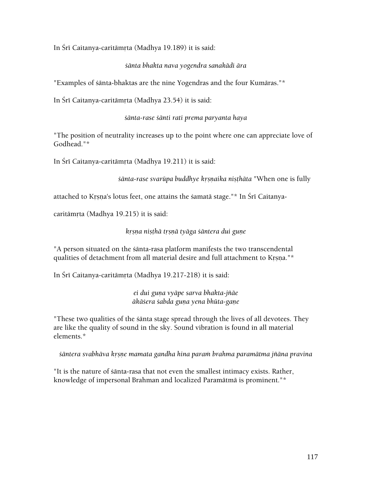In Śrī Caitanya-caritāmŗta (Madhya 19.189) it is said:

#### *çänta bhakta nava yogendra sanakädi ära*

"Examples of śānta-bhaktas are the nine Yogendras and the four Kumāras."\*

In Śrī Caitanya-caritāmrta (Madhya 23.54) it is said:

*çänta-rase çänti rati prema paryanta haya* 

"The position of neutrality increases up to the point where one can appreciate love of Godhead."\*

In Śrī Caitanya-caritāmrta (Madhya 19.211) it is said:

*sānta-rase svarūpa buddhye krsnaika nişthāta* "When one is fully

attached to Krsna's lotus feet, one attains the samatā stage."\* In Śrī Caitanya-

caritāmŗta (Madhya 19.215) it is said:

*kåñëa niñöhä tåñëä tyäga çäntera dui guëe* 

"A person situated on the sānta-rasa platform manifests the two transcendental qualities of detachment from all material desire and full attachment to Krsna."\*

In Śrī Caitanya-caritāmŗta (Madhya 19.217-218) it is said:

*ei dui guëa vyäpe sarva bhakta-jïäe äkäçera çabda guëa yena bhüta-gaëe* 

"These two qualities of the çänta stage spread through the lives of all devotees. They are like the quality of sound in the sky. Sound vibration is found in all material elements.\*

*çäntera svabhäva kåñëe mamata gandha hina paraà brahma paramätma jïäna pravina* 

"It is the nature of çänta-rasa that not even the smallest intimacy exists. Rather, knowledge of impersonal Brahman and localized Paramätmä is prominent."\*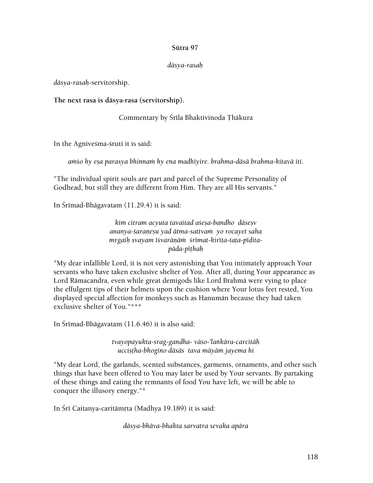#### **Sütra 97**

#### *däsya-rasaù*

*däsya-rasaù*-servitorship.

**The next rasa is däsya-rasa (servitorship).** 

Commentary by Śrīla Bhaktivinoda Thākura

In the Agnivesma-sruti it is said:

*aàço hy eña parasya bhinnaà hy ena madhéyire. brahma-däsä brahma-kitavä iti*.

"The individual spirit souls are part and parcel of the Supreme Personality of Godhead, but still they are different from Him. They are all His servants."

In Śrīmad-Bhāgavatam  $(11.29.4)$  it is said:

*kim citram acyuta tavaitad asesa-bandho dāsesv ananya-çaraëeñu yad ätma-sattvaà yo rocayet saha mrgaih svayam iśvarānām śrīmat-kirīta-tata-pīditapäda-péöhaù* 

"My dear infallible Lord, it is not very astonishing that You intimately approach Your servants who have taken exclusive shelter of You. After all, during Your appearance as Lord Rämacandra, even while great demigods like Lord Brahmä were vying to place the effulgent tips of their helmets upon the cushion where Your lotus feet rested, You displayed special affection for monkeys such as Hanumän because they had taken exclusive shelter of You."\*\*\*

In Śrīmad-Bhāgavatam  $(11.6.46)$  it is also said:

*tvayopayukta-srag-gandha- väso-'laìkära-carcitäù ucciñöha-bhogino däsäs tava mäyäà jayema hi* 

"My dear Lord, the garlands, scented substances, garments, ornaments, and other such things that have been offered to You may later be used by Your servants. By partaking of these things and eating the remnants of food You have left, we will be able to conquer the illusory energy."\*

In Śrī Caitanya-caritāmrta (Madhya 19.189) it is said:

*däsya-bhäva-bhakta sarvatra sevaka apära*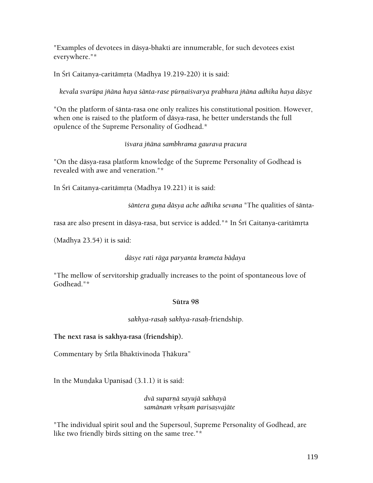"Examples of devotees in däsya-bhakti are innumerable, for such devotees exist everywhere."\*

In Śrī Caitanya-caritāmrta (Madhya 19.219-220) it is said:

*kevala svarüpa jïäna haya çänta-rase pürëaiçvarya prabhura jïäna adhika haya däsye* 

"On the platform of çänta-rasa one only realizes his constitutional position. However, when one is raised to the platform of däsya-rasa, he better understands the full opulence of the Supreme Personality of Godhead.\*

# *éçvara jïäna sambhrama gaurava pracura*

"On the däsya-rasa platform knowledge of the Supreme Personality of Godhead is revealed with awe and veneration."\*

In Śrī Caitanya-caritāmrta (Madhya 19.221) it is said:

*sāntera guna dāsya ache adhika sevana* "The qualities of *śānta-*

rasa are also present in dāsya-rasa, but service is added."\* In Śrī Caitanya-caritāmrta

(Madhya 23.54) it is said:

# *däsye rati räga paryanta krameta bäòaya*

"The mellow of servitorship gradually increases to the point of spontaneous love of Godhead."\*

### **Sütra 98**

*sakhya-rasaù sakhya-rasaù*-friendship.

**The next rasa is sakhya-rasa (friendship).** 

Commentary by Śrīla Bhaktivinoda Thākura"

In the Mundaka Upanisad  $(3.1.1)$  it is said:

*dvä suparëä sayujä sakhayä samänaà våkñaà parisañvajäte* 

"The individual spirit soul and the Supersoul, Supreme Personality of Godhead, are like two friendly birds sitting on the same tree."\*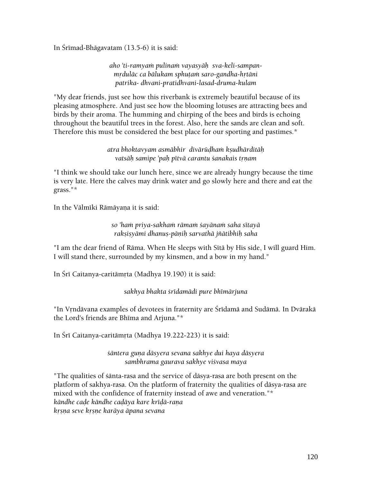In Srimad-Bhāgavatam  $(13.5-6)$  it is said:

aho 'ti-ramyam pulinam vayasyāh sva-keli-sampan*mrdulāc ca bālukam sphutam saro-gandha-hrtāni patrika- dhvani-pratidhvani-lasad-druma-kulam* 

"My dear friends, just see how this riverbank is extremely beautiful because of its pleasing atmosphere. And just see how the blooming lotuses are attracting bees and birds by their aroma. The humming and chirping of the bees and birds is echoing throughout the beautiful trees in the forest. Also, here the sands are clean and soft. Therefore this must be considered the best place for our sporting and pastimes.\*

> *atra bhoktavyam asmäbhir divärüòhaà kñudhärditäù*  vatsāh samipe 'pah pītvā carantu *sanakais trnam*

"I think we should take our lunch here, since we are already hungry because the time is very late. Here the calves may drink water and go slowly here and there and eat the grass."\*

In the Vālmīki Rāmāyaņa it is said:

*so 'haà priya-sakhaà rämaà çayänaà saha sétayä rakñiñyämi dhanuñ-päëiù sarvathä jïätibhiù saha* 

"I am the dear friend of Rāma. When He sleeps with Sītā by His side, I will guard Him. I will stand there, surrounded by my kinsmen, and a bow in my hand."

In Śrī Caitanya-caritāmrta (Madhya 19.190) it is said:

*sakhya bhakta çrédamädi pure bhémärjuna* 

"In Vrndävana examples of devotees in fraternity are Śrīdamā and Sudāmā. In Dvārakā the Lord's friends are Bhima and Arjuna."\*

In Śrī Caitanya-caritāmrta (Madhya 19.222-223) it is said:

*çäntera guëa däsyera sevana sakhye dui haya däsyera sambhrama gaurava sakhye viçvasa maya* 

"The qualities of çänta-rasa and the service of däsya-rasa are both present on the platform of sakhya-rasa. On the platform of fraternity the qualities of däsya-rasa are mixed with the confidence of fraternity instead of awe and veneration."\* *kāndhe cade kāndhe cadāya kare krīdā-rana kåñëa seve kåñëe karäya äpana sevana*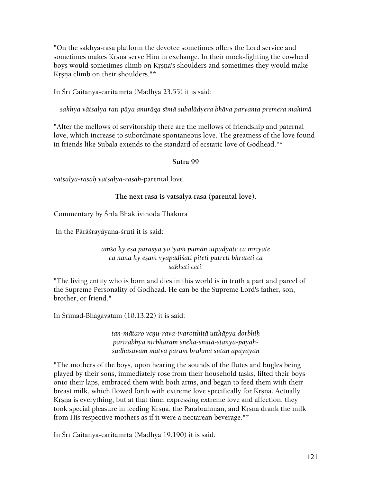"On the sakhya-rasa platform the devotee sometimes offers the Lord service and sometimes makes Krsna serve Him in exchange. In their mock-fighting the cowherd boys would sometimes climb on Krsna's shoulders and sometimes they would make Krsna climb on their shoulders."\*

In Šrī Caitanya-caritāmrta (Madhya 23.55) it is said:

*sakhya vätsalya rati päya anuräga sémä subalädyera bhäva paryanta premera mahimä* 

"After the mellows of servitorship there are the mellows of friendship and paternal love, which increase to subordinate spontaneous love. The greatness of the love found in friends like Subala extends to the standard of ecstatic love of Godhead."\*

### **Sütra 99**

*vatsalya-rasaù vatsalya-rasaù*-parental love.

### **The next rasa is vatsalya-rasa (parental love).**

Commentary by Śrīla Bhaktivinoda Ţhākura

In the Pārāśrayāyana-śruti it is said:

### amso hy esa parasya yo 'yam pumān utpadyate ca mriyate *ca nänä hy eñäà vyapadiçati piteti putreti bhräteti ca sakheti ceti.*

"The living entity who is born and dies in this world is in truth a part and parcel of the Supreme Personality of Godhead. He can be the Supreme Lord's father, son, brother, or friend."

In Śrīmad-Bhāgavatam (10.13.22) it is said:

*tan-mätaro veëu-rava-tvarotthitä utthäpya dorbhiù parirabhya nirbharam sneha-snutä-stanya-payaùsudhäsavaà matvä paraà brahma sutän apäyayan* 

"The mothers of the boys, upon hearing the sounds of the flutes and bugles being played by their sons, immediately rose from their household tasks, lifted their boys onto their laps, embraced them with both arms, and began to feed them with their breast milk, which flowed forth with extreme love specifically for Krsna. Actually Krsna is everything, but at that time, expressing extreme love and affection, they took special pleasure in feeding Krsna, the Parabrahman, and Krsna drank the milk from His respective mothers as if it were a nectarean beverage."\*

In Śrī Caitanya-caritāmrta (Madhya 19.190) it is said: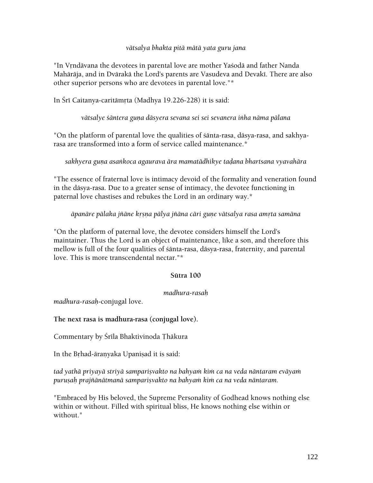#### *vätsalya bhakta pitä mätä yata guru jana*

"In Vrndävana the devotees in parental love are mother Yasodä and father Nanda Mahārāja, and in Dvārakā the Lord's parents are Vasudeva and Devakī. There are also other superior persons who are devotees in parental love."\*

In Śrī Caitanya-caritāmŗta (Madhya 19.226-228) it is said:

*vätsalye çäntera guëa däsyera sevana sei sei sevanera iìha näma pälana* 

"On the platform of parental love the qualities of çänta-rasa, däsya-rasa, and sakhyarasa are transformed into a form of service called maintenance.\*

sakhyera guna asankoca agaurava āra mamatādhikye tadana bhartsana vyavahāra

"The essence of fraternal love is intimacy devoid of the formality and veneration found in the däsya-rasa. Due to a greater sense of intimacy, the devotee functioning in paternal love chastises and rebukes the Lord in an ordinary way.\*

*äpanäre pälaka jïäne kåñëa pälya jïäna cäri guëe vätsalya rasa amåta samäna* 

"On the platform of paternal love, the devotee considers himself the Lord's maintainer. Thus the Lord is an object of maintenance, like a son, and therefore this mellow is full of the four qualities of çänta-rasa, däsya-rasa, fraternity, and parental love. This is more transcendental nectar."\*

### **Sütra 100**

### *madhura-rasaù*

*madhura-rasaù*-conjugal love.

**The next rasa is madhura-rasa (conjugal love).** 

Commentary by Śrīla Bhaktivinoda Thākura

In the Brhad-äranyaka Upanisad it is said:

tad yathā priyayā striyā samparisvakto na bahyam kim ca na veda nāntaram evāyam purusah prajñānātmanā samparisvakto na bahyam kim ca na veda nāntaram.

"Embraced by His beloved, the Supreme Personality of Godhead knows nothing else within or without. Filled with spiritual bliss, He knows nothing else within or without."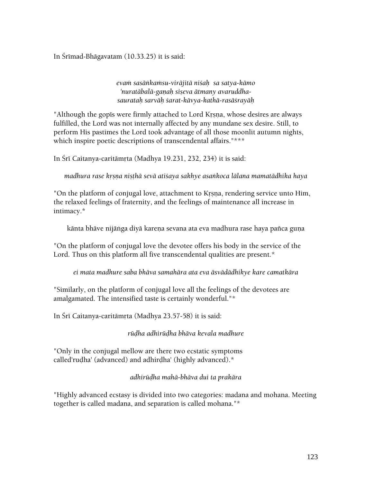In Śrīmad-Bhāgavatam (10.33.25) it is said:

*evaà sasäìkaàsu-viräjitä niçaù sa satya-kämo*  'nuratābalā-ganah siseva ātmany avaruddha*saurataù sarväù çarat-kävya-kathä-rasäçrayäù* 

"Although the gopis were firmly attached to Lord Krsna, whose desires are always fulfilled, the Lord was not internally affected by any mundane sex desire. Still, to perform His pastimes the Lord took advantage of all those moonlit autumn nights, which inspire poetic descriptions of transcendental affairs."\*\*\*

In Śrī Caitanya-caritāmrta (Madhya 19.231, 232, 234) it is said:

*madhura rase krsna nisthā sevā atišaya sakhye asankoca lālana mamatādhika haya* 

"On the platform of conjugal love, attachment to Krsna, rendering service unto Him, the relaxed feelings of fraternity, and the feelings of maintenance all increase in intimacy.\*

kānta bhāve nijāṅga diyā karena sevana ata eva madhura rase haya pañca guna

"On the platform of conjugal love the devotee offers his body in the service of the Lord. Thus on this platform all five transcendental qualities are present.\*

*ei mata madhure saba bhäva samahära ata eva äsvädädhikye kare camatkära* 

"Similarly, on the platform of conjugal love all the feelings of the devotees are amalgamated. The intensified taste is certainly wonderful."\*

In Śrī Caitanya-caritāmrta (Madhya 23.57-58) it is said:

*rüòha adhirüòha bhäva kevala madhure* 

"Only in the conjugal mellow are there two ecstatic symptoms called'rudha' (advanced) and adhirdha' (highly advanced).\*

*adhirüòha mahä-bhäva dui ta prakära* 

"Highly advanced ecstasy is divided into two categories: madana and mohana. Meeting together is called madana, and separation is called mohana."\*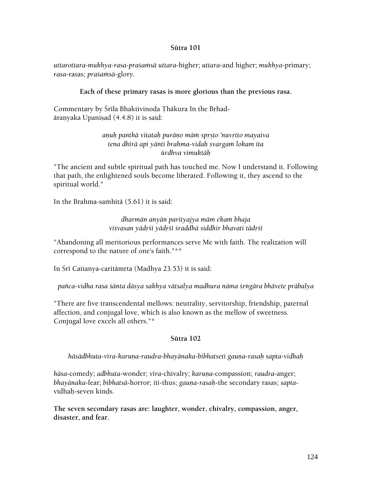#### **Sütra 101**

*uttarottara-mukhya-rasa-praçaàsä uttara*-higher; *uttara*-and higher; *mukhya*-primary; *rasa*-rasas; *praçaàsä*-glory.

#### **Each of these primary rasas is more glorious than the previous rasa.**

Commentary by Śrīla Bhaktivinoda Thākura In the Brhadāranyaka Upanisad (4.4.8) it is said:

#### *anuh panthā vitatah purāno mām sprsto 'nuvrtto mayaiva tena dhérä api yänti brahma-vidaù svargaà lokam ita ürdhva vimuktäù*

"The ancient and subtle spiritual path has touched me. Now I understand it. Following that path, the enlightened souls become liberated. Following it, they ascend to the spiritual world."

In the Brahma-sa $\text{m}$ hitā (5.61) it is said:

*dharmän anyän parityajya mäm ekaà bhaja*  viśvasan yādrśī yādrśī śraddhā siddhir bhavati tādrśī

"Abandoning all meritorious performances serve Me with faith. The realization will correspond to the nature of one's faith."\*\*

In Śrī Caitanya-caritāmrta (Madhya 23.53) it is said:

*païca-vidha rasa çänta däsya sakhya vätsalya madhura näma çåìgära bhävete präbalya* 

"There are five transcendental mellows: neutrality, servitorship, friendship, paternal affection, and conjugal love, which is also known as the mellow of sweetness. Conjugal love excels all others."\*

### **Sütra 102**

hāsādbhuta-vīra-karuņa-raudra-bhayānaka-bibhatseti gauņa-rasaḥ sapta-vidhaḥ

*hāsa*-comedy; *adbhuta-wonder; vīra-chivalry; karuna-compassion; <i>raudra-anger*; *bhayänaka*-fear; *bibhatsä*-horror; *iti*-thus; *gauëa-rasaù*-the secondary rasas; *sapta*vidhaù-seven kinds.

**The seven secondary rasas are: laughter, wonder, chivalry, compassion, anger, disaster, and fear.**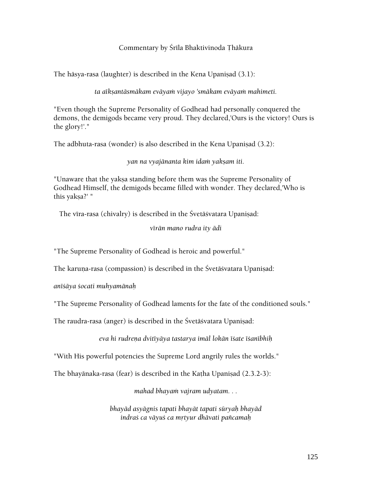#### Commentary by Śrīla Bhaktivinoda Thākura

The hāsya-rasa (laughter) is described in the Kena Upanisad  $(3.1)$ :

ta aīkṣantāsmākam evāyaṁ vijayo 'smākam evāyaṁ mahimeti.

"Even though the Supreme Personality of Godhead had personally conquered the demons, the demigods became very proud. They declared,'Ours is the victory! Ours is the glory!'."

The adbhuta-rasa (wonder) is also described in the Kena Upaniṣad (3.2):

*yan na vyajänanta kim idaà yakñam iti.* 

"Unaware that the yakṣa standing before them was the Supreme Personality of Godhead Himself, the demigods became filled with wonder. They declared,'Who is this yakṣa?' "

The vīra-rasa (chivalry) is described in the Śvetāśvatara Upaniṣad:

*vérän mano rudra ity ädi* 

"The Supreme Personality of Godhead is heroic and powerful."

The karuna-rasa (compassion) is described in the Śvetāśvatara Upanisad:

*anéçäya çocati muhyamänaù* 

"The Supreme Personality of Godhead laments for the fate of the conditioned souls."

The raudra-rasa (anger) is described in the Śvetāśvatara Upaniṣad:

*eva hi rudreëa dvitéyäya tastarya imäl lokän éçate éçanébhiù* 

"With His powerful potencies the Supreme Lord angrily rules the worlds."

The bhayānaka-rasa (fear) is described in the Katha Upanisad  $(2.3.2-3)$ :

mahad bhayam vajram udyatam. . .

*bhayäd asyägnis tapati bhayät tapati süryaù bhayäd indraç ca väyuç ca måtyur dhävati païcamaù*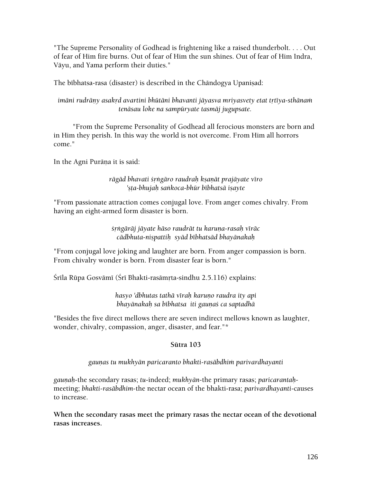"The Supreme Personality of Godhead is frightening like a raised thunderbolt. . . . Out of fear of Him fire burns. Out of fear of Him the sun shines. Out of fear of Him Indra, Väyu, and Yama perform their duties."

The bibhatsa-rasa (disaster) is described in the Chāndogya Upaniṣad:

*imāni rudrāny asakrd avartini bhūtāni bhavanti jāyasva mriyasvety etat trtīya-sthānam tenäsau loke na sampüryate tasmäj jugupsate.* 

 "From the Supreme Personality of Godhead all ferocious monsters are born and in Him they perish. In this way the world is not overcome. From Him all horrors come."

In the Agni Purāņa it is said:

### *rägäd bhavati çåìgäro raudraù kñaëät prajäyate véro*  'sta-bhujah sankoca-bhūr bībhatsā isayte

"From passionate attraction comes conjugal love. From anger comes chivalry. From having an eight-armed form disaster is born.

> śrngārāj jāyate hāso raudrāt tu karuna-rasah vīrāc *cädbhuta-niñpattiù syäd bébhatsäd bhayänakaù*

"From conjugal love joking and laughter are born. From anger compassion is born. From chivalry wonder is born. From disaster fear is born."

Śrīla Rūpa Gosvāmī (Śrī Bhakti-rasāmṛta-sindhu 2.5.116) explains:

*hasyo 'dbhutas tathä véraù karuëo raudra ity api bhayānakaḥ sa bībhatsa iti gauṇaś ca saptadhā* 

"Besides the five direct mellows there are seven indirect mellows known as laughter, wonder, chivalry, compassion, anger, disaster, and fear."\*

### **Sütra 103**

*gauëas tu mukhyän paricaranto bhakti-rasäbdhià parivardhayanti* 

*gauëaù*-the secondary rasas; *tu*-indeed; *mukhyän*-the primary rasas; *paricarantaù*meeting; *bhakti-rasäbdhim*-the nectar ocean of the bhakti-rasa; *parivardhayanti*-causes to increase.

**When the secondary rasas meet the primary rasas the nectar ocean of the devotional rasas increases.**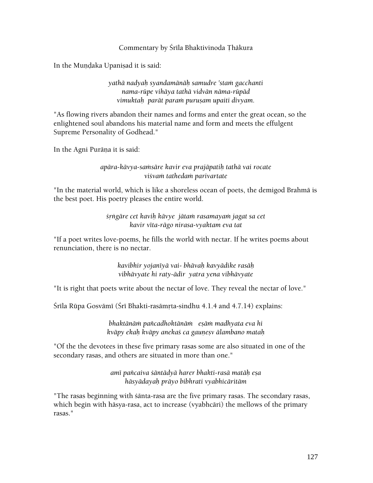#### Commentary by Srīla Bhaktivinoda Thākura

In the Mundaka Upanisad it is said:

*yathä nadyaù syandamänäù samudre 'staà gacchanti nama-rüpe vihäya tathä vidvän näma-rüpäd*  vimuktah parāt param puru*șam upaiti divyam*.

"As flowing rivers abandon their names and forms and enter the great ocean, so the enlightened soul abandons his material name and form and meets the effulgent Supreme Personality of Godhead."

In the Agni Purāņa it is said:

### *apära-kävya-saàsäre kavir eva prajäpatiù tathä vai rocate viçvaà tathedaà parivartate*

"In the material world, which is like a shoreless ocean of poets, the demigod Brahmä is the best poet. His poetry pleases the entire world.

> *çåìgäre cet kaviù kävye jätaà rasamayaà jagat sa cet kavir véta-rägo nirasa-vyaktam eva tat*

"If a poet writes love-poems, he fills the world with nectar. If he writes poems about renunciation, there is no nectar.

> *kavibhir yojanéyä vai- bhävaù kavyädike rasäù vibhävyate hi raty-ädir yatra yena vibhävyate*

"It is right that poets write about the nectar of love. They reveal the nectar of love."

Śrīla Rūpa Gosvāmī (Śrī Bhakti-rasāmrta-sindhu 4.1.4 and 4.7.14) explains:

*bhaktänäà païcadhoktänäà eñäà madhyata eva hi kväpy ekaù kväpy anekaç ca gauëeñv älambano mataù* 

"Of the the devotees in these five primary rasas some are also situated in one of the secondary rasas, and others are situated in more than one."

> *amé païcaiva çäntädyä harer bhakti-rasä matäù eña häsyädayaù präyo bibhrati vyabhicäritäm*

"The rasas beginning with çänta-rasa are the five primary rasas. The secondary rasas, which begin with häsya-rasa, act to increase (vyabhcäri) the mellows of the primary rasas."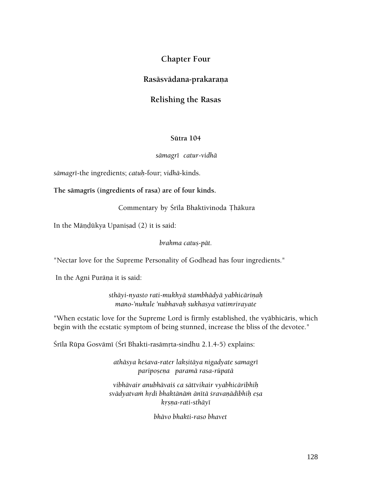# **Chapter Four**

# **Rasäsvädana-prakaraëa**

# **Relishing the Rasas**

#### **Sütra 104**

#### *sämagré catur-vidhä*

*sämagré*-the ingredients; *catuù*-four; *vidhä*-kinds.

#### The sämagris (ingredients of rasa) are of four kinds.

Commentary by Śrīla Bhaktivinoda Thākura

In the Māndūkya Upanisad (2) it is said:

*brahma catuñ-pät.* 

"Nectar love for the Supreme Personality of Godhead has four ingredients."

In the Agni Purāņa it is said:

sthāyi-nyasto rati-mukhyā stambhādyā yabhicārinah *mano-'nukule 'nubhavaù sukhasya vatimrirayate* 

"When ecstatic love for the Supreme Lord is firmly established, the vyäbhicäris, which begin with the ecstatic symptom of being stunned, increase the bliss of the devotee."

Śrīla Rūpa Gosvāmī (Śrī Bhakti-rasāmṛta-sindhu 2.1.4-5) explains:

*athäsya keçava-rater lakñitäya nigadyate samagré paripoñeëa paramä rasa-rüpatä* 

*vibhävair anubhävaiç ca sättvikair vyabhicäribhiù svädyatvaà hådi bhaktänäà änétä çravaëädibhiù eña kåñëa-rati-sthäyé* 

 *bhävo bhakti-raso bhavet*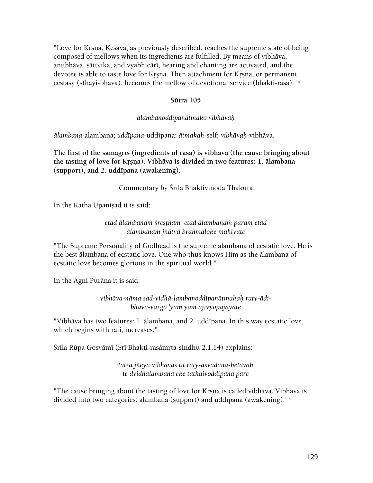"Love for Krsna, Kesava, as previously described, reaches the supreme state of being composed of mellows when its ingredients are fulfilled. By means of vibhäva, anubhāva, sāttvika, and vyabhicārī, hearing and chanting are activated, and the devotee is able to taste love for Krsna. Then attachment for Krsna, or permanent ecstasy (sthäyi-bhäva), becomes the mellow of devotional service (bhakti-rasa)."\*

### **Sütra 105**

### *älambanoddépanätmako vibhävaù*

*älambana-*alambana; *uddépana*-uddipana; *ätmakaù*-self; *vibhävaù*-vibhäva.

The first of the samagris (ingredients of rasa) is vibhava (the cause bringing about the tasting of love for Krsna). Vibhāva is divided in two features: 1. älambana **(support), and 2. uddépana (awakening).** 

### Commentary by Śrīla Bhaktivinoda Thākura

In the Katha Upanisad it is said:

*etad älambanaà çreñöhaà etad älambanaà param etad älambanaà jïätvä brahmaloke mahéyate* 

"The Supreme Personality of Godhead is the supreme älambana of ecstatic love. He is the best älambana of ecstatic love. One who thus knows Him as the älambana of ecstatic love becomes glorious in the spiritual world."

In the Agni Purāņa it is said:

*vibhäva-näma sad-vidhä-lambanoddépanätmakaù raty-ädibhäva-vargo 'yaà yam äjévyopajäyate* 

"Vibhāva has two features: 1. ālambana, and 2. uddīpana. In this way ecstatic love, which begins with rati, increases."

Šrīla Rūpa Gosvāmī (Šrī Bhakti-rasāmṛta-sindhu 2.1.14) explains:

*tatra jïeya vibhävas tu raty-asvadana-hetavaù te dvidhalambana eke tathaivoddipana pare* 

"The cause bringing about the tasting of love for Krsna is called vibhāva. Vibhāva is divided into two categories: ālambana (support) and uddīpana (awakening)."\*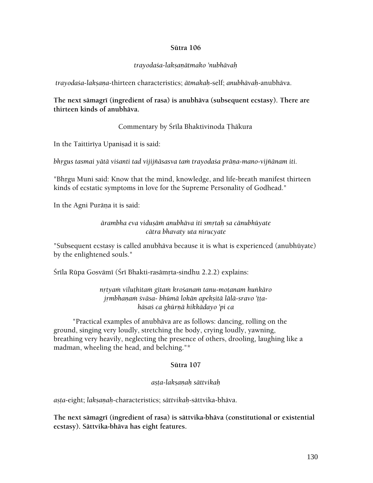#### **Sütra 106**

#### *trayodaça-lakñaëätmako 'nubhävaù*

 *trayodaça*-*lakñaëa*-thirteen characteristics; *ätmakaù*-self; *anubhävaù*-anubhäva.

The next sämagri (ingredient of rasa) is anubhäva (subsequent ecstasy). There are **thirteen kinds of anubhäva.** 

Commentary by Śrīla Bhaktivinoda Thākura

In the Taittirīya Upanisad it is said:

bhrgus tasmai yātā viśanti tad vijijñāsasva tam trayodaśa prāņa-mano-vijñānam iti.

"Bhrgu Muni said: Know that the mind, knowledge, and life-breath manifest thirteen kinds of ecstatic symptoms in love for the Supreme Personality of Godhead."

In the Agni Purāņa it is said:

*ärambha eva viduñäà anubhäva iti småtaù sa cänubhüyate cätra bhavaty uta nirucyate* 

"Subsequent ecstasy is called anubhäva because it is what is experienced (anubhüyate) by the enlightened souls."

Śrīla Rūpa Gosvāmī (Śrī Bhakti-rasāmrta-sindhu 2.2.2) explains:

*nåtyaà viluöhitaà gétaà kroçanaà tanu-moöanam huìkäro*  jrmbhanam *śvāsa- bhūmā lokān apeksitā lālā-sravo 'ttahäsaç ca ghürëä hikkädayo 'pi ca* 

 "Practical examples of anubhäva are as follows: dancing, rolling on the ground, singing very loudly, stretching the body, crying loudly, yawning, breathing very heavily, neglecting the presence of others, drooling, laughing like a madman, wheeling the head, and belching."\*

#### **Sütra 107**

#### *añöa-lakñaëaù sättvikaù*

*añöa*-eight; *lakñaëaù*-characteristics; *sättvikaù*-sättvika-bhäva.

**The next sämagré (ingredient of rasa) is sättvika-bhäva (constitutional or existential ecstasy). Sättvika-bhäva has eight features.**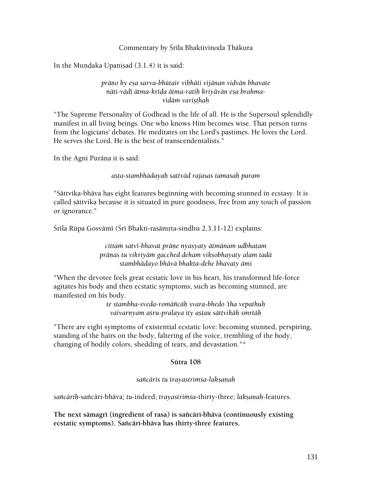#### Commentary by Srīla Bhaktivinoda Thākura

In the Mundaka Upanisad  $(3.1.4)$  it is said:

### *präëo hy eña sarva-bhütair vibhäti vijänan vidvän bhavate*  nāti-vādī ātma-krīda ātma-ratih krivāvān esa brahma*vidäà variñöhaù*

"The Supreme Personality of Godhead is the life of all. He is the Supersoul splendidly manifest in all living beings. One who knows Him becomes wise. That person turns from the logicians' debates. He meditates on the Lord's pastimes. He loves the Lord. He serves the Lord. He is the best of transcendentalists."

In the Agni Purāņa it is said:

*añöa-stambhädayaù sattväd rajasas tamasaù param* 

"Sättvika-bhäva has eight features beginning with becoming stunned in ecstasy. It is called sättvika because it is situated in pure goodness, free from any touch of passion or ignorance."

Śrīla Rūpa Gosvāmī (Śrī Bhakti-rasāmrta-sindhu 2.3.11-12) explains:

*cittaà satvé-bhavat präëe nyasyaty ätmänam udbhaöam präëas tu vikriyäà gacched dehaà vikñobhayaty alam tadä stambhädayo bhävä bhakta-dehe bhavaty ämi* 

"When the devotee feels great ecstatic love in his heart, his transformed life-force agitates his body and then ecstatic symptoms, such as becoming stunned, are manifested on his body.

> *te stambha-sveda-romäïcäù svara-bhedo 'tha vepathuù*  vaivarnyam aśru-pralaya ity astau sāttvikāh smrtāh

"There are eight symptoms of existential ecstatic love: becoming stunned, perspiring, standing of the hairs on the body, faltering of the voice, trembling of the body, changing of bodily colors, shedding of tears, and devastation."\*

#### **Sütra 108**

*saïcäris tu trayastriàça-lakñaëaù* 

sañcārih-sañcāri-bhāva; *tu*-indeed; *trayastrimśa*-thirty-three; *lakṣaṇah-features.* 

**The next sämagré (ingredient of rasa) is saïcäri-bhäva (continuously existing ecstatic symptoms). Saïcäri-bhäva has thirty-three features.**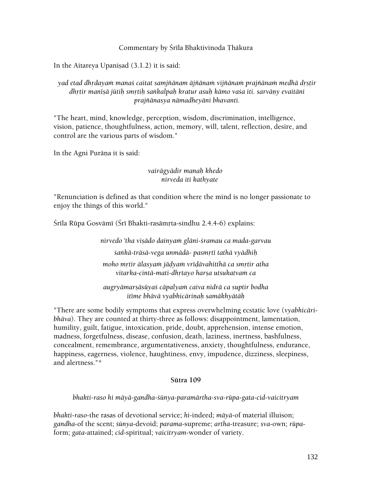#### Commentary by Srīla Bhaktivinoda Thākura

In the Aitareya Upanisad  $(3.1.2)$  it is said:

# yad etad dhrdayam mana*s caitat samjñānam ājñānam vijñānam prajñānam medhā drstir* dhrtir manīsā jūtih smrtih sankalpah kratur asuh kāmo vaśa iti. sarvāny evaitāni *prajïänasya nämadheyäni bhavanti.*

"The heart, mind, knowledge, perception, wisdom, discrimination, intelligence, vision, patience, thoughtfulness, action, memory, will, talent, reflection, desire, and control are the various parts of wisdom."

In the Agni Purāņa it is said:

### *vairägyädir manaù khedo nirveda iti kathyate*

"Renunciation is defined as that condition where the mind is no longer passionate to enjoy the things of this world."

Śrīla Rūpa Gosvāmī (Śrī Bhakti-rasāmrta-sindhu 2.4.4-6) explains:

*nirvedo 'tha viñädo dainyaà gläni-çramau ca mada-garvau çaìkä-träsä-vega unmädä- pasmåté tathä vyädhiù*  moho mrtir ālasyam jādyam vrīdāvahitthā ca smrtir atha *vitarka-cintä-mati-dhåtayo harña utsukatvaà ca* 

*augryämarñäsüyaç cäpalyaà caiva nidrä ca suptir bodha itéme bhävä vyabhicäriëaù samäkhyätäù* 

"There are some bodily symptoms that express overwhelming ecstatic love (*vyabhicäribhäva*). They are counted at thirty-three as follows: disappointment, lamentation, humility, guilt, fatigue, intoxication, pride, doubt, apprehension, intense emotion, madness, forgetfulness, disease, confusion, death, laziness, inertness, bashfulness, concealment, remembrance, argumentativeness, anxiety, thoughtfulness, endurance, happiness, eagerness, violence, haughtiness, envy, impudence, dizziness, sleepiness, and alertness."\*

### **Sütra 109**

*bhakti-raso hi mäyä-gandha-çünya-paramärtha-sva-rüpa-gata-cid-vaicitryam* 

*bhakti-raso-*the rasas of devotional service; *hi*-indeed; *mäyä*-of material illuison; *gandha*-of the scent; *çünya*-devoid; *parama*-supreme; *artha*-treasure; *sva*-own; *rüpa*form; *gata*-attained; *cid*-spiritual; *vaicitryam*-wonder of variety.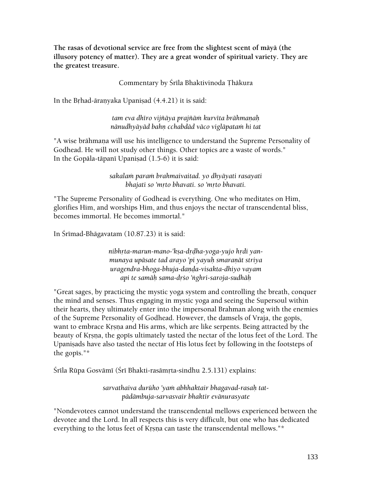**The rasas of devotional service are free from the slightest scent of mäyä (the illusory potency of matter). They are a great wonder of spiritual variety. They are the greatest treasure.** 

Commentary by Śrīla Bhaktivinoda Thākura

In the Brhad-āranyaka Upanisad  $(4.4.21)$  it is said:

tam eva dhīro vijñāya prajñām kurvīta brāhmaņah nānudhyāyād bahņ cchabdād vāco viglāpatam hi tat

"A wise brāhmana will use his intelligence to understand the Supreme Personality of Godhead. He will not study other things. Other topics are a waste of words." In the Gopāla-tāpanī Upanisad  $(1.5-6)$  it is said:

> *sakalaà paraà brahmaivaitad. yo dhyäyati rasayati*  bhajati so 'mrto bhavati. so 'mrto bhavati.

"The Supreme Personality of Godhead is everything. One who meditates on Him, glorifies Him, and worships Him, and thus enjoys the nectar of transcendental bliss, becomes immortal. He becomes immortal."

In Śrīmad-Bhāgavatam (10.87.23) it is said:

nibhrta-marun-mano-'kṣa-drḍha-yoga-yujo hṛdi yanmunaya upāsate tad arayo 'pi yayuh smaraņāt striya *uragendra-bhoga-bhuja-daëòa-visakta-dhiyo vayam api te samäù sama-dåço 'ìghri-saroja-sudhäù* 

"Great sages, by practicing the mystic yoga system and controlling the breath, conquer the mind and senses. Thus engaging in mystic yoga and seeing the Supersoul within their hearts, they ultimately enter into the impersonal Brahman along with the enemies of the Supreme Personality of Godhead. However, the damsels of Vraja, the gopis, want to embrace Krsna and His arms, which are like serpents. Being attracted by the beauty of Krsna, the gopis ultimately tasted the nectar of the lotus feet of the Lord. The Upanisads have also tasted the nectar of His lotus feet by following in the footsteps of the gopis." $*$ 

Śrīla Rūpa Gosvāmī (Śrī Bhakti-rasāmṛta-sindhu 2.5.131) explains:

sarvathaiva durūho 'yam abhhaktair bhagavad-rasah tat*pädämbuja-sarvasvair bhaktir evänurasyate* 

"Nondevotees cannot understand the transcendental mellows experienced between the devotee and the Lord. In all respects this is very difficult, but one who has dedicated everything to the lotus feet of Krsna can taste the transcendental mellows."\*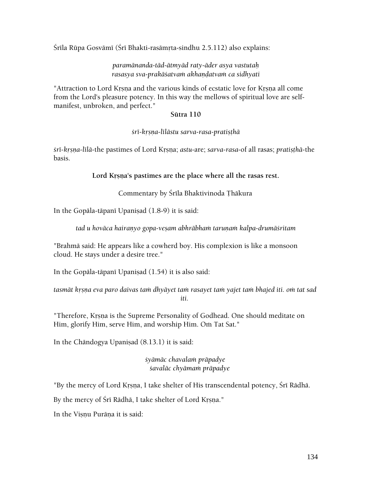Śrīla Rūpa Gosvāmī (Śrī Bhakti-rasāmṛta-sindhu 2.5.112) also explains:

#### *paramänanda-täd-ätmyäd raty-äder asya vastutaù rasasya sva-prakāśatvam akhandatvam ca sidhyati*

"Attraction to Lord Krsna and the various kinds of ecstatic love for Krsna all come from the Lord's pleasure potency. In this way the mellows of spiritual love are selfmanifest, unbroken, and perfect."

#### **Sütra 110**

#### *çré-kåñëa-lélästu sarva-rasa-pratiñöhä*

*foreafila-the pastimes of Lord Krsna; <i>astu-are; sarva-rasa-of all rasas; pratisthā-the* basis.

#### Lord Krsna's pastimes are the place where all the rasas rest.

#### Commentary by Śrīla Bhaktivinoda Thākura

In the Gopāla-tāpanī Upaniṣad (1.8-9) it is said:

tad u hovāca hairanyo gopa-ve*sam abhrābham taruņam kalpa-drumāśritam* 

"Brahmä said: He appears like a cowherd boy. His complexion is like a monsoon cloud. He stays under a desire tree."

In the Gopāla-tāpanī Upanisad  $(1.54)$  it is also said:

tasmāt krsna eva paro daivas tam dhyāyet tam rasayet tam yajet tam bhajed iti. om tat sad *iti.* 

"Therefore, Krsna is the Supreme Personality of Godhead. One should meditate on Him, glorify Him, serve Him, and worship Him. Om Tat Sat."

In the Chāndogya Upaniṣad (8.13.1) it is said:

*çyämäc chavalaà präpadye çavaläc chyämaà präpadye* 

"By the mercy of Lord Krsna, I take shelter of His transcendental potency, Śrī Rādhā.

By the mercy of Śrī Rādhā, I take shelter of Lord Krsna."

In the Visnu Purāna it is said: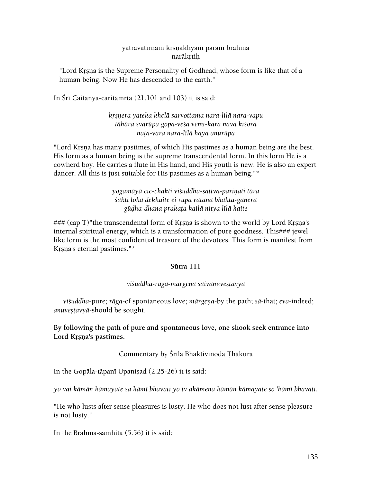#### yatrāvatīrnam krsnākhyam param brahma naräkrtih

"Lord Krsna is the Supreme Personality of Godhead, whose form is like that of a human being. Now He has descended to the earth."

In Śrī Caitanya-caritāmrta  $(21.101$  and 103) it is said:

*kåñëera yateka khelä sarvottama nara-lilä nara-vapu tähära svarüpa gopa-veça veëu-kara nava kiçora naöa-vara nara-lélä haya anurüpa* 

"Lord Krsna has many pastimes, of which His pastimes as a human being are the best. His form as a human being is the supreme transcendental form. In this form He is a cowherd boy. He carries a flute in His hand, and His youth is new. He is also an expert dancer. All this is just suitable for His pastimes as a human being."\*

> *yogamäyä cic-chakti viçuddha-sattva-pariëati tära çakti loka dekhäite ei rüpa ratana bhakta-ganera güòha-dhana prakaöa kailä nitya lélä haite*

 $\# \# \mathcal{L}$  (cap T)"the transcendental form of Krsna is shown to the world by Lord Krsna's internal spiritual energy, which is a transformation of pure goodness. This### jewel like form is the most confidential treasure of the devotees. This form is manifest from Krsna's eternal pastimes."\*

### **Sütra 111**

### *viçuddha-räga-märgeëa saivänuveñöavyä*

*viçuddha*-pure; *räga*-of spontaneous love; *märgeëa*-by the path; *sä*-that; *eva*-indeed; *anuvestavyā-should be sought.* 

# **By following the path of pure and spontaneous love, one shook seek entrance into**  Lord Krsna's pastimes.

# Commentary by Śrīla Bhaktivinoda Thākura

In the Gopāla-tāpanī Upanisad  $(2.25-26)$  it is said:

*yo vai kämän kämayate sa kämé bhavati yo tv akämena kämän kämayate so 'kämé bhavati.* 

"He who lusts after sense pleasures is lusty. He who does not lust after sense pleasure is not lusty."

In the Brahma-samhitā (5.56) it is said: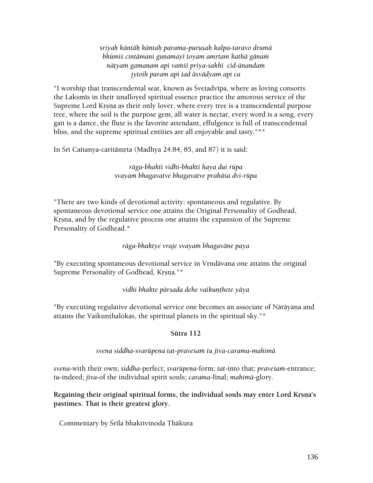*çriyaù käntäù käntaù parama-puruñaù kalpa-taravo drumä*  bhūmiś cintāmaņi guņamayī toyam amrtam kathā gānam *näöyaà gamanam api vaàçé priya-sakhé cid-änandaà jytoiù param api tad äsvädyam api ca* 

"I worship that transcendental seat, known as Çvetadvépa, where as loving consorts the Lakṣmīs in their unalloyed spiritual essence practice the amorous service of the Supreme Lord Krsna as their only lover, where every tree is a transcendental purpose tree, where the soil is the purpose gem, all water is nectar, every word is a song, every gait is a dance, the flute is the favorite attendant, effulgence is full of transcendental bliss, and the supreme spiritual entities are all enjoyable and tasty."\*\*

In Śrī Caitanya-caritāmrta (Madhya 24.84, 85, and 87) it is said:

*räga-bhakti vidhi-bhakti haya dui rüpa svayaà bhagavatve bhagavatve prakäça dvi-rüpa* 

"There are two kinds of devotional activity: spontaneous and regulative. By spontaneous devotional service one attains the Original Personality of Godhead, Krsna, and by the regulative process one attains the expansion of the Supreme Personality of Godhead.\*

*räga-bhaktye vraje svayaà bhagaväne paya* 

"By executing spontaneous devotional service in Vrndävana one attains the original Supreme Personality of Godhead, Krsna."\*

*vidhi bhakte pārsada dehe vaikunthete yāya* 

"By executing regulative devotional service one becomes an associate of Nārāyana and attains the Vaikunthalokas, the spiritual planets in the spiritual sky."\*

# **Sütra 112**

*svena siddha-svarüpeëa tat-praveçaà tu jéva-carama-mahimä* 

*svena-with their own; siddha-perfect; svarūpena-form; <i>tat-into that; pravesam-entrance; tu*-indeed; *jéva*-of the individual spirit souls; *carama*-final; *mahimä*-glory.

Regaining their original spiritual forms, the individual souls may enter Lord Krsna's **pastimes. That is their greatest glory.** 

Commentary by Śrīla bhaktivinoda Thākura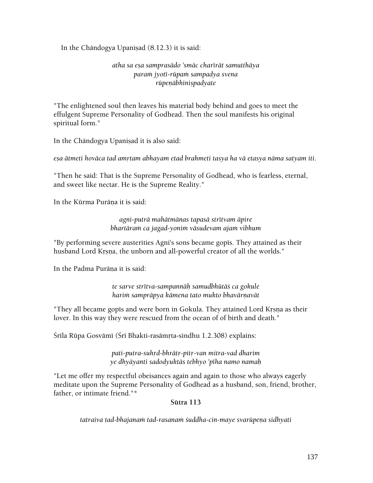In the Chāndogya Upaniṣad  $(8.12.3)$  it is said:

### *atha sa eña samprasädo 'smäc charérät samutthäya paraà jyoté-rüpaà sampadya svena*   $riipen\bar{a}bhinispady$ ate

"The enlightened soul then leaves his material body behind and goes to meet the effulgent Supreme Personality of Godhead. Then the soul manifests his original spiritual form."

In the Chāndogya Upanisad it is also said:

eşa ātmeti hovāca tad amytam abhayam etad brahmeti tasya ha vā etasya nāma satyam iti.

"Then he said: That is the Supreme Personality of Godhead, who is fearless, eternal, and sweet like nectar. He is the Supreme Reality."

In the Kūrma Purāna it is said:

*agni-puträ mahätmänas tapasä strétvam äpire bhartāram ca jagad-yonim vāsudevam ajam vibhum* 

"By performing severe austerities Agni's sons became gopis. They attained as their husband Lord Krsna, the unborn and all-powerful creator of all the worlds."

In the Padma Purāna it is said:

*te sarve strétva-sampannäù samudbhütäç ca gokule*  harim samprāpya kāmena tato mukto bhavārnavāt

"They all became gopis and were born in Gokula. They attained Lord Krsna as their lover. In this way they were rescued from the ocean of of birth and death."

Śrīla Rūpa Gosvāmī (Śrī Bhakti-rasāmṛta-sindhu 1.2.308) explains:

*pati-putra-suhåd-bhrätå-pitå-van mitra-vad dharim ye dhyäyanti sadodyuktäs tebhyo 'péha namo namaù* 

"Let me offer my respectful obeisances again and again to those who always eagerly meditate upon the Supreme Personality of Godhead as a husband, son, friend, brother, father, or intimate friend."\*

#### **Sütra 113**

tatraiva tad-bhajanam tad-rasanam *śuddha-cin-maye svarūpena sidhyati*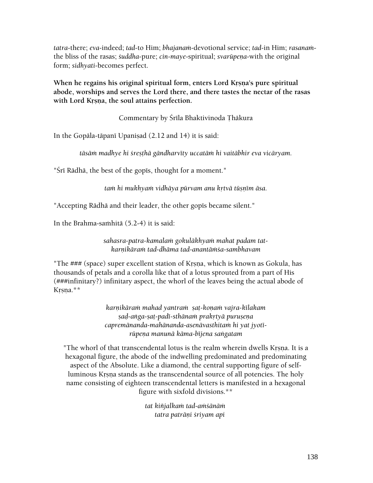*tatra*-there; *eva*-indeed; *tad*-to Him; *bhajanaà*-devotional service; *tad*-in Him; *rasanaà*the bliss of the rasas; *suddha-pure; cin-maye-spiritual; svarūpena-with the original* form; *sidhyati*-becomes perfect.

When he regains his original spiritual form, enters Lord Krsna's pure spiritual **abode, worships and serves the Lord there, and there tastes the nectar of the rasas**  with Lord Krsna, the soul attains perfection.

Commentary by Śrīla Bhaktivinoda Thākura

In the Gopāla-tāpanī Upanisad  $(2.12$  and  $14)$  it is said:

*täsäà madhye hi çreñöhä gändharvéty uccatäà hi vaitäbhir eva vicäryam.* 

"Śrī Rādhā, the best of the gopīs, thought for a moment."

tam hi mukhyam vidhāya pūrvam anu krtvā tūsnīm āsa.

"Accepting Rādhā and their leader, the other gopīs became silent."

In the Brahma-sa $\text{m}$ hitā (5.2-4) it is said:

sahasra-patra-kamalam gokulākhyam mahat padam tat*karëikäraà tad-dhäma tad-anantäàça-sambhavam* 

"The ### (space) super excellent station of Krsna, which is known as Gokula, has thousands of petals and a corolla like that of a lotus sprouted from a part of His (###infinitary?) infinitary aspect, the whorl of the leaves being the actual abode of Krsna.\*\*

> *karëikäraà mahad yantraà ñaö-koëaà vajra-kélakam ñaò-aìga-ñaö-padé-sthänaà prakåtyä puruñeëa capremänanda-mahänanda-asenävasthitaà hi yat jyotérüpeëa manunä käma-béjena saìgatam*

"The whorl of that transcendental lotus is the realm wherein dwells Krsna. It is a hexagonal figure, the abode of the indwelling predominated and predominating aspect of the Absolute. Like a diamond, the central supporting figure of selfluminous Krsna stands as the transcendental source of all potencies. The holy name consisting of eighteen transcendental letters is manifested in a hexagonal figure with sixfold divisions.\*\*

> *tat kiïjalkaà tad-aàçänäà tatra patrāni śriyam api*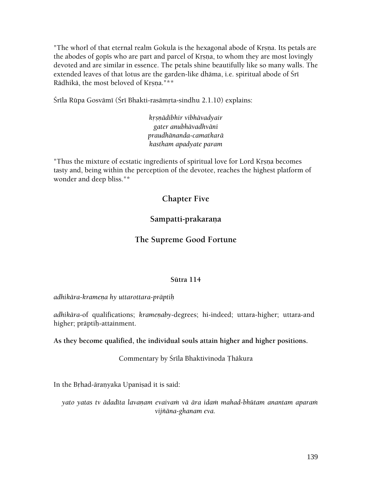"The whorl of that eternal realm Gokula is the hexagonal abode of Krsna. Its petals are the abodes of gopis who are part and parcel of Krsna, to whom they are most lovingly devoted and are similar in essence. The petals shine beautifully like so many walls. The extended leaves of that lotus are the garden-like dhāma, i.e. spiritual abode of Śrī Rādhikā, the most beloved of Krsna."\*\*

Śrīla Rūpa Gosvāmī (Śrī Bhakti-rasāmṛta-sindhu 2.1.10) explains:

*kåñëädibhir vibhävadyair gater anubhävadhväni praudhänanda-camatkarä kastham apadyate param* 

"Thus the mixture of ecstatic ingredients of spiritual love for Lord Krsna becomes tasty and, being within the perception of the devotee, reaches the highest platform of wonder and deep bliss."\*

# **Chapter Five**

# Sampatti-prakaraņa

# **The Supreme Good Fortune**

#### **Sütra 114**

*adhikära-krameëa hy uttarottara-präptiù* 

*adhikāra-of qualifications; krameņaby-degrees; hi-indeed; uttara-higher; uttara-and* higher; präptiù-attainment.

**As they become qualified, the individual souls attain higher and higher positions.** 

Commentary by Śrīla Bhaktivinoda Thākura

In the Brhad-āranyaka Upanisad it is said:

*yato yatas tv ädadéta lavaëam evaivaà vä ära idaà mahad-bhütam anantam aparaà vijïäna-ghanam eva.*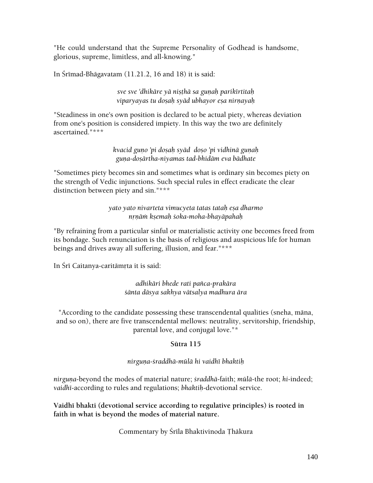"He could understand that the Supreme Personality of Godhead is handsome, glorious, supreme, limitless, and all-knowing."

In Srimad-Bhāgavatam  $(11.21.2, 16$  and 18) it is said:

*sve sve 'dhikāre yā nisthā sa gunah parikīrtitah viparyayas tu doñaù syäd ubhayor eña nirëayaù* 

"Steadiness in one's own position is declared to be actual piety, whereas deviation from one's position is considered impiety. In this way the two are definitely ascertained."\*\*\*

> *kvacid guëo 'pi doñaù syäd doño 'pi vidhinä guëaù guëa-doñärtha-niyamas tad-bhidäm eva bädhate*

"Sometimes piety becomes sin and sometimes what is ordinary sin becomes piety on the strength of Vedic injunctions. Such special rules in effect eradicate the clear distinction between piety and sin."\*\*\*

> *yato yato nivarteta vimucyeta tatas tataù eña dharmo nåëäà kñemaù çoka-moha-bhayäpahaù*

"By refraining from a particular sinful or materialistic activity one becomes freed from its bondage. Such renunciation is the basis of religious and auspicious life for human beings and drives away all suffering, illusion, and fear."\*\*\*

In Śrī Caitanya-caritāmrta it is said:

*adhikäri bhede rati païca-prakära çänta däsya sakhya vätsalya madhura ära* 

"According to the candidate possessing these transcendental qualities (sneha, mäna, and so on), there are five transcendental mellows: neutrality, servitorship, friendship, parental love, and conjugal love."\*

# **Sütra 115**

### *nirguëa-çraddhä-mülä hi vaidhé bhaktiù*

*nirguna-beyond the modes of material nature; <i>sraddhā-faith; mūlā-the root; hi-indeed; vaidhé*-according to rules and regulations; *bhaktiù*-devotional service.

Vaidhi bhakti (devotional service according to regulative principles) is rooted in **faith in what is beyond the modes of material nature.** 

Commentary by Śrīla Bhaktivinoda Thākura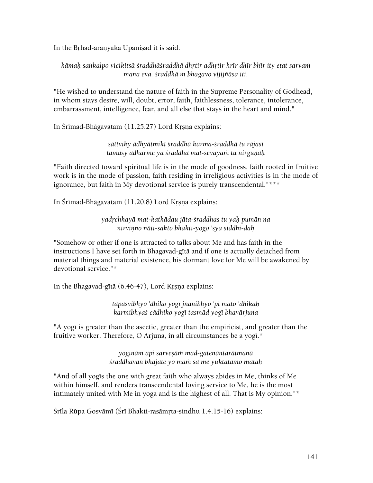In the Brhad-äranyaka Upanisad it is said:

kāmah sankalpo vicikitsā śraddhāśraddhā dhrtir adhrtir hrīr dhīr bhīr ity etat sarvam *mana eva. çraddhä à bhagavo vijijïäsa iti.* 

"He wished to understand the nature of faith in the Supreme Personality of Godhead, in whom stays desire, will, doubt, error, faith, faithlessness, tolerance, intolerance, embarrassment, intelligence, fear, and all else that stays in the heart and mind."

In Śrīmad-Bhāgavatam (11.25.27) Lord Krsna explains:

### *sättviky ädhyätmiké çraddhä karma-çraddhä tu räjasé*  tāmasy adharme yā *śraddhā mat-sevāyām tu nirgunah*

"Faith directed toward spiritual life is in the mode of goodness, faith rooted in fruitive work is in the mode of passion, faith residing in irreligious activities is in the mode of ignorance, but faith in My devotional service is purely transcendental."\*\*\*

In Śrīmad-Bhāgavatam (11.20.8) Lord Krsna explains:

*yadåchhayä mat-kathädau jäta-çraddhas tu yaù pumän na nirviëëo näti-sakto bhakti-yogo 'sya siddhi-daù* 

"Somehow or other if one is attracted to talks about Me and has faith in the instructions I have set forth in Bhagavad-gītā and if one is actually detached from material things and material existence, his dormant love for Me will be awakened by devotional service."\*

In the Bhagavad-gītā (6.46-47), Lord Krsna explains:

*tapasvibhyo 'dhiko yogé jïänibhyo 'pi mato 'dhikaù karmibhyaç cädhiko yogé tasmäd yogé bhavärjuna* 

"A yogi is greater than the ascetic, greater than the empiricist, and greater than the fruitive worker. Therefore, O Arjuna, in all circumstances be a yogī.\*

> *yoginäm api sarveñäà mad-gatenäntarätmanä çraddhävän bhajate yo mäà sa me yuktatamo mataù*

"And of all yogis the one with great faith who always abides in Me, thinks of Me within himself, and renders transcendental loving service to Me, he is the most intimately united with Me in yoga and is the highest of all. That is My opinion."\*

Śrīla Rūpa Gosvāmī (Śrī Bhakti-rasāmṛta-sindhu 1.4.15-16) explains: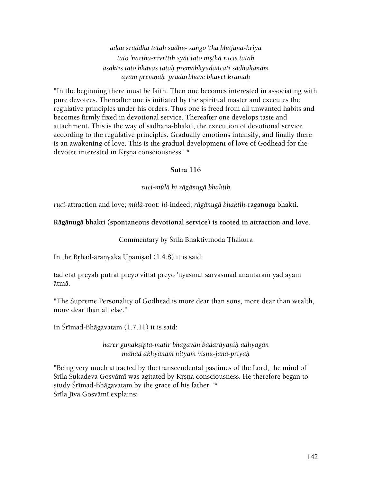*ädau çraddhä tataù sädhu- saìgo 'tha bhajana-kriyä tato 'nartha-nivåttiù syät tato niñöhä rucis tataù äsaktis tato bhävas tataù premäbhyudaïcati sädhakänäm ayaà premëaù prädurbhäve bhavet kramaù* 

"In the beginning there must be faith. Then one becomes interested in associating with pure devotees. Thereafter one is initiated by the spiritual master and executes the regulative principles under his orders. Thus one is freed from all unwanted habits and becomes firmly fixed in devotional service. Thereafter one develops taste and attachment. This is the way of sädhana-bhakti, the execution of devotional service according to the regulative principles. Gradually emotions intensify, and finally there is an awakening of love. This is the gradual development of love of Godhead for the devotee interested in Krsna consciousness."\*

#### **Sütra 116**

#### *ruci-mülä hi rägänugä bhaktiù*

*ruci*-attraction and love; *mülä*-root; *hi*-indeed; *rägänugä bhaktiù*-raganuga bhakti.

#### **Rägänugä bhakti (spontaneous devotional service) is rooted in attraction and love.**

Commentary by Śrīla Bhaktivinoda Thākura

In the Brhad-äranyaka Upanisad  $(1.4.8)$  it is said:

tad etat preyaḥ putrāt preyo vittāt preyo 'nyasmāt sarvasmād anantaraṁ yad ayam ätmä.

"The Supreme Personality of Godhead is more dear than sons, more dear than wealth, more dear than all else."

In Srīmad-Bhāgavatam  $(1.7.11)$  it is said:

*harer guëakñipta-matir bhagavän bädaräyaëiù adhyagän mahad äkhyänaà nityaà viñëu-jana-priyaù* 

"Being very much attracted by the transcendental pastimes of the Lord, the mind of Śrīla Śukadeva Gosvāmī was agitated by Krsna consciousness. He therefore began to study Śrīmad-Bhāgavatam by the grace of his father."\* Śrīla Jīva Gosvāmī explains: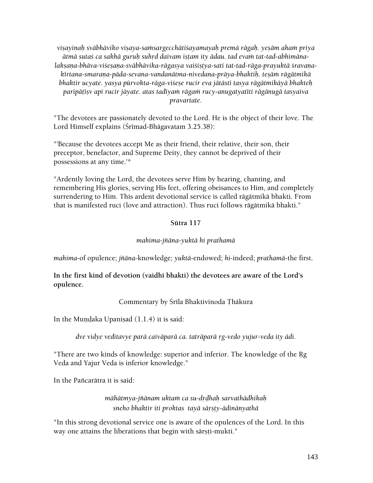*viñayiëaù sväbhäviko viñaya-saàsargecchätiçayamayaù premä rägaù. yeñäm ahaà priya*  ātmā sutaś ca sakhā guruh suhrd daivam istam ity ādau. tad evam tat-tad-abhimānalakşana-bhāva-viśesana-svābhāvika-rāgasya vaiśistya-sati tat-tad-rāga-prayuktā śravanakīrtana-smaraņa-pāda-sevana-vandanātma-nivedana-prāya-bhaktih. tesām rāgātmikā *bhaktir ucyate. yasya pürvokta-räga-viçeñe rucir eva jätästi tasya rägätmikäyä bhakteù paripäöéñv api rucir jäyate. atas tadéyaà rägaà rucy-anugatyatéti rägänugä tasyaiva pravartate.* 

"The devotees are passionately devoted to the Lord. He is the object of their love. The Lord Himself explains (Śrīmad-Bhāgavatam 3.25.38):

"'Because the devotees accept Me as their friend, their relative, their son, their preceptor, benefactor, and Supreme Deity, they cannot be deprived of their possessions at any time.'\*

"Ardently loving the Lord, the devotees serve Him by hearing, chanting, and remembering His glories, serving His feet, offering obeisances to Him, and completely surrendering to Him. This ardent devotional service is called rägätmikä bhakti. From that is manifested ruci (love and attraction). Thus ruci follows rägätmikä bhakti."

### **Sütra 117**

### *mahima-jïäna-yuktä hi prathamä*

*mahima*-of opulence; *jïäna*-knowledge; *yuktä*-endowed; *hi*-indeed; *prathamä*-the first.

In the first kind of devotion (vaidh<sub>1</sub> bhakti) the devotees are aware of the Lord's **opulence.** 

Commentary by Śrīla Bhaktivinoda Thākura

In the Mundaka Upanisad  $(1.1.4)$  it is said:

*dve vidye veditavye parä caiväparä ca. taträparä åg-vedo yujur-veda ity ädi.* 

"There are two kinds of knowledge: superior and inferior. The knowledge of the Rg Veda and Yajur Veda is inferior knowledge."

In the Pañcarātra it is said:

*māhātmya-jñānam uktam ca su-drdhah sarvathādhikaḥ sneho bhaktir iti proktas tayä säåñöy-ädinänyathä* 

"In this strong devotional service one is aware of the opulences of the Lord. In this way one attains the liberations that begin with särsti-mukti."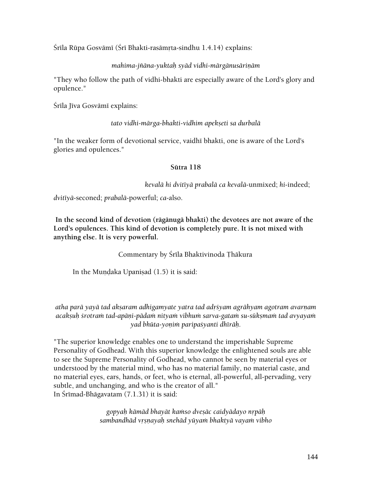Śrīla Rūpa Gosvāmī (Śrī Bhakti-rasāmṛta-sindhu 1.4.14) explains:

# *mahima-jñāna-yuktaḥ syād vidhi-mārgānusāriṇām*

"They who follow the path of vidhi-bhakti are especially aware of the Lord's glory and opulence."

Śrīla Jīva Gosvāmī explains:

### *tato vidhi-märga-bhakti-vidhim apekñeti sa durbalä*

"In the weaker form of devotional service, vaidhī bhakti, one is aware of the Lord's glories and opulences."

# **Sütra 118**

*kevalä hi dvitéyä prabalä ca kevalä*-unmixed; *hi*-indeed;

*dvitéyä*-seconed; *prabalä*-powerful; *ca*-also.

**In the second kind of devotion (rägänugä bhakti) the devotees are not aware of the Lord's opulences. This kind of devotion is completely pure. It is not mixed with anything else. It is very powerful.** 

Commentary by Śrīla Bhaktivinoda Thākura

In the Mundaka Upanisad  $(1.5)$  it is said:

*atha parä yayä tad akñaram adhigamyate yatra tad adåçyam agrähyam agotram avarëam*  acakşuh *śrotram tad-apāni-pādam nityam vibhum sarva-gatam su-sūk*șmam tad avyayam *yad bhüta-yoëià paripaçyanti dhéräù.* 

"The superior knowledge enables one to understand the imperishable Supreme Personality of Godhead. With this superior knowledge the enlightened souls are able to see the Supreme Personality of Godhead, who cannot be seen by material eyes or understood by the material mind, who has no material family, no material caste, and no material eyes, ears, hands, or feet, who is eternal, all-powerful, all-pervading, very subtle, and unchanging, and who is the creator of all." In Śrīmad-Bhāgavatam  $(7.1.31)$  it is said:

> *gopyaù kämäd bhayät kaàso dveñäc caidyädayo nåpäù sambandhäd våñëayaù snehäd yüyaà bhaktyä vayaà vibho*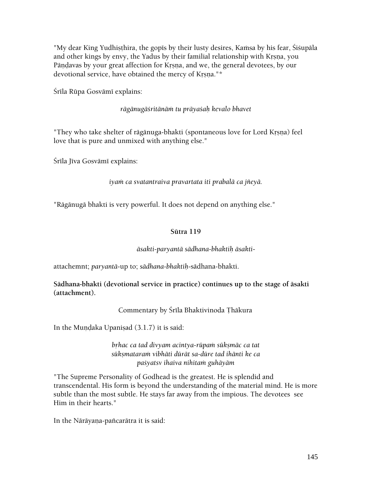"My dear King Yudhişthira, the gopīs by their lusty desires, Kamsa by his fear, Sisupāla and other kings by envy, the Yadus by their familial relationship with Krsna, you Pändavas by your great affection for Krsna, and we, the general devotees, by our devotional service, have obtained the mercy of Krsna."\*

Śrīla Rūpa Gosvāmī explains:

*rägänugäçritänäà tu präyaçaù kevalo bhavet* 

"They who take shelter of rāgānuga-bhakti (spontaneous love for Lord Krṣṇa) feel love that is pure and unmixed with anything else."

Śrīla Jīva Gosvāmī explains:

#### *iyaà ca svatantraiva pravartata iti prabalä ca jïeyä.*

"Rägänugä bhakti is very powerful. It does not depend on anything else."

#### **Sütra 119**

#### *äsakti-paryantä sädhana-bhaktiù äsakti*-

attachemnt; *paryantä*-up to; *sädhana-bhaktiù*-sädhana-bhakti.

**Sädhana-bhakti (devotional service in practice) continues up to the stage of äsakti (attachment).** 

Commentary by Śrīla Bhaktivinoda Thākura

In the Mundaka Upanisad  $(3.1.7)$  it is said:

*brhac ca tad divyam acintya-rūpam sūkṣmāc ca tat sükñmataraà vibhäti dürät sa-düre tad ihänti ke ca paçyatsv ihaiva nihitaà guhäyäm* 

"The Supreme Personality of Godhead is the greatest. He is splendid and transcendental. His form is beyond the understanding of the material mind. He is more subtle than the most subtle. He stays far away from the impious. The devotees see Him in their hearts."

In the Nārāyana-pañcarātra it is said: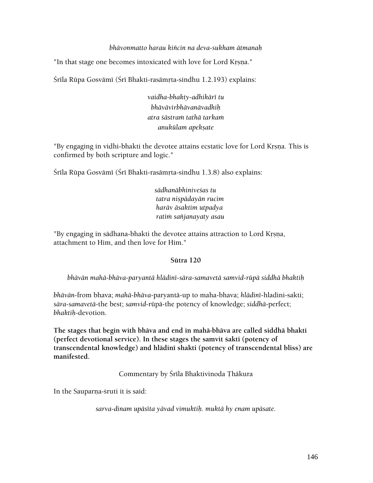#### *bhävonmatto harau kiïcin na deva-sukham ätmanaù*

"In that stage one becomes intoxicated with love for Lord Krsna."

Śrīla Rūpa Gosvāmī (Śrī Bhakti-rasāmṛta-sindhu 1.2.193) explains:

*vaidha-bhakty-adhikäré tu bhävävirbhävanävadhiù atra çästraà tathä tarkaà anukülam apekñate* 

"By engaging in vidhi-bhakti the devotee attains ecstatic love for Lord Krsna. This is confirmed by both scripture and logic."

Śrīla Rūpa Gosvāmī (Śrī Bhakti-rasāmṛta-sindhu 1.3.8) also explains:

*sädhanäbhiniveças tu tatra niñpädayän rucim haräv äsaktim utpadya ratià saïjanayaty asau* 

"By engaging in sädhana-bhakti the devotee attains attraction to Lord Krsna, attachment to Him, and then love for Him."

#### **Sütra 120**

*bhävän mahä-bhäva-paryantä hlädiné-sära-samavetä samvid-rüpä siddhä bhaktiù* 

*bhävän*-from bhava; *mahä-bhäva-*paryantä-up to maha-bhava; *hlädiné*-hladini-sakti; *sära-samavetä*-the best; *samvid*-rüpä-the potency of knowledge; *siddhä*-perfect; *bhaktiù*-devotion.

**The stages that begin with bhäva and end in mahä-bhäva are called siddhä bhakti**  (perfect devotional service). In these stages the samvit sakti (potency of transcendental knowledge) and hlādinī shakti (potency of transcendental bliss) are **manifested.** 

Commentary by Śrīla Bhaktivinoda Thākura

In the Sauparna-sruti it is said:

*sarva-dinam upäséta yävad vimuktiù. muktä hy enam upäsate.*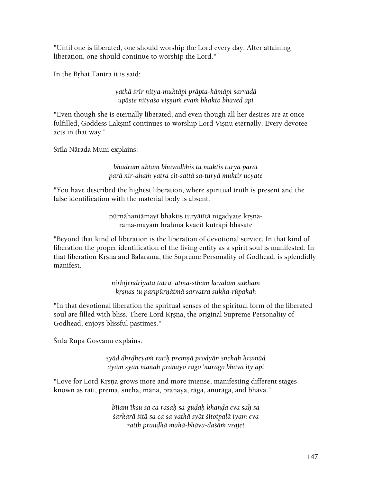"Until one is liberated, one should worship the Lord every day. After attaining liberation, one should continue to worship the Lord."

In the Brhat Tantra it is said:

*yathä çrér nitya-muktäpi präpta-kämäpi sarvadä upäste nityaço viñëuà evaà bhakto bhaved api* 

"Even though she is eternally liberated, and even though all her desires are at once fulfilled, Goddess Laksmi continues to worship Lord Visnu eternally. Every devotee acts in that way."

Śrīla Nārada Muni explains:

*bhadram uktaà bhavadbhis tu muktis turyä parät parä nir-ahaà yatra cit-sattä sa-turyä muktir ucyate* 

"You have described the highest liberation, where spiritual truth is present and the false identification with the material body is absent.

> pürnähantämayi bhaktis turyätitä nigadyate krsnarāma-mayam brahma kvacit kutrāpi bhāsate

"Beyond that kind of liberation is the liberation of devotional service. In that kind of liberation the proper identification of the living entity as a spirit soul is manifested. In that liberation Krsna and Balarāma, the Supreme Personality of Godhead, is splendidly manifest.

> *nirbéjendriyatä tatra ätma-sthaà kevalaà sukham kåñëas tu paripürëätmä sarvatra sukha-rüpakaù*

"In that devotional liberation the spiritual senses of the spiritual form of the liberated soul are filled with bliss. There Lord Krsna, the original Supreme Personality of Godhead, enjoys blissful pastimes."

Śrīla Rūpa Gosvāmī explains:

*syäd dhåòheyaà ratiù premëä prodyän snehaù kramäd ayam syän manaù praëayo rägo 'nurägo bhäva ity api* 

"Love for Lord Krsna grows more and more intense, manifesting different stages known as rati, prema, sneha, māna, praņaya, rāga, anurāga, and bhāva."

> *béjam ékñu sa ca rasaù sa-guòaù khaëòa eva saù sa çarkarä çitä sa ca sa yathä syät çitotpalä iyam eva ratiù prauòhä mahä-bhäva-daçäà vrajet*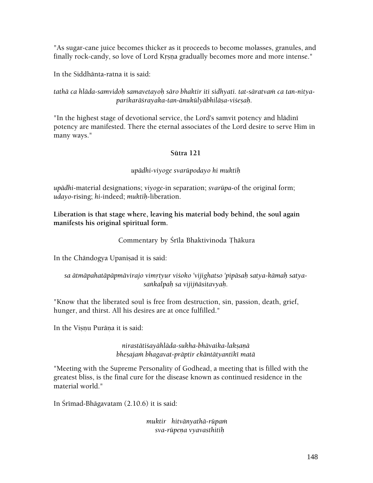"As sugar-cane juice becomes thicker as it proceeds to become molasses, granules, and finally rock-candy, so love of Lord Krsna gradually becomes more and more intense."

In the Siddhänta-ratna it is said:

#### tathā ca hlāda-samvidoh samavetayoh sāro bhaktir iti sidhyati. tat-sāratvam ca tan-nitya*parikaräçrayaka-tan-änukülyäbhiläña-viçeñaù.*

"In the highest stage of devotional service, the Lord's samvit potency and hlādinī potency are manifested. There the eternal associates of the Lord desire to serve Him in many ways."

## **Sütra 121**

## *upädhi-viyoge svarüpodayo hi muktiù*

*upädhi*-material designations; *viyoge*-in separation; *svarüpa*-of the original form; *udayo*-rising; *hi*-indeed; *muktiù*-liberation.

## **Liberation is that stage where, leaving his material body behind, the soul again manifests his original spiritual form.**

## Commentary by Śrīla Bhaktivinoda Thākura

In the Chāndogya Upaniṣad it is said:

## sa ātmāpahatāpāpmāvirajo vimrtyur viśoko 'vijighatso 'pipāsah satya-kāmah satya*saìkalpaù sa vijijïäsitavyaù.*

"Know that the liberated soul is free from destruction, sin, passion, death, grief, hunger, and thirst. All his desires are at once fulfilled."

In the Visnu Purāna it is said:

*nirastätiçayähläda-sukha-bhävaika-lakñaëä bheñajaà bhagavat-präptir ekäntätyantiké matä* 

"Meeting with the Supreme Personality of Godhead, a meeting that is filled with the greatest bliss, is the final cure for the disease known as continued residence in the material world."

In Srimad-Bhāgavatam  $(2.10.6)$  it is said:

*muktir hitvänyathä-rüpaà sva-rüpeëa vyavasthitiù*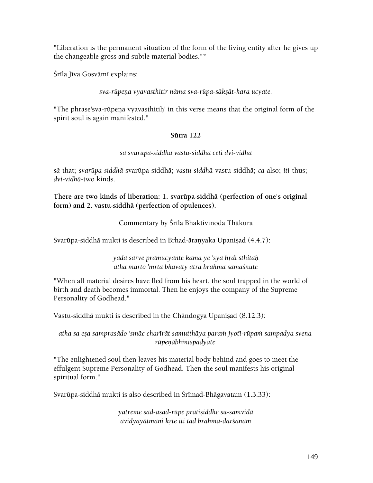"Liberation is the permanent situation of the form of the living entity after he gives up the changeable gross and subtle material bodies."\*

Śrīla Jīva Gosvāmī explains:

*sva-rüpeëa vyavasthitir näma sva-rüpa-säkñät-kara ucyate.* 

"The phrase'sva-rūpena vyavasthitih' in this verse means that the original form of the spirit soul is again manifested."

## **Sütra 122**

*sä svarüpa-siddhä vastu-siddhä ceti dvi-vidhä* 

*sä*-that; *svarüpa-siddhä*-svarüpa-siddhä; *vastu-siddhä*-vastu-siddhä; *ca*-also; *iti*-thus; *dvi-vidhä*-two kinds.

**There are two kinds of liberation: 1. svarüpa-siddhä (perfection of one's original form) and 2. vastu-siddhä (perfection of opulences).** 

Commentary by Śrīla Bhaktivinoda Thākura

Svarūpa-siddhā mukti is described in Brhad-āranyaka Upanisad (4.4.7):

*yadä sarve pramucyante kämä ye 'sya hådi sthitäù atha märto 'måtä bhavaty atra brahma samaçnute* 

"When all material desires have fled from his heart, the soul trapped in the world of birth and death becomes immortal. Then he enjoys the company of the Supreme Personality of Godhead."

Vastu-siddhā mukti is described in the Chāndogya Upanisad (8.12.3):

*atha sa eña samprasädo 'smäc charérät samutthäya paraà jyoté-rüpaà sampadya svena*   $ri$ peņābhini*spadyate* 

"The enlightened soul then leaves his material body behind and goes to meet the effulgent Supreme Personality of Godhead. Then the soul manifests his original spiritual form."

Svarūpa-siddhā mukti is also described in Śrīmad-Bhāgavatam (1.3.33):

*yatreme sad-asad-rüpe pratiñiddhe su-samvidä avidyayätmani kåte iti tad brahma-darçanam*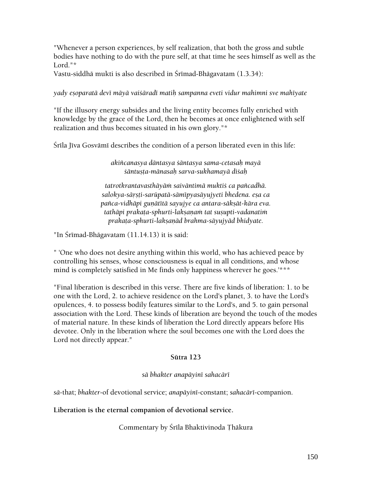"Whenever a person experiences, by self realization, that both the gross and subtle bodies have nothing to do with the pure self, at that time he sees himself as well as the Lord."\*

Vastu-siddhā mukti is also described in Śrīmad-Bhāgavatam (1.3.34):

*yady eñoparatä devé mäyä vaiçäradé matiù sampanna eveti vidur mahimni sve mahéyate* 

"If the illusory energy subsides and the living entity becomes fully enriched with knowledge by the grace of the Lord, then he becomes at once enlightened with self realization and thus becomes situated in his own glory."\*

Śrīla Jīva Gosvāmī describes the condition of a person liberated even in this life:

*akiïcanasya däntasya çäntasya sama-cetasaù mayä çäntuñöa-mänasaù sarva-sukhamayä diçaù* 

*tatrotkrantavasthäyäà saiväntimä muktiç ca païcadhä. salokya-säåñöi-sarüpatä-sämépyasäyujyeti bhedena. eña ca*  pañca-vidhāpi gunātītā sayujye ca antara-sāksāt-kāra eva. tathāpi prakaṭa-sphurti-lakṣaṇaṁ tat susupti-vadanatiṁ *prakaöa-sphurti-lakñaëäd brahma-säyujyäd bhidyate.* 

"In Śrīmad-Bhāgavatam  $(11.14.13)$  it is said:

" 'One who does not desire anything within this world, who has achieved peace by controlling his senses, whose consciousness is equal in all conditions, and whose mind is completely satisfied in Me finds only happiness wherever he goes.<sup>'\*\*\*</sup>

"Final liberation is described in this verse. There are five kinds of liberation: 1. to be one with the Lord, 2. to achieve residence on the Lord's planet, 3. to have the Lord's opulences, 4. to possess bodily features similar to the Lord's, and 5. to gain personal association with the Lord. These kinds of liberation are beyond the touch of the modes of material nature. In these kinds of liberation the Lord directly appears before His devotee. Only in the liberation where the soul becomes one with the Lord does the Lord not directly appear."

#### **Sütra 123**

#### *sä bhakter anapäyiné sahacäré*

*sä*-that; *bhakter*-of devotional service; *anapäyiné*-constant; *sahacäré*-companion.

**Liberation is the eternal companion of devotional service.** 

Commentary by Śrīla Bhaktivinoda Thākura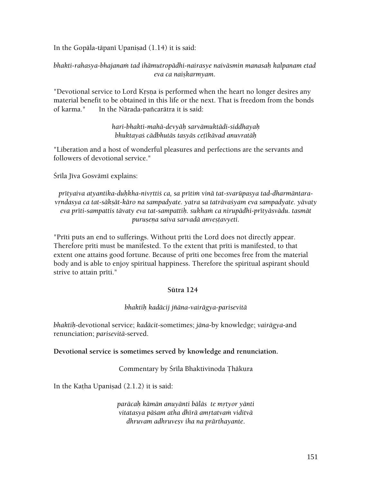In the Gopāla-tāpanī Upanisad  $(1.14)$  it is said:

*bhakti-rahasya-bhajanaà tad ihämutropädhi-nairasye naiväsmin manasaù kalpanam etad*   $eva$ *ca naiskarmyam.* 

"Devotional service to Lord Krsna is performed when the heart no longer desires any material benefit to be obtained in this life or the next. That is freedom from the bonds of karma." In the Nārada-pañcarātra it is said:

> *hari-bhakti-mahä-devyäù sarvämuktädi-siddhayaù bhuktayaç cädbhutäs tasyäs ceöékävad anuvratäù*

"Liberation and a host of wonderful pleasures and perfections are the servants and followers of devotional service."

Śrīla Jīva Gosvāmī explains:

prītyaiva atyantika-duhkha-nivrttiś ca, sa prītim vinā tat-svarūpasya tad-dharmāntaravrndasya ca tat-sākṣāt-kāro na sampadyate. yatra sa tatrāvaśyam eva sampadyate. yāvaty *eva prīti-sampattis tāvaty eva tat-sampattih. sukham ca nirupādhi-prītyāsvādu. tasmāt*  $p$ urușena saiva sarvadā anveștavyeti.

"Prīti puts an end to sufferings. Without prīti the Lord does not directly appear. Therefore priti must be manifested. To the extent that priti is manifested, to that extent one attains good fortune. Because of priti one becomes free from the material body and is able to enjoy spiritual happiness. Therefore the spiritual aspirant should strive to attain prīti."

#### **Sütra 124**

#### *bhaktiù kadäcij jïäna-vairägya-parisevitä*

*bhaktiù*-devotional service; *kadäcit*-sometimes; *jäna*-by knowledge; *vairägya*-and renunciation; *parisevitä*-served.

**Devotional service is sometimes served by knowledge and renunciation.** 

Commentary by Śrīla Bhaktivinoda Ţhākura

In the Katha Upanisad  $(2.1.2)$  it is said:

*paräcaù kämän anuyänti bäläs te måtyor yänti vitatasya päçam atha dhérä amåtatvaà viditvä dhruvam adhruveñv iha na prärthayante*.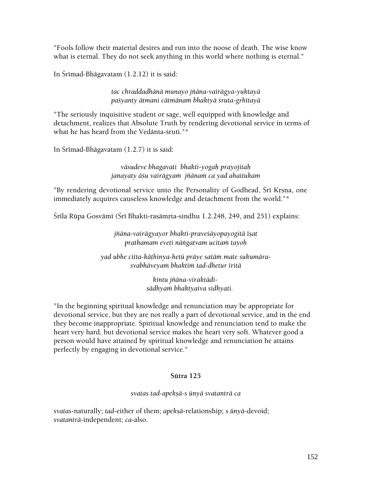"Fools follow their material desires and run into the noose of death. The wise know what is eternal. They do not seek anything in this world where nothing is eternal."

In Śrīmad-Bhāgavatam  $(1.2.12)$  it is said:

*tac chraddadhänä munayo jïäna-vairägya-yuktayä paçyanty ätmani cätmänaà bhaktyä çruta-gåhétayä* 

"The seriously inquisitive student or sage, well equipped with knowledge and detachment, realizes that Absolute Truth by rendering devotional service in terms of what he has heard from the Vedānta-śruti."\*

In Śrīmad-Bhāgavatam  $(1.2.7)$  it is said:

*väsudeve bhagavati bhakti-yogaù prayojitaù*  janayaty āśu vairāgyam jñānam ca yad ahaitukam

"By rendering devotional service unto the Personality of Godhead, Śrī Krsna, one immediately acquires causeless knowledge and detachment from the world."\*

Śrīla Rūpa Gosvāmī (Śrī Bhakti-rasāmṛta-sindhu 1.2.248, 249, and 251) explains:

*jïäna-vairägyayor bhakti-praveçäyopayogitä éñat prathamam eveti näìgatvam ucitaà tayoù* 

*yad ubhe citta-käöhinya-hetü präye satäà mate sukumärasvabhäveyaà bhaktià tad-dhetur éritä* 

> *kintu jïäna-viraktädisädhyaà bhaktyaiva sidhyati.*

"In the beginning spiritual knowledge and renunciation may be appropriate for devotional service, but they are not really a part of devotional service, and in the end they become inappropriate. Spiritual knowledge and renunciation tend to make the heart very hard, but devotional service makes the heart very soft. Whatever good a person would have attained by spiritual knowledge and renunciation he attains perfectly by engaging in devotional service."

#### **Sütra 125**

#### *svatas tad-apekñä-s ünyä svatanträ ca*

*svatas*-naturally; *tad*-either of them; *apekñä*-relationship; *s ünyä*-devoid; *svatanträ*-independent; *ca*-also.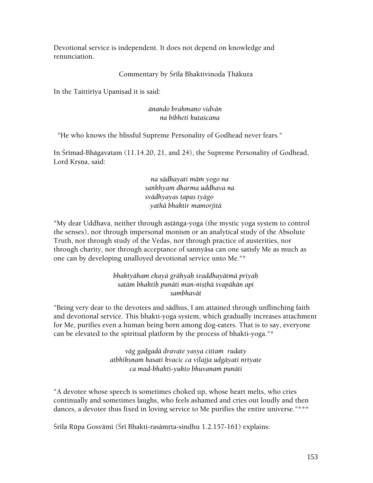Devotional service is independent. It does not depend on knowledge and renunciation.

## Commentary by Śrīla Bhaktivinoda Thākura

In the Taittiriya Upanisad it is said:

#### *änando brahmaëo vidvän na bibheti kutaçcana*

"He who knows the blissful Supreme Personality of Godhead never fears."

In Śrīmad-Bhāgavatam (11.14.20, 21, and 24), the Supreme Personality of Godhead, Lord Krsna, said:

> *na sädhayati mäà yogo na saìkhyaà dharma uddhava na svädhyayas tapas tyägo yathä bhaktir mamorjitä*

"My dear Uddhava, neither through astānga-yoga (the mystic yoga system to control the senses), nor through impersonal monism or an analytical study of the Absolute Truth, nor through study of the Vedas, nor through practice of austerities, nor through charity, nor through acceptance of sannyäsa can one satisfy Me as much as one can by developing unalloyed devotional service unto Me."\*

> *bhaktyäham ekayä grähyaù çraddhayätmä priyaù satäm bhaktiù punäti man-niñöhä çvapäkän api sambhavät*

"Being very dear to the devotees and sädhus, I am attained through unflinching faith and devotional service. This bhakti-yoga system, which gradually increases attachment for Me, purifies even a human being born among dog-eaters. That is to say, everyone can be elevated to the spiritual platform by the process of bhakti-yoga."\*

> *väg gadgadä dravate yasya cittaà rudaty atbhékñëaà hasati kvacic ca vilajja udgäyati nåtyate ca mad-bhakti-yukto bhuvanaà punäti*

"A devotee whose speech is sometimes choked up, whose heart melts, who cries continually and sometimes laughs, who feels ashamed and cries out loudly and then dances, a devotee thus fixed in loving service to Me purifies the entire universe."\*\*\*

Śrīla Rūpa Gosvāmī (Śrī Bhakti-rasāmṛta-sindhu 1.2.157-161) explains: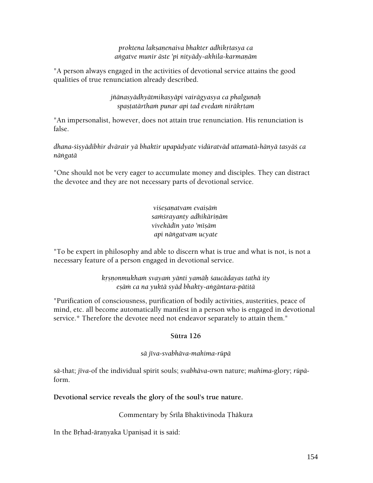*proktena lakñaëenaiva bhakter adhikåtasya ca*  angatve munir āste 'pi nityādy-akhila-karmaņām

"A person always engaged in the activities of devotional service attains the good qualities of true renunciation already described.

> jñānasyādhyātmikasyāpi vairāgyasya ca phalgunah  $spastat$ ärtham punar api tad evedam niräkrtam

"An impersonalist, however, does not attain true renunciation. His renunciation is false.

*dhana-çiñyädibhir dvärair yä bhaktir upapädyate vidüratväd uttamatä-hänyä tasyäç ca näìgatä* 

"One should not be very eager to accumulate money and disciples. They can distract the devotee and they are not necessary parts of devotional service.

> *viçeñaëatvam evaiñäà saàçrayanty adhikäriëäm vivekädén yato 'méñäm api näìgatvam ucyate*

"To be expert in philosophy and able to discern what is true and what is not, is not a necessary feature of a person engaged in devotional service.

> *kåñëonmukhaà svayaà yänti yamäù çaucädayas tathä ity eñäà ca na yuktä syäd bhakty-aìgäntara-pätitä*

"Purification of consciousness, purification of bodily activities, austerities, peace of mind, etc. all become automatically manifest in a person who is engaged in devotional service.\* Therefore the devotee need not endeavor separately to attain them."

#### **Sütra 126**

#### *sä jéva-svabhäva-mahima-rüpä*

*sä*-that; *jéva*-of the individual spirit souls; *svabhäva*-own nature; *mahima*-glory; *rüpä*form.

#### **Devotional service reveals the glory of the soul's true nature.**

Commentary by Srīla Bhaktivinoda Thākura

In the Brhad-āranyaka Upaniṣad it is said: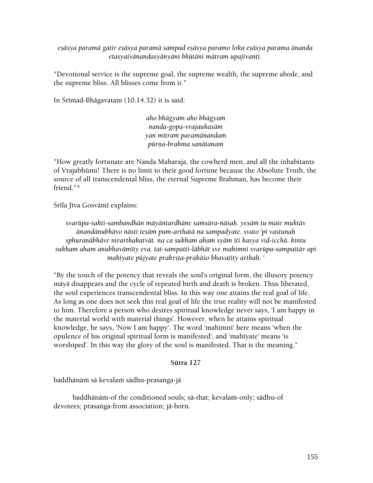*eñäsya paramä gatir eñäsya paramä sampad eñäsya paramo loka eñäsya parama änanda etasyaivänandasyänyäni bhütäni mätram upajévanti.* 

"Devotional service is the supreme goal, the supreme wealth, the supreme abode, and the supreme bliss. All blisses come from it."

In Śrīmad-Bhāgavatam (10.14.32) it is said:

*aho bhägyam aho bhägyaà nanda-gopa-vrajaukasäm yan mitraà paramänandaà pürëa-brahma sanätanam* 

"How greatly fortunate are Nanda Maharaja, the cowherd men, and all the inhabitants of Vrajabhümi! There is no limit to their good fortune because the Absolute Truth, the source of all transcendental bliss, the eternal Supreme Brahman, has become their friend."\*

Śrīla Jīva Gosvāmī explains:

*svarüpa-çakti-sambandhän mäyäntardhäne saàsära-näçaù. yeñäà tu mate muktäv änandänubhävo nästi teñäà pum-arthatä na sampadyate. svato 'pi vastunaù*  sphuranābhāve nirarthakatvāt. na ca sukham aham syām iti kasya vid-icchā. kintu *sukham aham anubhaväméty eva. tat-sampatti-läbhät sve mahimni svarüpa-sampattäv api*  mahīyate pūjyate prakrsta-prakā*śo bhavatīty arthah.* '

"By the touch of the potency that reveals the soul's original form, the illusory potency mäyä disappears and the cycle of repeated birth and death is broken. Thus liberated, the soul experiences transcendental bliss. In this way one attains the real goal of life. As long as one does not seek this real goal of life the true reality will not be manifested to him. Therefore a person who desires spiritual knowledge never says, 'I am happy in the material world with material things'. However, when he attains spiritual knowledge, he says, 'Now I am happy'. The word 'mahimni' here means 'when the opulence of his original spiritual form is manifested', and 'mahiyate' means 'is worshiped'. In this way the glory of the soul is manifested. That is the meaning."

#### **Sütra 127**

baddhānāṁ sā kevalaṁ sādhu-prasaṅga-jā

baddhānām-of the conditioned souls; sā-that; kevalam-only; sādhu-of devotees; prasanga-from association; jā-born.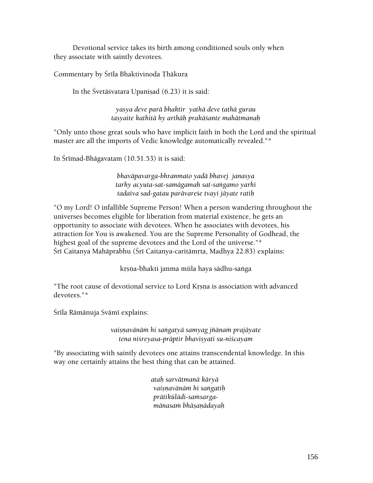Devotional service takes its birth among conditioned souls only when they associate with saintly devotees.

Commentary by Śrīla Bhaktivinoda Thākura

In the Śvetāśvatara Upanisad  $(6.23)$  it is said:

*yasya deve parä bhaktir yathä deve tathä gurau tasyaite kathitä hy arthäù prakäçante mahätmanaù* 

"Only unto those great souls who have implicit faith in both the Lord and the spiritual master are all the imports of Vedic knowledge automatically revealed."\*

In Śrīmad-Bhāgavatam (10.51.53) it is said:

*bhaväpavarga-bhranmato yadä bhavej janasya tarhy acyuta-sat-samägamaù sat-saìgamo yarhi tadaiva sad-gatau parävareçe tvayi jäyate ratiù* 

"O my Lord! O infallible Supreme Person! When a person wandering throughout the universes becomes eligible for liberation from material existence, he gets an opportunity to associate with devotees. When he associates with devotees, his attraction for You is awakened. You are the Supreme Personality of Godhead, the highest goal of the supreme devotees and the Lord of the universe."\* Śrī Caitanya Mahāprabhu (Śrī Caitanya-caritāmrta, Madhya 22.83) explains:

krsna-bhakti janma mūla haya sādhu-saṅga

"The root cause of devotional service to Lord Krsna is association with advanced devotees."\*

Śrīla Rāmānuja Svāmī explains:

*vaiñëavänäà hi saìgatyä samyag jïänaà prajäyate tena niçreyasa-präptir bhaviñyati su-niçcayam* 

"By associating with saintly devotees one attains transcendental knowledge. In this way one certainly attains the best thing that can be attained.

> *ataù sarvätmanä käryä vaiñëavänäà hi saìgatiù prätikülädi-saàsargamänasaà bhäñaëädayaù*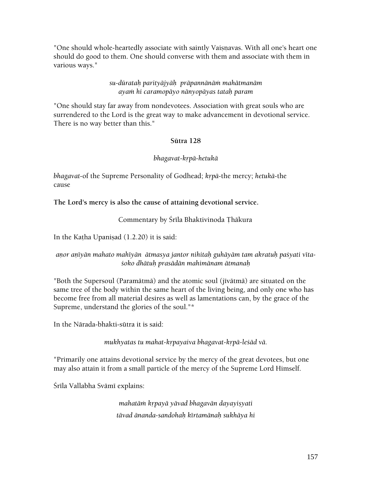"One should whole-heartedly associate with saintly Vaisnavas. With all one's heart one should do good to them. One should converse with them and associate with them in various ways."

#### *su-dürataù parityäjyäù präpannänäà mahätmanäm ayaà hi caramopäyo nänyopäyas tataù param*

"One should stay far away from nondevotees. Association with great souls who are surrendered to the Lord is the great way to make advancement in devotional service. There is no way better than this."

#### **Sütra 128**

#### *bhagavat-kåpä-hetukä*

*bhagavat-of the Supreme Personality of Godhead; <i>krpā-the mercy; hetukā-the* cause

## **The Lord's mercy is also the cause of attaining devotional service.**

Commentary by Śrīla Bhaktivinoda Thākura

In the Katha Upanisad  $(1.2.20)$  it is said:

## anor anīyān mahato mahīyān ātmasya jantor nihitah guhāyām tam akratuh paśyati vīta*çoko dhätuù prasädän mahimänam ätmanaù*

"Both the Supersoul (Paramātmā) and the atomic soul ( $ji$ vātmā) are situated on the same tree of the body within the same heart of the living being, and only one who has become free from all material desires as well as lamentations can, by the grace of the Supreme, understand the glories of the soul."\*

In the Närada-bhakti-sütra it is said:

*mukhyatas tu mahat-krpayaiva bhagavat-krpā-leśād vā.* 

"Primarily one attains devotional service by the mercy of the great devotees, but one may also attain it from a small particle of the mercy of the Supreme Lord Himself.

Śrīla Vallabha Svāmī explains:

*mahatām krpayā yāvad bhagavān dayayişyati tävad änanda-sandohaù kértamänaù sukhäya hi*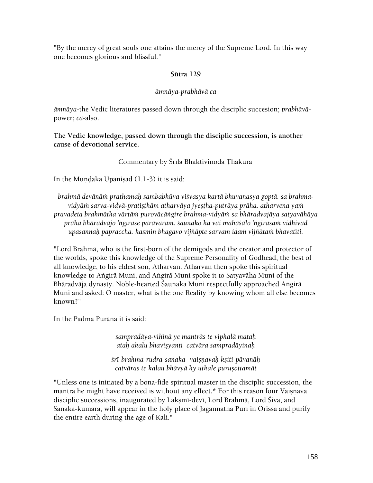"By the mercy of great souls one attains the mercy of the Supreme Lord. In this way one becomes glorious and blissful."

#### **Sütra 129**

## *ämnäya-prabhävä ca*

*ämnäya*-the Vedic literatures passed down through the disciplic succesion; *prabhävä*power; *ca*-also.

**The Vedic knowledge, passed down through the disciplic succession, is another cause of devotional service.** 

Commentary by Śrīla Bhaktivinoda Thākura

In the Mundaka Upanisad  $(1.1-3)$  it is said:

*brahmä devänäà prathamaù sambabhüva viçvasya kartä bhuvanasya goptä. sa brahma*vidyām sarva-vidyā-pratiṣṭhām atharvāya jyeṣṭha-putrāya prāha. atharvena yam *pravadeta brahmätha värtäà puroväcäìgire brahma-vidyäà sa bhäradvajäya satyavähäya*  prāha bhāradvājo 'ngirase parāvaram. *saunako ha vai mahāsālo 'ngirasam vidhivad* upasannah papraccha. kasmin bhagavo vijñāpte sarvam idam vijñātam bhavatīti.

"Lord Brahmä, who is the first-born of the demigods and the creator and protector of the worlds, spoke this knowledge of the Supreme Personality of Godhead, the best of all knowledge, to his eldest son, Atharvän. Atharvän then spoke this spiritual knowledge to Aìgirä Muni, and Aìgirä Muni spoke it to Satyaväha Muni of the Bhāradvāja dynasty. Noble-hearted Śaunaka Muni respectfully approached Angirā Muni and asked: O master, what is the one Reality by knowing whom all else becomes known?"

In the Padma Purāna it is said:

*sampradäya-vihénä ye manträs te viphalä mataù ataù akalu bhaviñyanti catvära sampradäyinaù* 

*çré-brahma-rudra-sanaka- vaiñëavaù kñiti-pävanäù*   $c$ atvāras te kalau bhāvyā hy utkale purușottamāt

"Unless one is initiated by a bona-fide spiritual master in the disciplic succession, the mantra he might have received is without any effect.\* For this reason four Vaisnava disciplic successions, inaugurated by Laksmī-devī, Lord Brahmā, Lord Śiva, and Sanaka-kumāra, will appear in the holy place of Jagannātha Purī in Orissa and purify the entire earth during the age of Kali."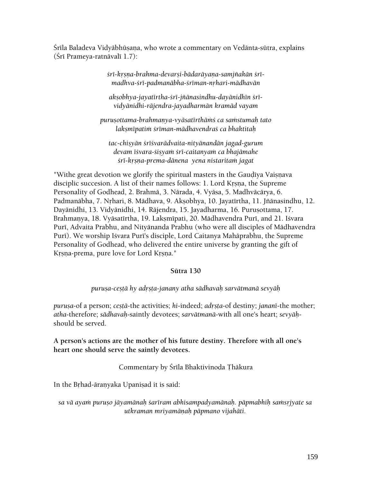Śrīla Baladeva Vidyābhūṣaṇa, who wrote a commentary on Vedānta-sūtra, explains (Śrī Prameya-ratnāvalī 1.7):

> *çré-kåñëa-brahma-devarñi-bädaräyaëa-samjïakän çrémadhva-çré-padmanäbha-çréman-nåhari-mädhavän*

akṣobhya-jayatīrtha-śrī-jñānasindhu-dayānidhīn śrī*vidyänidhi-räjendra-jayadharmän kramäd vayam* 

*puruñottama-brahmaëya-vyäsatérthäàç ca saàstumaù tato lakñmépatià çréman-mädhavendraç ca bhaktitaù* 

*tac-chiñyän çréçvarädvaita-nityänandän jagad-gurum*  devam īśvara-śişyam śrī-caitanyam ca bhajāmahe *çré-kåñëa-prema-dänena yena nistaritaà jagat* 

"Withe great devotion we glorify the spiritual masters in the Gaudīya Vaisnava disciplic succesion. A list of their names follows: 1. Lord Krsna, the Supreme Personality of Godhead, 2. Brahmä, 3. Närada, 4. Vyäsa, 5. Madhväcärya, 6. Padmanābha, 7. Nrhari, 8. Mādhava, 9. Akṣobhya, 10. Jayatīrtha, 11. Jñānasindhu, 12. Dayānidhi, 13. Vidyānidhi, 14. Rājendra, 15. Jayadharma, 16. Purusottama, 17. Brahmanya, 18. Vyāsatīrtha, 19. Laksmīpati, 20. Mādhavendra Purī, and 21. Iśvara Purī, Advaita Prabhu, and Nityānanda Prabhu (who were all disciples of Mādhavendra Purī). We worship Iśvara Purī's disciple, Lord Caitanya Mahāprabhu, the Supreme Personality of Godhead, who delivered the entire universe by granting the gift of Krsna-prema, pure love for Lord Krsna."

#### **Sütra 130**

*puruña-ceñöä hy adåñöa-janany atha sädhavaù sarvätmanä sevyäù* 

*purusa*-of a person; *cestā*-the activities; *hi*-indeed; *adrsta*-of destiny; *jananī*-the mother; *atha*-therefore; *sädhavaù*-saintly devotees; *sarvätmanä*-with all one's heart; *sevyäù*should be served.

**A person's actions are the mother of his future destiny. Therefore with all one's heart one should serve the saintly devotees.** 

Commentary by Śrīla Bhaktivinoda Thākura

In the Brhad-āranyaka Upaniṣad it is said:

sa vā ayam puruṣo jāyamānah śarīram abhisampadyamānah. pāpmabhiḥ samsrjyate sa *utkraman mriyamäëaù päpmano vijahäti.*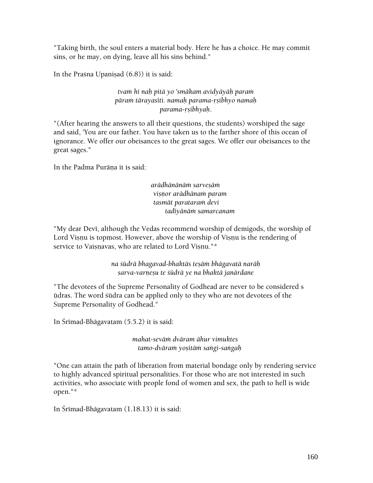"Taking birth, the soul enters a material body. Here he has a choice. He may commit sins, or he may, on dying, leave all his sins behind."

In the Prasna Upanisad  $(6.8)$ ) it is said:

## *tvaà hi naù pitä yo 'smäkam avidyäyäù paraà päraà tärayaséti. namaù parama-åñibhyo namaù parama-åñibhyaù*.

"(After hearing the answers to all their questions, the students) worshiped the sage and said, 'You are our father. You have taken us to the farther shore of this ocean of ignorance. We offer our obeisances to the great sages. We offer our obeisances to the great sages."

In the Padma Purāna it is said:

*arädhänänäà sarveñäà viñëor arädhänaà param tasmät parataraà devi tadéyänäà samarcanam* 

"My dear Devi, although the Vedas recommend worship of demigods, the worship of Lord Vișnu is topmost. However, above the worship of Vișnu is the rendering of service to Vaisnavas, who are related to Lord Visnu."\*

> *na çüdrä bhagavad-bhaktäs teñäà bhägavatä naräù sarva-varëeñu te çüdrä ye na bhaktä janärdane*

"The devotees of the Supreme Personality of Godhead are never to be considered s üdras. The word çüdra can be applied only to they who are not devotees of the Supreme Personality of Godhead."

In Śrīmad-Bhāgavatam (5.5.2) it is said:

*mahat-seväà dväram ähur vimuktes tamo-dväraà yoñitäà saìgi-saìgaù* 

"One can attain the path of liberation from material bondage only by rendering service to highly advanced spiritual personalities. For those who are not interested in such activities, who associate with people fond of women and sex, the path to hell is wide open."\*

In Śrīmad-Bhāgavatam (1.18.13) it is said: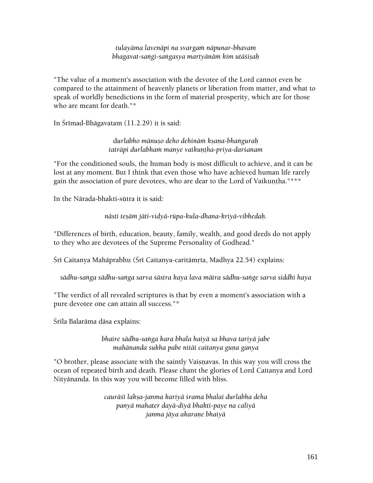*tulayäma lavenäpi na svargaà näpunar-bhavam*  bhagavat-saṅgi-saṅgasya martyānām kim utāśiṣaḥ

"The value of a moment's association with the devotee of the Lord cannot even be compared to the attainment of heavenly planets or liberation from matter, and what to speak of worldly benedictions in the form of material prosperity, which are for those who are meant for death."\*

In Śrīmad-Bhāgavatam (11.2.29) it is said:

d*urlabho mänuño deho dehinäà kñaëa-bhaìguraù taträpi durlabhaà manye vaikuëöha-priya-darçanam* 

"For the conditioned souls, the human body is most difficult to achieve, and it can be lost at any moment. But I think that even those who have achieved human life rarely gain the association of pure devotees, who are dear to the Lord of Vaikuntha."\*\*\*

In the Närada-bhakti-sütra it is said:

*nästi teñäà jäti-vidyä-rüpa-kula-dhana-kriyä-vibhedaù.* 

"Differences of birth, education, beauty, family, wealth, and good deeds do not apply to they who are devotees of the Supreme Personality of Godhead."

Śrī Caitanya Mahāprabhu (Śrī Caitanya-caritāmṛta, Madhya 22.54) explains:

*sädhu-saìga sädhu-saìga sarva çästra kaya lava mätra sädhu-saìge sarva siddhi haya* 

"The verdict of all revealed scriptures is that by even a moment's association with a pure devotee one can attain all success."\*

Šrīla Balarāma dāsa explains:

*bhaire sädhu-saìga kara bhala haiyä sa bhava tariyä jabe mahānanda sukha pabe nitāi caitanya guna ganya* 

"O brother, please associate with the saintly Vaisnavas. In this way you will cross the ocean of repeated birth and death. Please chant the glories of Lord Caitanya and Lord Nityänanda. In this way you will become filled with bliss.

> *cauräçé lakña-janma kariyä çrama bhalai durlabha deha panyä mahater dayä-diyä bhakti-paye na caliyä janma jäya akaraëe bhaiyä*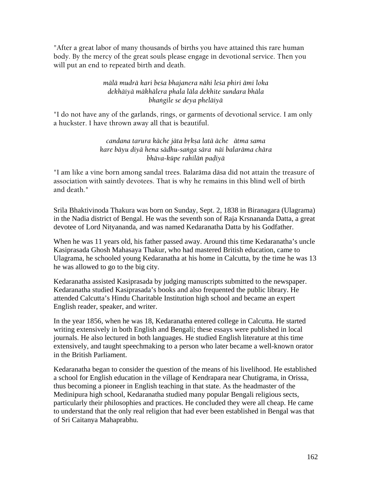"After a great labor of many thousands of births you have attained this rare human body. By the mercy of the great souls please engage in devotional service. Then you will put an end to repeated birth and death.

#### *mälä mudrä kari beça bhajanera nähi leça phiri ämi loka dekhäiyä mäkhälera phala läla dekhite sundara bhäla bhaìgile se deya pheläiyä*

"I do not have any of the garlands, rings, or garments of devotional service. I am only a huckster. I have thrown away all that is beautiful.

> *candana tarura käche jäta båkña latä äche ätma sama kare bäyu diyä hena sädhu-saìga sära näi balaräma chära bhäva-küpe rahiläì paòiyä*

"I am like a vine born among sandal trees. Balaräma däsa did not attain the treasure of association with saintly devotees. That is why he remains in this blind well of birth and death."

Srila Bhaktivinoda Thakura was born on Sunday, Sept. 2, 1838 in Biranagara (Ulagrama) in the Nadia district of Bengal. He was the seventh son of Raja Krsnananda Datta, a great devotee of Lord Nityananda, and was named Kedaranatha Datta by his Godfather.

When he was 11 years old, his father passed away. Around this time Kedaranatha's uncle Kasiprasada Ghosh Mahasaya Thakur, who had mastered British education, came to Ulagrama, he schooled young Kedaranatha at his home in Calcutta, by the time he was 13 he was allowed to go to the big city.

Kedaranatha assisted Kasiprasada by judging manuscripts submitted to the newspaper. Kedaranatha studied Kasiprasada's books and also frequented the public library. He attended Calcutta's Hindu Charitable Institution high school and became an expert English reader, speaker, and writer.

In the year 1856, when he was 18, Kedaranatha entered college in Calcutta. He started writing extensively in both English and Bengali; these essays were published in local journals. He also lectured in both languages. He studied English literature at this time extensively, and taught speechmaking to a person who later became a well-known orator in the British Parliament.

Kedaranatha began to consider the question of the means of his livelihood. He established a school for English education in the village of Kendrapara near Chutigrama, in Orissa, thus becoming a pioneer in English teaching in that state. As the headmaster of the Medinipura high school, Kedaranatha studied many popular Bengali religious sects, particularly their philosophies and practices. He concluded they were all cheap. He came to understand that the only real religion that had ever been established in Bengal was that of Sri Caitanya Mahaprabhu.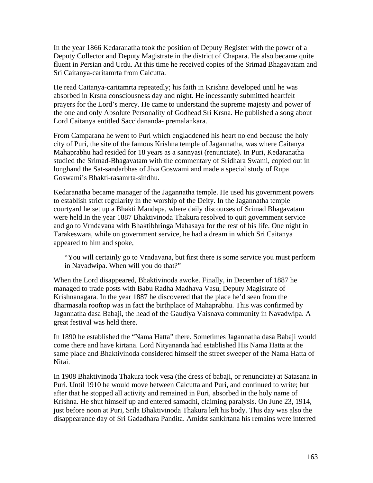In the year 1866 Kedaranatha took the position of Deputy Register with the power of a Deputy Collector and Deputy Magistrate in the district of Chapara. He also became quite fluent in Persian and Urdu. At this time he received copies of the Srimad Bhagavatam and Sri Caitanya-caritamrta from Calcutta.

He read Caitanya-caritamrta repeatedly; his faith in Krishna developed until he was absorbed in Krsna consciousness day and night. He incessantly submitted heartfelt prayers for the Lord's mercy. He came to understand the supreme majesty and power of the one and only Absolute Personality of Godhead Sri Krsna. He published a song about Lord Caitanya entitled Saccidananda- premalankara.

From Camparana he went to Puri which engladdened his heart no end because the holy city of Puri, the site of the famous Krishna temple of Jagannatha, was where Caitanya Mahaprabhu had resided for 18 years as a sannyasi (renunciate). In Puri, Kedaranatha studied the Srimad-Bhagavatam with the commentary of Sridhara Swami, copied out in longhand the Sat-sandarbhas of Jiva Goswami and made a special study of Rupa Goswami's Bhakti-rasamrta-sindhu.

Kedaranatha became manager of the Jagannatha temple. He used his government powers to establish strict regularity in the worship of the Deity. In the Jagannatha temple courtyard he set up a Bhakti Mandapa, where daily discourses of Srimad Bhagavatam were held.In the year 1887 Bhaktivinoda Thakura resolved to quit government service and go to Vrndavana with Bhaktibhringa Mahasaya for the rest of his life. One night in Tarakeswara, while on government service, he had a dream in which Sri Caitanya appeared to him and spoke,

"You will certainly go to Vrndavana, but first there is some service you must perform in Navadwipa. When will you do that?"

When the Lord disappeared, Bhaktivinoda awoke. Finally, in December of 1887 he managed to trade posts with Babu Radha Madhava Vasu, Deputy Magistrate of Krishnanagara. In the year 1887 he discovered that the place he'd seen from the dharmasala rooftop was in fact the birthplace of Mahaprabhu. This was confirmed by Jagannatha dasa Babaji, the head of the Gaudiya Vaisnava community in Navadwipa. A great festival was held there.

In 1890 he established the "Nama Hatta" there. Sometimes Jagannatha dasa Babaji would come there and have kirtana. Lord Nityananda had established His Nama Hatta at the same place and Bhaktivinoda considered himself the street sweeper of the Nama Hatta of Nitai.

In 1908 Bhaktivinoda Thakura took vesa (the dress of babaji, or renunciate) at Satasana in Puri. Until 1910 he would move between Calcutta and Puri, and continued to write; but after that he stopped all activity and remained in Puri, absorbed in the holy name of Krishna. He shut himself up and entered samadhi, claiming paralysis. On June 23, 1914, just before noon at Puri, Srila Bhaktivinoda Thakura left his body. This day was also the disappearance day of Sri Gadadhara Pandita. Amidst sankirtana his remains were interred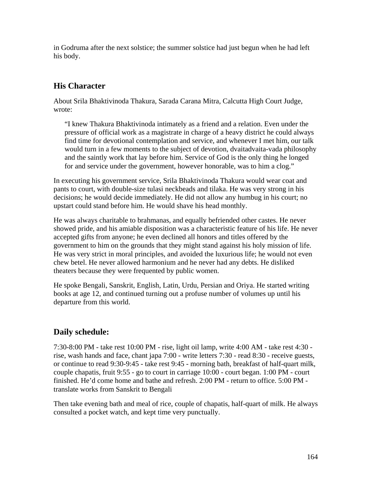in Godruma after the next solstice; the summer solstice had just begun when he had left his body.

# **His Character**

About Srila Bhaktivinoda Thakura, Sarada Carana Mitra, Calcutta High Court Judge, wrote:

"I knew Thakura Bhaktivinoda intimately as a friend and a relation. Even under the pressure of official work as a magistrate in charge of a heavy district he could always find time for devotional contemplation and service, and whenever I met him, our talk would turn in a few moments to the subject of devotion, dvaitadvaita-vada philosophy and the saintly work that lay before him. Service of God is the only thing he longed for and service under the government, however honorable, was to him a clog."

In executing his government service, Srila Bhaktivinoda Thakura would wear coat and pants to court, with double-size tulasi neckbeads and tilaka. He was very strong in his decisions; he would decide immediately. He did not allow any humbug in his court; no upstart could stand before him. He would shave his head monthly.

He was always charitable to brahmanas, and equally befriended other castes. He never showed pride, and his amiable disposition was a characteristic feature of his life. He never accepted gifts from anyone; he even declined all honors and titles offered by the government to him on the grounds that they might stand against his holy mission of life. He was very strict in moral principles, and avoided the luxurious life; he would not even chew betel. He never allowed harmonium and he never had any debts. He disliked theaters because they were frequented by public women.

He spoke Bengali, Sanskrit, English, Latin, Urdu, Persian and Oriya. He started writing books at age 12, and continued turning out a profuse number of volumes up until his departure from this world.

# **Daily schedule:**

7:30-8:00 PM - take rest 10:00 PM - rise, light oil lamp, write 4:00 AM - take rest 4:30 rise, wash hands and face, chant japa 7:00 - write letters 7:30 - read 8:30 - receive guests, or continue to read 9:30-9:45 - take rest 9:45 - morning bath, breakfast of half-quart milk, couple chapatis, fruit 9:55 - go to court in carriage 10:00 - court began. 1:00 PM - court finished. He'd come home and bathe and refresh. 2:00 PM - return to office. 5:00 PM translate works from Sanskrit to Bengali

Then take evening bath and meal of rice, couple of chapatis, half-quart of milk. He always consulted a pocket watch, and kept time very punctually.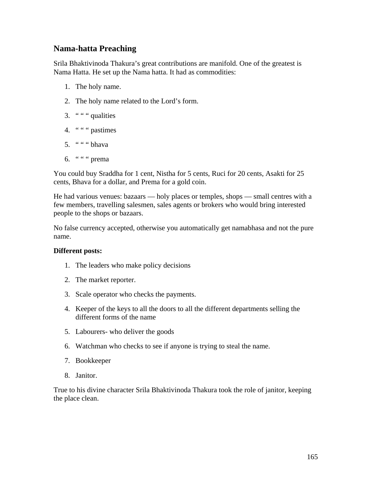## **Nama-hatta Preaching**

Srila Bhaktivinoda Thakura's great contributions are manifold. One of the greatest is Nama Hatta. He set up the Nama hatta. It had as commodities:

- 1. The holy name.
- 2. The holy name related to the Lord's form.
- 3.  $" " " quantities"$
- 4. " " " pastimes
- 5.  $" " " ' b hava"$
- 6. "" " prema

You could buy Sraddha for 1 cent, Nistha for 5 cents, Ruci for 20 cents, Asakti for 25 cents, Bhava for a dollar, and Prema for a gold coin.

He had various venues: bazaars — holy places or temples, shops — small centres with a few members, travelling salesmen, sales agents or brokers who would bring interested people to the shops or bazaars.

No false currency accepted, otherwise you automatically get namabhasa and not the pure name.

#### **Different posts:**

- 1. The leaders who make policy decisions
- 2. The market reporter.
- 3. Scale operator who checks the payments.
- 4. Keeper of the keys to all the doors to all the different departments selling the different forms of the name
- 5. Labourers- who deliver the goods
- 6. Watchman who checks to see if anyone is trying to steal the name.
- 7. Bookkeeper
- 8. Janitor.

True to his divine character Srila Bhaktivinoda Thakura took the role of janitor, keeping the place clean.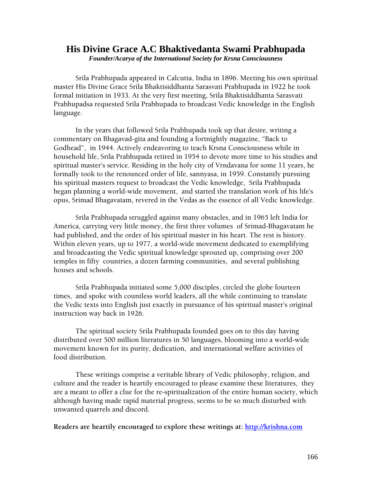# **His Divine Grace A.C Bhaktivedanta Swami Prabhupada**

*Founder/Acarya of the International Society for Krsna Consciousness*

Srila Prabhupada appeared in Calcutta, India in 1896. Meeting his own spiritual master His Divine Grace Srila Bhaktisiddhanta Sarasvati Prabhupada in 1922 he took formal initiation in 1933. At the very first meeting, Srila Bhaktisiddhanta Sarasvati Prabhupadsa requested Srila Prabhupada to broadcast Vedic knowledge in the English language.

In the years that followed Srila Prabhupada took up that desire, writing a commentary on Bhagavad-gita and founding a fortnightly magazine, "Back to Godhead", in 1944. Actively endeavoring to teach Krsna Consciousness while in household life, Srila Prabhupada retired in 1954 to devote more time to his studies and spiritual master's service. Residing in the holy city of Vrndavana for some 11 years, he formally took to the renounced order of life, sannyasa, in 1959. Constantly pursuing his spiritual masters request to broadcast the Vedic knowledge, Srila Prabhupada began planning a world-wide movement, and started the translation work of his life's opus, Srimad Bhagavatam, revered in the Vedas as the essence of all Vedic knowledge.

Srila Prabhupada struggled against many obstacles, and in 1965 left India for America, carrying very little money, the first three volumes of Srimad-Bhagavatam he had published, and the order of his spiritual master in his heart. The rest is history. Within eleven years, up to 1977, a world-wide movement dedicated to exemplifying and broadcasting the Vedic spiritual knowledge sprouted up, comprising over 200 temples in fifty countries, a dozen farming communities, and several publishing houses and schools.

Srila Prabhupada initiated some 5,000 disciples, circled the globe fourteen times, and spoke with countless world leaders, all the while continuing to translate the Vedic texts into English just exactly in pursuance of his spiritual master's original instruction way back in 1926.

 The spiritual society Srila Prabhupada founded goes on to this day having distributed over 500 million literatures in 50 languages, blooming into a world-wide movement known for its purity, dedication, and international welfare activities of food distribution.

These writings comprise a veritable library of Vedic philosophy, religion, and culture and the reader is heartily encouraged to please examine these literatures, they are a meant to offer a clue for the re-spiritualization of the entire human society, which although having made rapid material progress, seems to be so much disturbed with unwanted quarrels and discord.

**Readers are heartily encouraged to explore these writings at: [http://krishna.com](http://krishna.com/)**